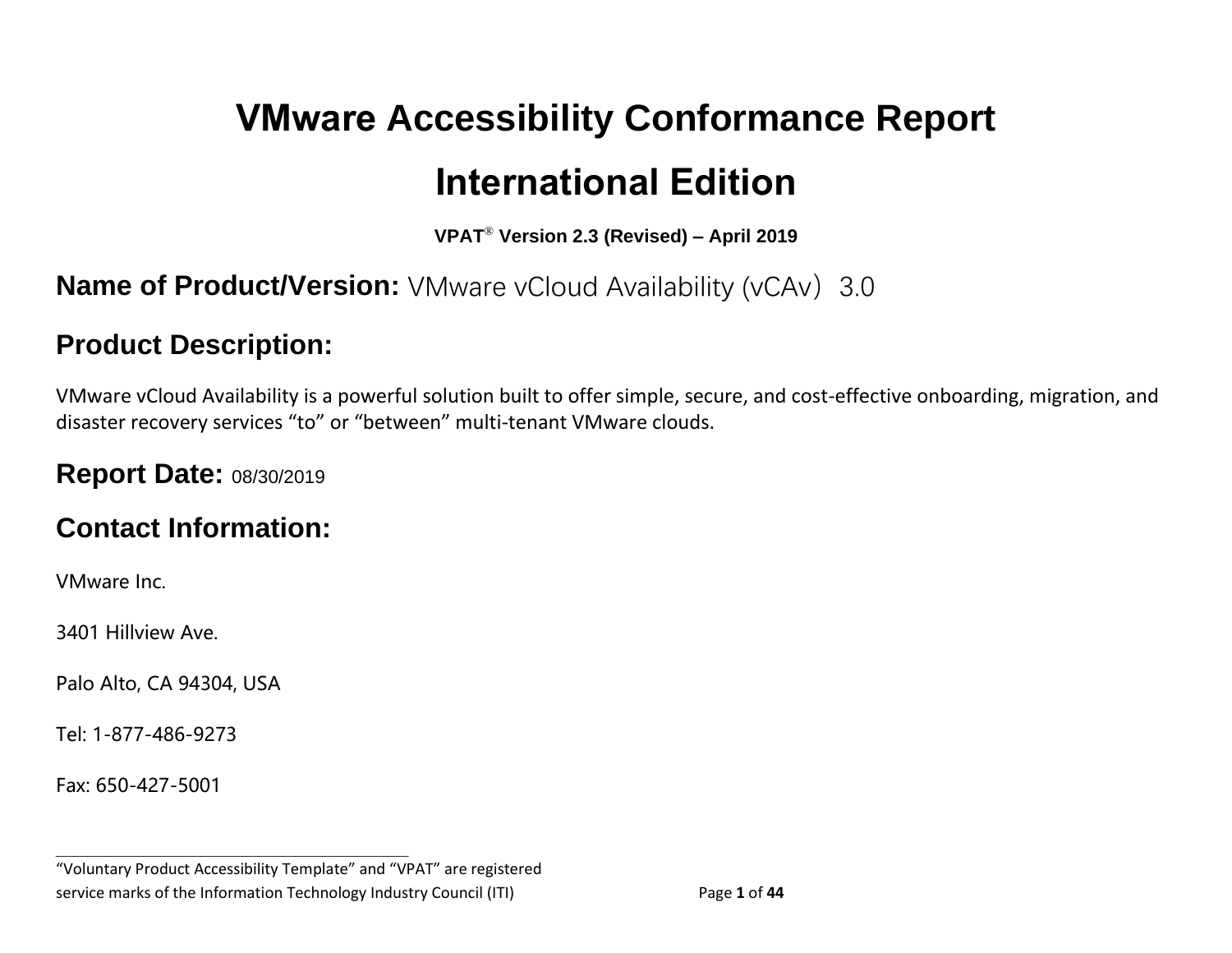# **VMware Accessibility Conformance Report International Edition**

**VPAT**® **Version 2.3 (Revised) – April 2019**

## **Name of Product/Version:** VMware vCloud Availability (vCAv) 3.0

#### **Product Description:**

VMware vCloud Availability is a powerful solution built to offer simple, secure, and cost-effective onboarding, migration, and disaster recovery services "to" or "between" multi-tenant VMware clouds.

#### **Report Date:** 08/30/2019

#### **Contact Information:**

VMware Inc.

3401 Hillview Ave.

Palo Alto, CA 94304, USA

Tel: 1-877-486-9273

Fax: 650-427-5001

"Voluntary Product Accessibility Template" and "VPAT" are registered service marks of the Information Technology Industry Council (ITI) Page **1** of **44**

**\_\_\_\_\_\_\_\_\_\_\_\_\_\_\_\_\_\_\_\_\_\_\_\_\_\_\_\_\_\_\_\_\_\_**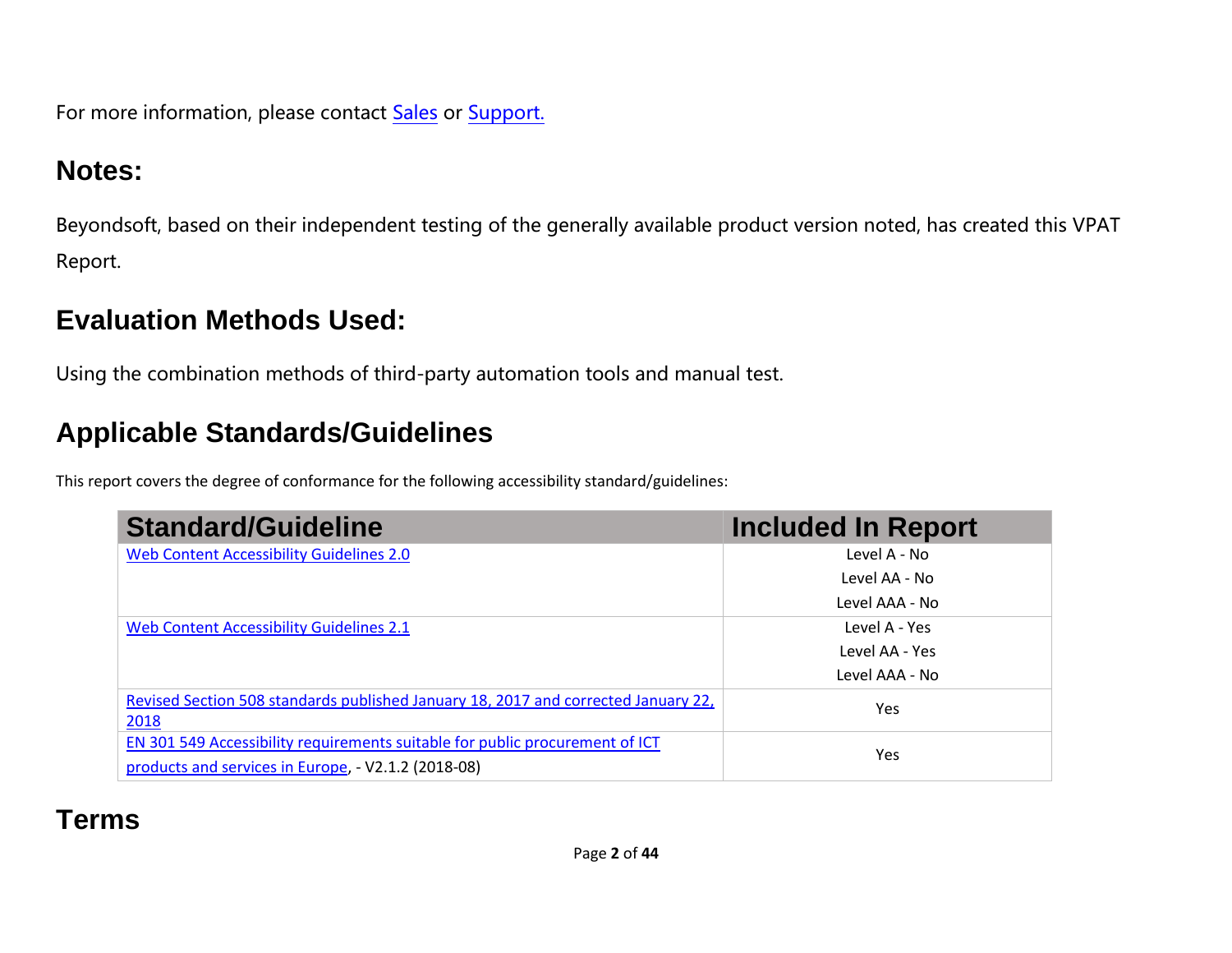For more information, please contact [Sales](https://www.vmware.com/company/contact_sales.html) or [Support.](https://www.vmware.com/support/contacts.html)

## **Notes:**

Beyondsoft, based on their independent testing of the generally available product version noted, has created this VPAT Report.

## **Evaluation Methods Used:**

Using the combination methods of third-party automation tools and manual test.

# **Applicable Standards/Guidelines**

This report covers the degree of conformance for the following accessibility standard/guidelines:

| <b>Standard/Guideline</b>                                                                                                           | <b>Included In Report</b> |
|-------------------------------------------------------------------------------------------------------------------------------------|---------------------------|
| Web Content Accessibility Guidelines 2.0                                                                                            | Level A - No              |
|                                                                                                                                     | Level AA - No             |
|                                                                                                                                     | Level AAA - No            |
| Web Content Accessibility Guidelines 2.1                                                                                            | Level A - Yes             |
|                                                                                                                                     | Level AA - Yes            |
|                                                                                                                                     | Level AAA - No            |
| Revised Section 508 standards published January 18, 2017 and corrected January 22,<br>2018                                          | Yes                       |
| EN 301 549 Accessibility requirements suitable for public procurement of ICT<br>products and services in Europe, - V2.1.2 (2018-08) | Yes                       |

# **Terms**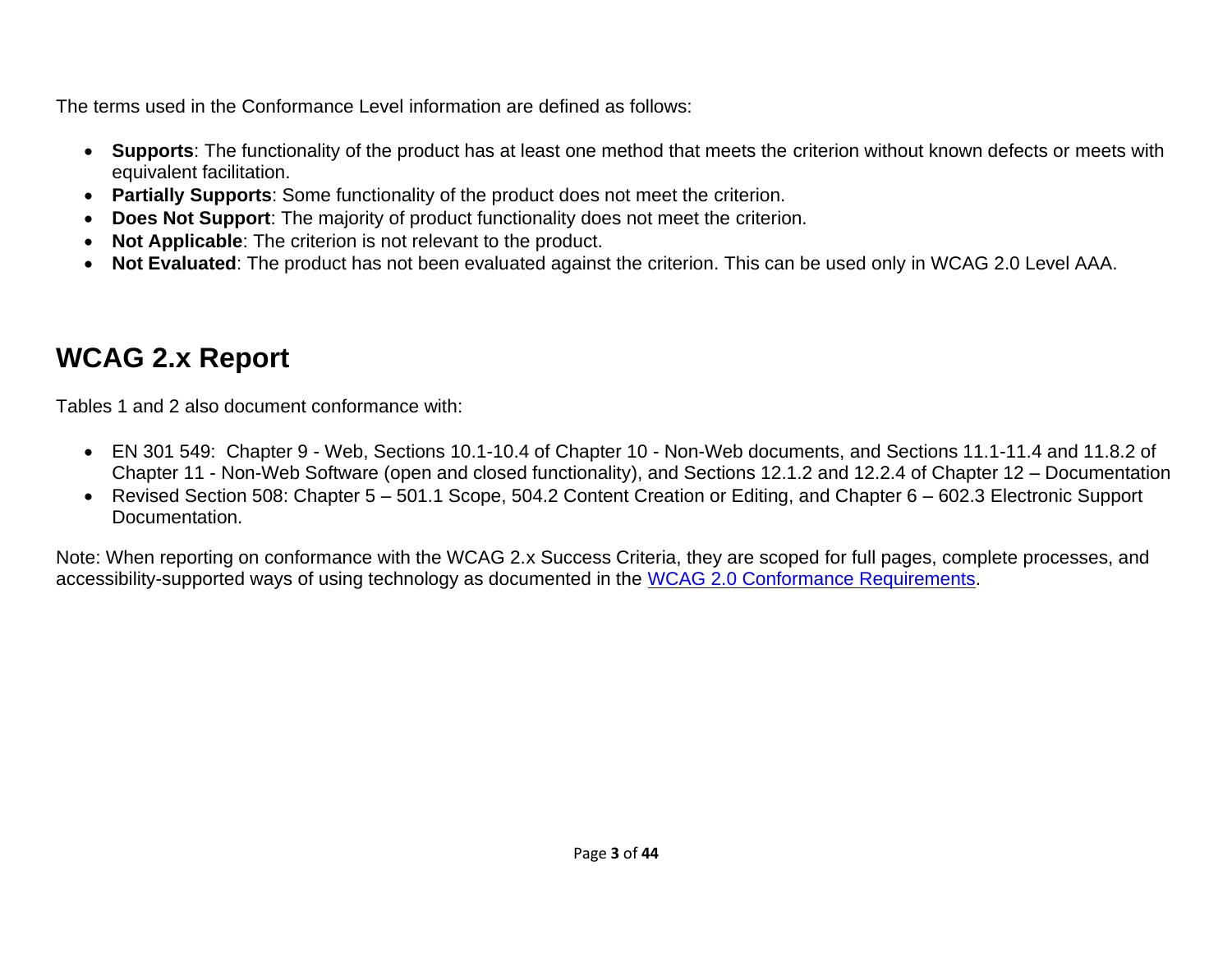The terms used in the Conformance Level information are defined as follows:

- **Supports**: The functionality of the product has at least one method that meets the criterion without known defects or meets with equivalent facilitation.
- **Partially Supports**: Some functionality of the product does not meet the criterion.
- **Does Not Support**: The majority of product functionality does not meet the criterion.
- **Not Applicable**: The criterion is not relevant to the product.
- **Not Evaluated**: The product has not been evaluated against the criterion. This can be used only in WCAG 2.0 Level AAA.

# <span id="page-2-0"></span>**WCAG 2.x Report**

Tables 1 and 2 also document conformance with:

- EN 301 549: Chapter 9 Web, Sections 10.1-10.4 of Chapter 10 Non-Web documents, and Sections 11.1-11.4 and 11.8.2 of Chapter 11 - Non-Web Software (open and closed functionality), and Sections 12.1.2 and 12.2.4 of Chapter 12 – Documentation
- Revised Section 508: Chapter 5 501.1 Scope, 504.2 Content Creation or Editing, and Chapter 6 602.3 Electronic Support Documentation.

Note: When reporting on conformance with the WCAG 2.x Success Criteria, they are scoped for full pages, complete processes, and accessibility-supported ways of using technology as documented in the [WCAG 2.0 Conformance Requirements.](https://www.w3.org/TR/WCAG20/#conformance-reqs)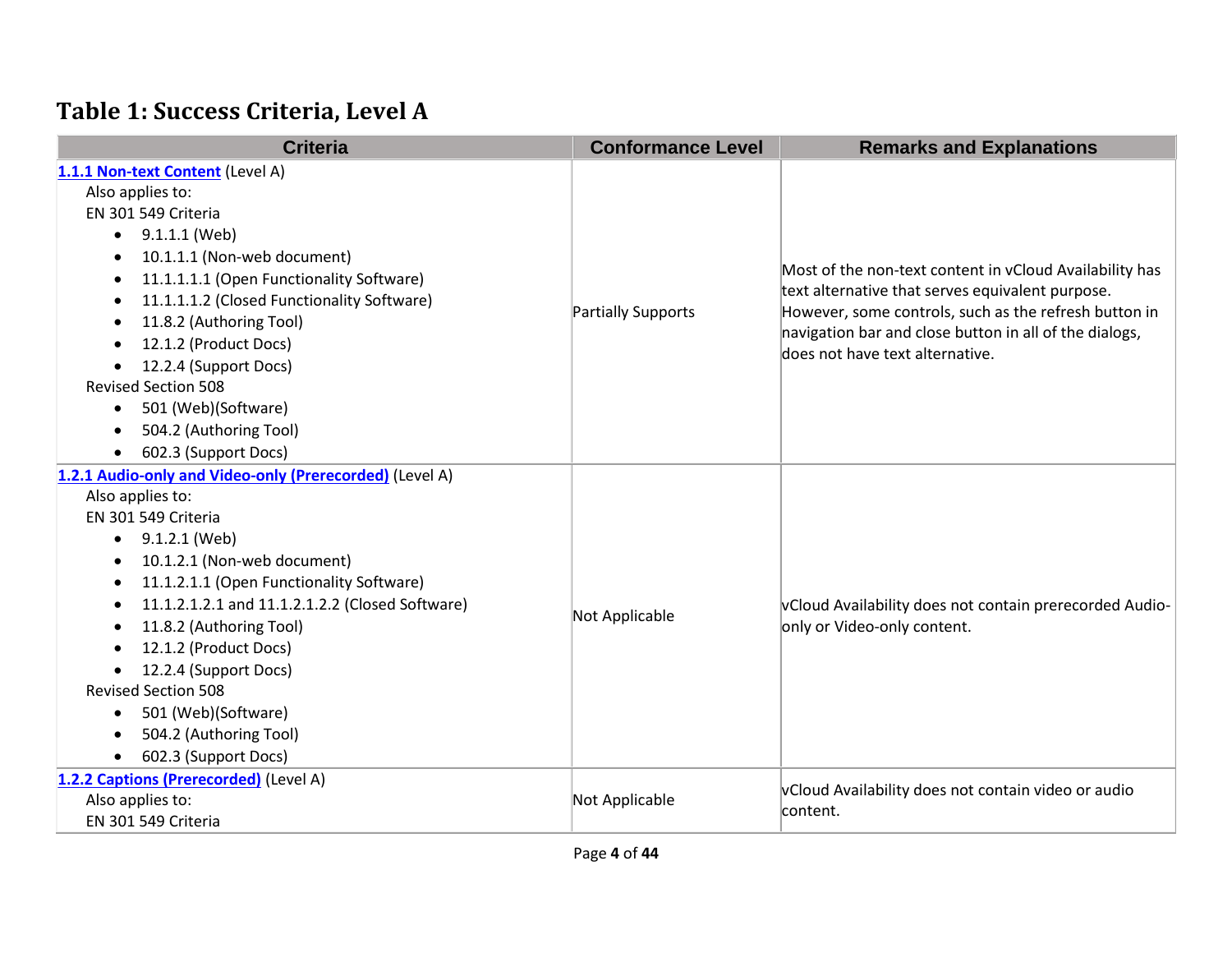## **Table 1: Success Criteria, Level A**

| <b>Criteria</b>                                         | <b>Conformance Level</b>  | <b>Remarks and Explanations</b>                                                                                                                                      |
|---------------------------------------------------------|---------------------------|----------------------------------------------------------------------------------------------------------------------------------------------------------------------|
| 1.1.1 Non-text Content (Level A)                        |                           |                                                                                                                                                                      |
| Also applies to:                                        |                           |                                                                                                                                                                      |
| EN 301 549 Criteria                                     |                           |                                                                                                                                                                      |
| 9.1.1.1 (Web)<br>$\bullet$                              |                           |                                                                                                                                                                      |
| 10.1.1.1 (Non-web document)                             |                           | Most of the non-text content in vCloud Availability has<br>text alternative that serves equivalent purpose.<br>However, some controls, such as the refresh button in |
| 11.1.1.1.1 (Open Functionality Software)                |                           |                                                                                                                                                                      |
| 11.1.1.1.2 (Closed Functionality Software)              | <b>Partially Supports</b> |                                                                                                                                                                      |
| 11.8.2 (Authoring Tool)<br>$\bullet$                    |                           | navigation bar and close button in all of the dialogs,                                                                                                               |
| 12.1.2 (Product Docs)                                   |                           | does not have text alternative.                                                                                                                                      |
| 12.2.4 (Support Docs)                                   |                           |                                                                                                                                                                      |
| <b>Revised Section 508</b>                              |                           |                                                                                                                                                                      |
| 501 (Web)(Software)<br>$\bullet$                        |                           |                                                                                                                                                                      |
| 504.2 (Authoring Tool)                                  |                           |                                                                                                                                                                      |
| 602.3 (Support Docs)                                    |                           |                                                                                                                                                                      |
| 1.2.1 Audio-only and Video-only (Prerecorded) (Level A) |                           |                                                                                                                                                                      |
| Also applies to:                                        |                           |                                                                                                                                                                      |
| EN 301 549 Criteria                                     |                           |                                                                                                                                                                      |
| 9.1.2.1 (Web)<br>$\bullet$                              |                           |                                                                                                                                                                      |
| 10.1.2.1 (Non-web document)                             |                           | vCloud Availability does not contain prerecorded Audio-<br>only or Video-only content.                                                                               |
| 11.1.2.1.1 (Open Functionality Software)<br>$\bullet$   |                           |                                                                                                                                                                      |
| 11.1.2.1.2.1 and 11.1.2.1.2.2 (Closed Software)         | Not Applicable            |                                                                                                                                                                      |
| 11.8.2 (Authoring Tool)                                 |                           |                                                                                                                                                                      |
| 12.1.2 (Product Docs)                                   |                           |                                                                                                                                                                      |
| 12.2.4 (Support Docs)                                   |                           |                                                                                                                                                                      |
| <b>Revised Section 508</b>                              |                           |                                                                                                                                                                      |
| 501 (Web)(Software)<br>$\bullet$                        |                           |                                                                                                                                                                      |
| 504.2 (Authoring Tool)                                  |                           |                                                                                                                                                                      |
| 602.3 (Support Docs)<br>$\bullet$                       |                           |                                                                                                                                                                      |
| 1.2.2 Captions (Prerecorded) (Level A)                  |                           | vCloud Availability does not contain video or audio                                                                                                                  |
| Also applies to:                                        | Not Applicable            | content.                                                                                                                                                             |
| EN 301 549 Criteria                                     |                           |                                                                                                                                                                      |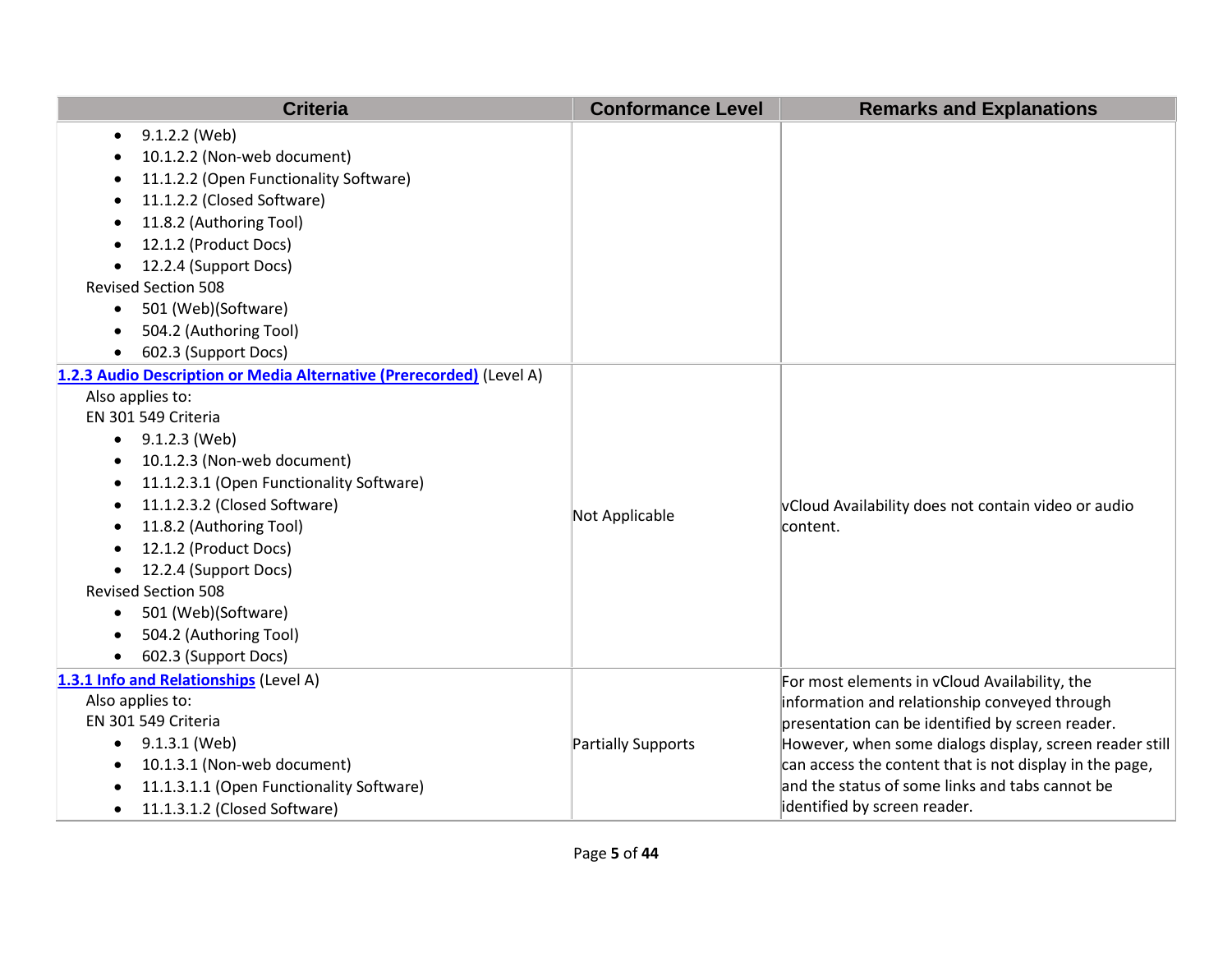| <b>Criteria</b>                                                      | <b>Conformance Level</b> | <b>Remarks and Explanations</b>                         |
|----------------------------------------------------------------------|--------------------------|---------------------------------------------------------|
| 9.1.2.2 (Web)<br>$\bullet$                                           |                          |                                                         |
| 10.1.2.2 (Non-web document)                                          |                          |                                                         |
| 11.1.2.2 (Open Functionality Software)                               |                          |                                                         |
| 11.1.2.2 (Closed Software)                                           |                          |                                                         |
| 11.8.2 (Authoring Tool)                                              |                          |                                                         |
| 12.1.2 (Product Docs)                                                |                          |                                                         |
| 12.2.4 (Support Docs)                                                |                          |                                                         |
| <b>Revised Section 508</b>                                           |                          |                                                         |
| 501 (Web)(Software)<br>$\bullet$                                     |                          |                                                         |
| 504.2 (Authoring Tool)                                               |                          |                                                         |
| 602.3 (Support Docs)<br>$\bullet$                                    |                          |                                                         |
| 1.2.3 Audio Description or Media Alternative (Prerecorded) (Level A) |                          |                                                         |
| Also applies to:                                                     |                          |                                                         |
| EN 301 549 Criteria                                                  |                          |                                                         |
| $\bullet$ 9.1.2.3 (Web)                                              |                          |                                                         |
| 10.1.2.3 (Non-web document)                                          |                          |                                                         |
| 11.1.2.3.1 (Open Functionality Software)                             |                          |                                                         |
| 11.1.2.3.2 (Closed Software)                                         | Not Applicable           | vCloud Availability does not contain video or audio     |
| 11.8.2 (Authoring Tool)<br>$\bullet$                                 |                          | content.                                                |
| 12.1.2 (Product Docs)                                                |                          |                                                         |
| 12.2.4 (Support Docs)                                                |                          |                                                         |
| <b>Revised Section 508</b>                                           |                          |                                                         |
| 501 (Web)(Software)<br>$\bullet$                                     |                          |                                                         |
| 504.2 (Authoring Tool)                                               |                          |                                                         |
| 602.3 (Support Docs)                                                 |                          |                                                         |
| 1.3.1 Info and Relationships (Level A)                               |                          | For most elements in vCloud Availability, the           |
| Also applies to:                                                     |                          | information and relationship conveyed through           |
| EN 301 549 Criteria                                                  |                          | presentation can be identified by screen reader.        |
| 9.1.3.1 (Web)<br>$\bullet$                                           | Partially Supports       | However, when some dialogs display, screen reader still |
| 10.1.3.1 (Non-web document)                                          |                          | can access the content that is not display in the page, |
| 11.1.3.1.1 (Open Functionality Software)                             |                          | and the status of some links and tabs cannot be         |
| 11.1.3.1.2 (Closed Software)<br>$\bullet$                            |                          | identified by screen reader.                            |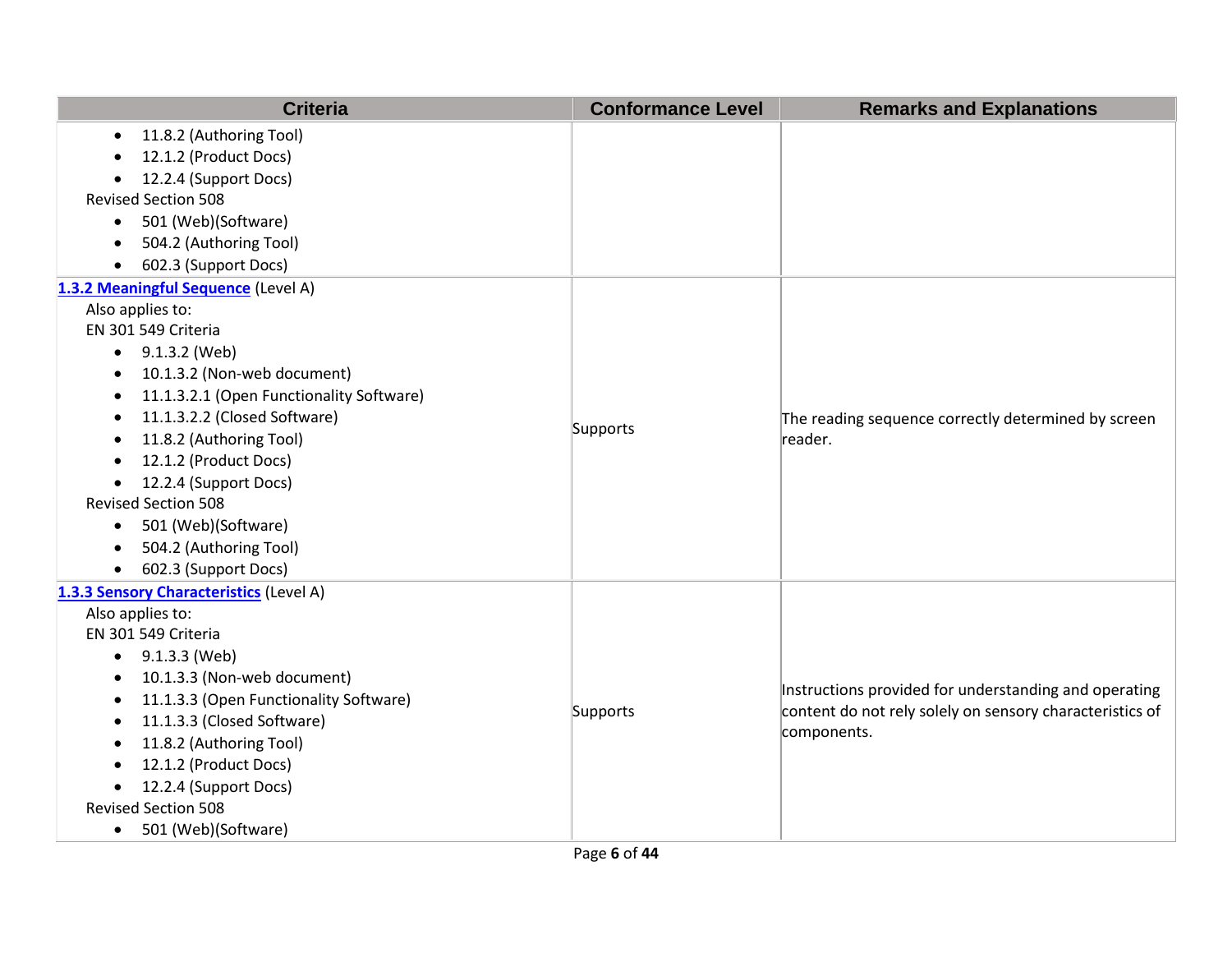| <b>Criteria</b>                                       | <b>Conformance Level</b> | <b>Remarks and Explanations</b>                                |
|-------------------------------------------------------|--------------------------|----------------------------------------------------------------|
| 11.8.2 (Authoring Tool)<br>$\bullet$                  |                          |                                                                |
| 12.1.2 (Product Docs)                                 |                          |                                                                |
| 12.2.4 (Support Docs)                                 |                          |                                                                |
| <b>Revised Section 508</b>                            |                          |                                                                |
| 501 (Web)(Software)<br>$\bullet$                      |                          |                                                                |
| 504.2 (Authoring Tool)                                |                          |                                                                |
| 602.3 (Support Docs)<br>$\bullet$                     |                          |                                                                |
| 1.3.2 Meaningful Sequence (Level A)                   |                          |                                                                |
| Also applies to:                                      |                          |                                                                |
| EN 301 549 Criteria                                   |                          |                                                                |
| 9.1.3.2 (Web)<br>$\bullet$                            |                          |                                                                |
| 10.1.3.2 (Non-web document)<br>$\bullet$              |                          |                                                                |
| 11.1.3.2.1 (Open Functionality Software)<br>$\bullet$ |                          | The reading sequence correctly determined by screen<br>reader. |
| 11.1.3.2.2 (Closed Software)<br>$\bullet$             |                          |                                                                |
| 11.8.2 (Authoring Tool)<br>$\bullet$                  | Supports                 |                                                                |
| 12.1.2 (Product Docs)<br>$\bullet$                    |                          |                                                                |
| 12.2.4 (Support Docs)                                 |                          |                                                                |
| <b>Revised Section 508</b>                            |                          |                                                                |
| 501 (Web)(Software)<br>$\bullet$                      |                          |                                                                |
| 504.2 (Authoring Tool)<br>$\bullet$                   |                          |                                                                |
| 602.3 (Support Docs)<br>$\bullet$                     |                          |                                                                |
| 1.3.3 Sensory Characteristics (Level A)               |                          |                                                                |
| Also applies to:                                      |                          |                                                                |
| EN 301 549 Criteria                                   |                          |                                                                |
| 9.1.3.3 (Web)<br>$\bullet$                            |                          |                                                                |
| 10.1.3.3 (Non-web document)<br>$\bullet$              |                          | Instructions provided for understanding and operating          |
| 11.1.3.3 (Open Functionality Software)<br>$\bullet$   | Supports                 | content do not rely solely on sensory characteristics of       |
| 11.1.3.3 (Closed Software)<br>$\bullet$               |                          | components.                                                    |
| 11.8.2 (Authoring Tool)<br>$\bullet$                  |                          |                                                                |
| 12.1.2 (Product Docs)                                 |                          |                                                                |
| 12.2.4 (Support Docs)<br>$\bullet$                    |                          |                                                                |
| <b>Revised Section 508</b>                            |                          |                                                                |
| 501 (Web)(Software)<br>$\bullet$                      |                          |                                                                |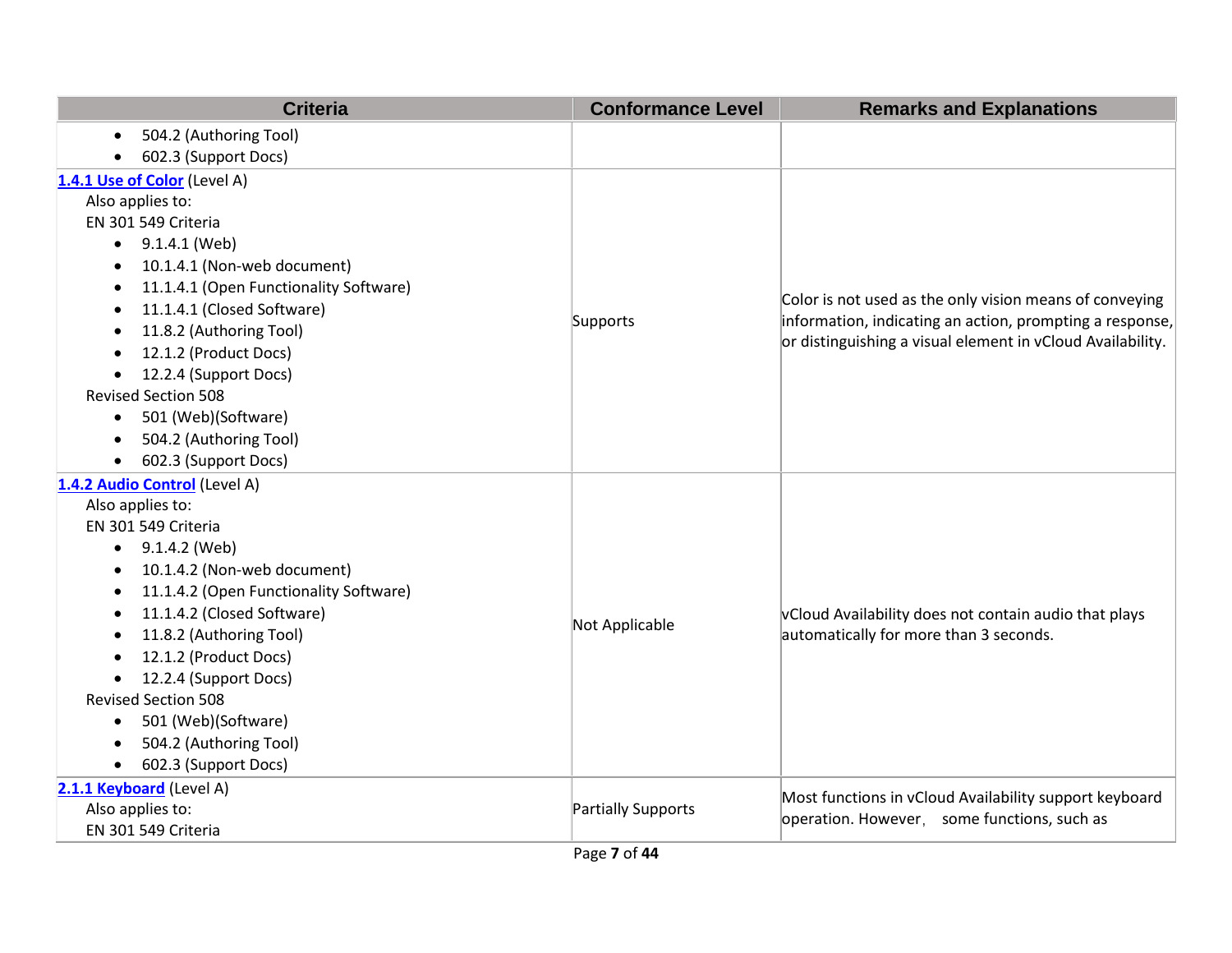| <b>Criteria</b>                                     | <b>Conformance Level</b>  | <b>Remarks and Explanations</b>                            |
|-----------------------------------------------------|---------------------------|------------------------------------------------------------|
| 504.2 (Authoring Tool)<br>$\bullet$                 |                           |                                                            |
| 602.3 (Support Docs)<br>$\bullet$                   |                           |                                                            |
| 1.4.1 Use of Color (Level A)                        |                           |                                                            |
| Also applies to:                                    |                           |                                                            |
| EN 301 549 Criteria                                 |                           |                                                            |
| 9.1.4.1 (Web)<br>$\bullet$                          |                           |                                                            |
| 10.1.4.1 (Non-web document)<br>$\bullet$            |                           |                                                            |
| 11.1.4.1 (Open Functionality Software)<br>$\bullet$ |                           | Color is not used as the only vision means of conveying    |
| 11.1.4.1 (Closed Software)                          | Supports                  | information, indicating an action, prompting a response,   |
| 11.8.2 (Authoring Tool)<br>$\bullet$                |                           | or distinguishing a visual element in vCloud Availability. |
| 12.1.2 (Product Docs)                               |                           |                                                            |
| 12.2.4 (Support Docs)<br>$\bullet$                  |                           |                                                            |
| <b>Revised Section 508</b>                          |                           |                                                            |
| 501 (Web)(Software)<br>$\bullet$                    |                           |                                                            |
| 504.2 (Authoring Tool)<br>$\bullet$                 |                           |                                                            |
| 602.3 (Support Docs)<br>$\bullet$                   |                           |                                                            |
| 1.4.2 Audio Control (Level A)                       |                           |                                                            |
| Also applies to:                                    |                           |                                                            |
| EN 301 549 Criteria                                 |                           |                                                            |
| 9.1.4.2 (Web)<br>$\bullet$                          |                           |                                                            |
| 10.1.4.2 (Non-web document)<br>$\bullet$            |                           |                                                            |
| 11.1.4.2 (Open Functionality Software)<br>$\bullet$ |                           |                                                            |
| 11.1.4.2 (Closed Software)<br>$\bullet$             | Not Applicable            | vCloud Availability does not contain audio that plays      |
| 11.8.2 (Authoring Tool)                             |                           | automatically for more than 3 seconds.                     |
| 12.1.2 (Product Docs)                               |                           |                                                            |
| 12.2.4 (Support Docs)<br>$\bullet$                  |                           |                                                            |
| <b>Revised Section 508</b>                          |                           |                                                            |
| 501 (Web)(Software)<br>$\bullet$                    |                           |                                                            |
| 504.2 (Authoring Tool)<br>$\bullet$                 |                           |                                                            |
| 602.3 (Support Docs)<br>$\bullet$                   |                           |                                                            |
| 2.1.1 Keyboard (Level A)                            |                           | Most functions in vCloud Availability support keyboard     |
| Also applies to:                                    | <b>Partially Supports</b> | operation. However, some functions, such as                |
| EN 301 549 Criteria                                 |                           |                                                            |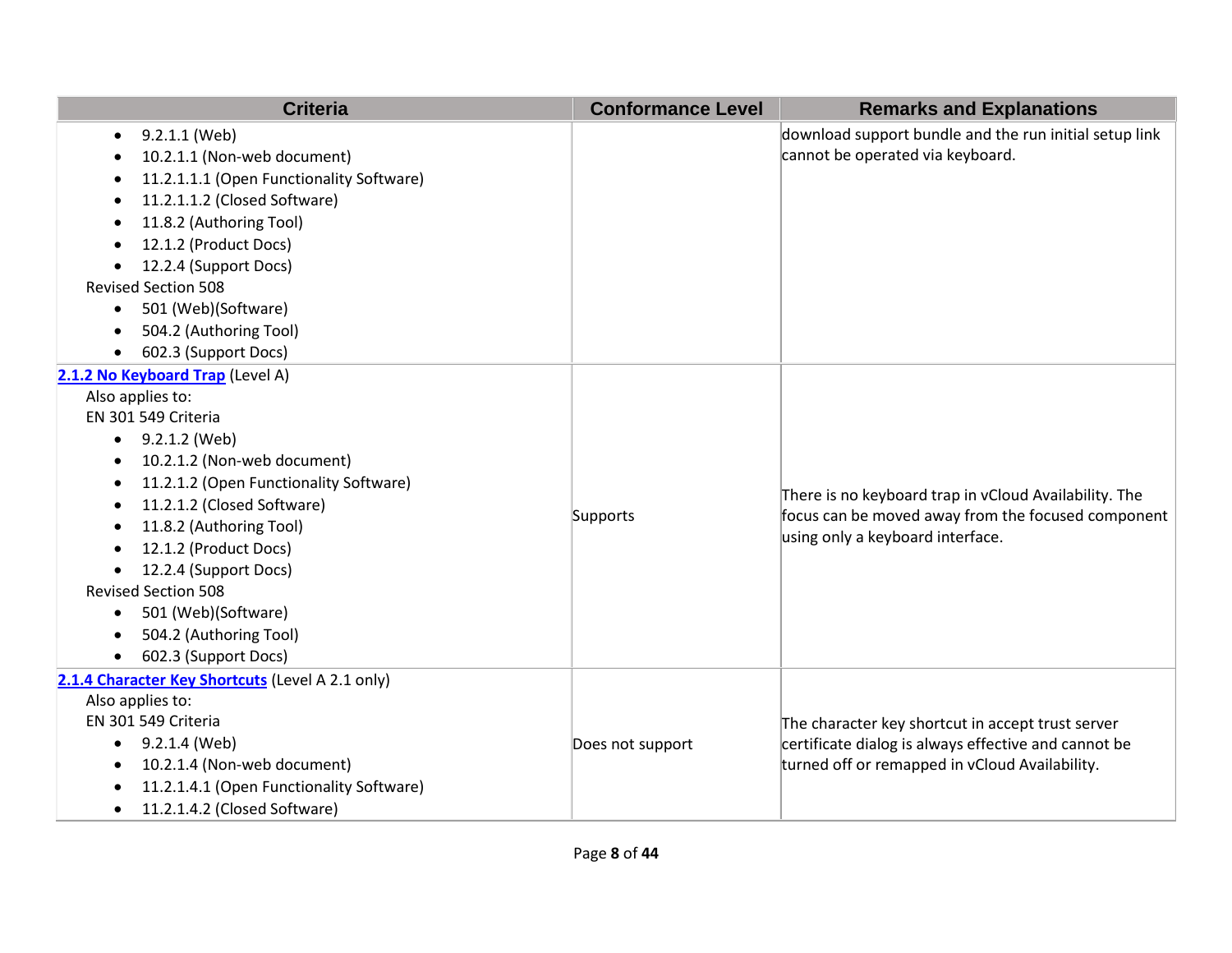| <b>Criteria</b>                                                                                                                                                                                                                                                                                                                                                                                                                                                            | <b>Conformance Level</b> | <b>Remarks and Explanations</b>                                                                                                                             |
|----------------------------------------------------------------------------------------------------------------------------------------------------------------------------------------------------------------------------------------------------------------------------------------------------------------------------------------------------------------------------------------------------------------------------------------------------------------------------|--------------------------|-------------------------------------------------------------------------------------------------------------------------------------------------------------|
| 9.2.1.1 (Web)<br>$\bullet$<br>10.2.1.1 (Non-web document)<br>$\bullet$<br>11.2.1.1.1 (Open Functionality Software)<br>11.2.1.1.2 (Closed Software)<br>11.8.2 (Authoring Tool)<br>$\bullet$<br>12.1.2 (Product Docs)<br>$\bullet$<br>12.2.4 (Support Docs)<br><b>Revised Section 508</b><br>501 (Web)(Software)<br>$\bullet$<br>504.2 (Authoring Tool)<br>$\bullet$<br>602.3 (Support Docs)<br>$\bullet$                                                                    |                          | download support bundle and the run initial setup link<br>cannot be operated via keyboard.                                                                  |
| 2.1.2 No Keyboard Trap (Level A)<br>Also applies to:<br>EN 301 549 Criteria<br>9.2.1.2 (Web)<br>$\bullet$<br>10.2.1.2 (Non-web document)<br>٠<br>11.2.1.2 (Open Functionality Software)<br>$\bullet$<br>11.2.1.2 (Closed Software)<br>$\bullet$<br>11.8.2 (Authoring Tool)<br>$\bullet$<br>12.1.2 (Product Docs)<br>12.2.4 (Support Docs)<br><b>Revised Section 508</b><br>501 (Web)(Software)<br>$\bullet$<br>504.2 (Authoring Tool)<br>$\bullet$<br>602.3 (Support Docs) | Supports                 | There is no keyboard trap in vCloud Availability. The<br>focus can be moved away from the focused component<br>using only a keyboard interface.             |
| 2.1.4 Character Key Shortcuts (Level A 2.1 only)<br>Also applies to:<br>EN 301 549 Criteria<br>9.2.1.4 (Web)<br>$\bullet$<br>10.2.1.4 (Non-web document)<br>$\bullet$<br>11.2.1.4.1 (Open Functionality Software)<br>$\bullet$<br>11.2.1.4.2 (Closed Software)<br>$\bullet$                                                                                                                                                                                                | Does not support         | The character key shortcut in accept trust server<br>certificate dialog is always effective and cannot be<br>turned off or remapped in vCloud Availability. |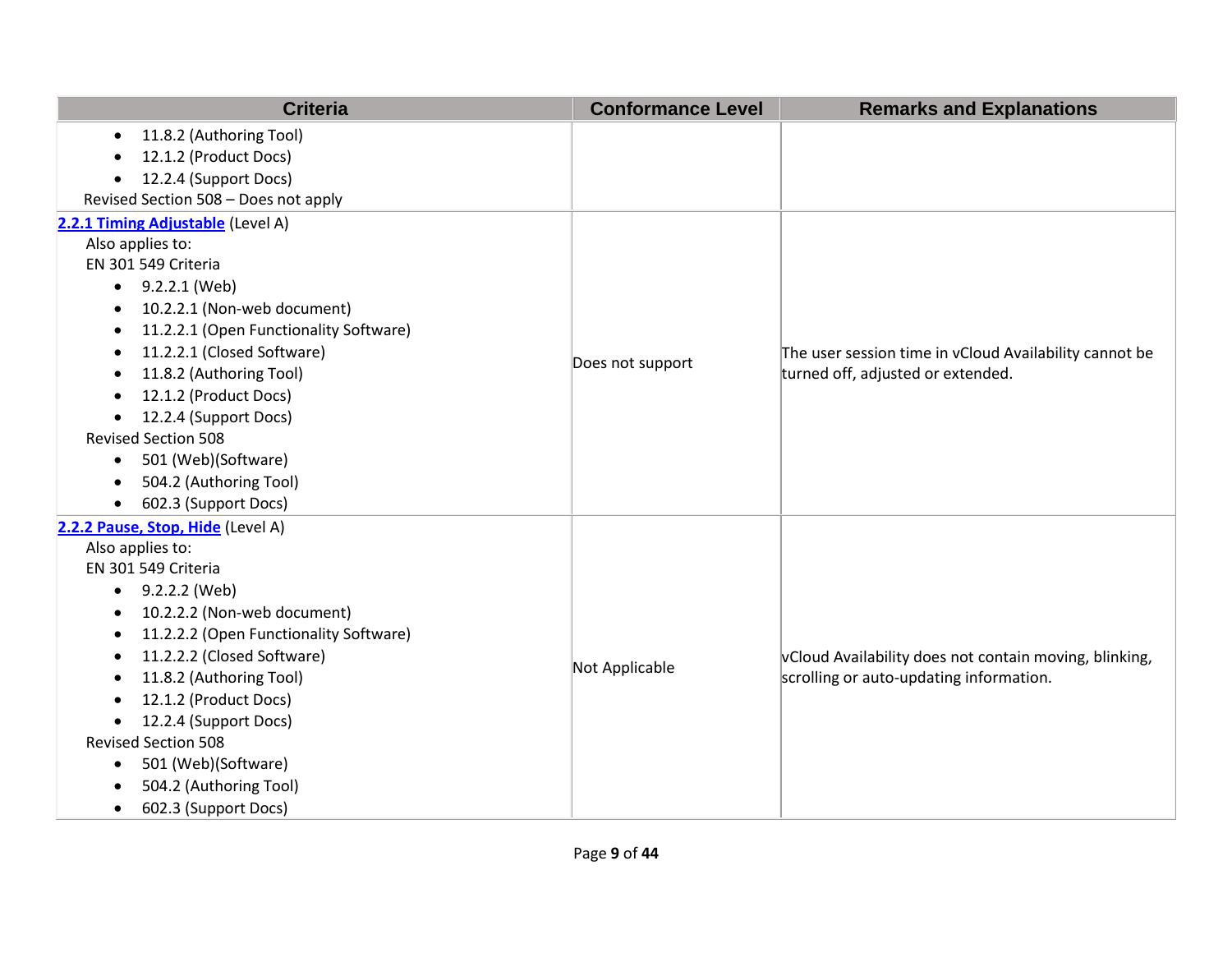| <b>Criteria</b>                                     | <b>Conformance Level</b> | <b>Remarks and Explanations</b>                        |
|-----------------------------------------------------|--------------------------|--------------------------------------------------------|
| 11.8.2 (Authoring Tool)<br>$\bullet$                |                          |                                                        |
| 12.1.2 (Product Docs)                               |                          |                                                        |
| 12.2.4 (Support Docs)                               |                          |                                                        |
| Revised Section 508 - Does not apply                |                          |                                                        |
| 2.2.1 Timing Adjustable (Level A)                   |                          |                                                        |
| Also applies to:                                    |                          |                                                        |
| EN 301 549 Criteria                                 |                          |                                                        |
| 9.2.2.1 (Web)<br>$\bullet$                          |                          |                                                        |
| 10.2.2.1 (Non-web document)<br>$\bullet$            |                          |                                                        |
| 11.2.2.1 (Open Functionality Software)<br>$\bullet$ |                          |                                                        |
| 11.2.2.1 (Closed Software)<br>$\bullet$             | Does not support         | The user session time in vCloud Availability cannot be |
| 11.8.2 (Authoring Tool)                             |                          | turned off, adjusted or extended.                      |
| 12.1.2 (Product Docs)                               |                          |                                                        |
| 12.2.4 (Support Docs)<br>$\bullet$                  |                          |                                                        |
| <b>Revised Section 508</b>                          |                          |                                                        |
| 501 (Web)(Software)<br>$\bullet$                    |                          |                                                        |
| 504.2 (Authoring Tool)<br>$\bullet$                 |                          |                                                        |
| 602.3 (Support Docs)<br>$\bullet$                   |                          |                                                        |
| 2.2.2 Pause, Stop, Hide (Level A)                   |                          |                                                        |
| Also applies to:                                    |                          |                                                        |
| EN 301 549 Criteria                                 |                          |                                                        |
| 9.2.2.2 (Web)<br>$\bullet$                          |                          |                                                        |
| 10.2.2.2 (Non-web document)<br>$\bullet$            |                          |                                                        |
| 11.2.2.2 (Open Functionality Software)<br>$\bullet$ |                          |                                                        |
| 11.2.2.2 (Closed Software)<br>$\bullet$             | Not Applicable           | vCloud Availability does not contain moving, blinking, |
| 11.8.2 (Authoring Tool)<br>$\bullet$                |                          | scrolling or auto-updating information.                |
| 12.1.2 (Product Docs)<br>$\bullet$                  |                          |                                                        |
| 12.2.4 (Support Docs)<br>$\bullet$                  |                          |                                                        |
| <b>Revised Section 508</b>                          |                          |                                                        |
| 501 (Web)(Software)<br>$\bullet$                    |                          |                                                        |
| 504.2 (Authoring Tool)<br>$\bullet$                 |                          |                                                        |
| 602.3 (Support Docs)<br>$\bullet$                   |                          |                                                        |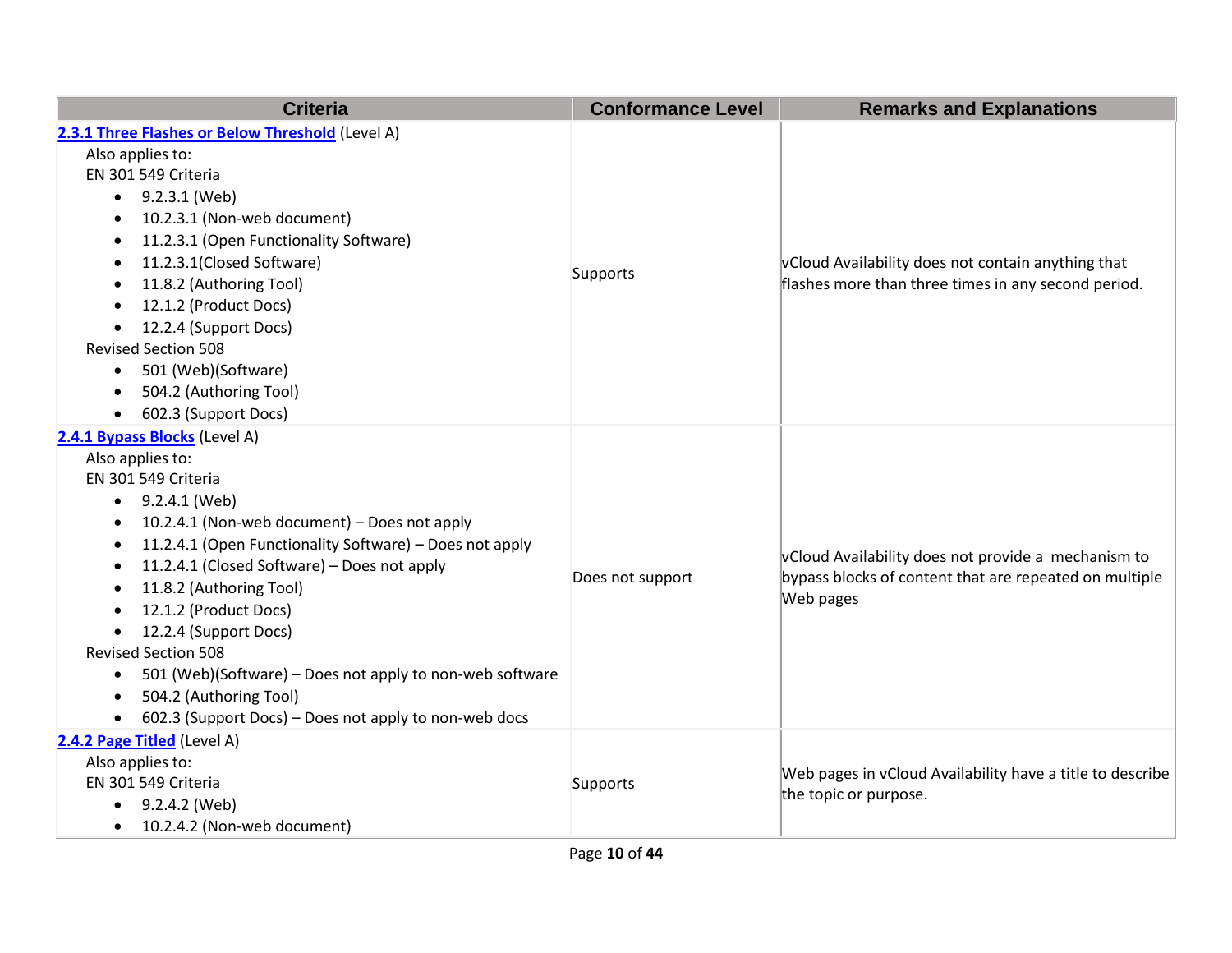| <b>Criteria</b>                                                      | <b>Conformance Level</b> | <b>Remarks and Explanations</b>                           |
|----------------------------------------------------------------------|--------------------------|-----------------------------------------------------------|
| 2.3.1 Three Flashes or Below Threshold (Level A)                     |                          |                                                           |
| Also applies to:                                                     |                          |                                                           |
| EN 301 549 Criteria                                                  |                          |                                                           |
| 9.2.3.1 (Web)<br>$\bullet$                                           |                          |                                                           |
| 10.2.3.1 (Non-web document)<br>$\bullet$                             |                          |                                                           |
| 11.2.3.1 (Open Functionality Software)<br>٠                          |                          |                                                           |
| 11.2.3.1(Closed Software)<br>٠                                       |                          | vCloud Availability does not contain anything that        |
| 11.8.2 (Authoring Tool)<br>٠                                         | Supports                 | flashes more than three times in any second period.       |
| 12.1.2 (Product Docs)<br>$\bullet$                                   |                          |                                                           |
| 12.2.4 (Support Docs)<br>$\bullet$                                   |                          |                                                           |
| <b>Revised Section 508</b>                                           |                          |                                                           |
| 501 (Web)(Software)<br>$\bullet$                                     |                          |                                                           |
| 504.2 (Authoring Tool)<br>$\bullet$                                  |                          |                                                           |
| 602.3 (Support Docs)<br>$\bullet$                                    |                          |                                                           |
| 2.4.1 Bypass Blocks (Level A)                                        |                          |                                                           |
| Also applies to:                                                     |                          | vCloud Availability does not provide a mechanism to       |
| EN 301 549 Criteria                                                  |                          |                                                           |
| 9.2.4.1 (Web)<br>$\bullet$                                           |                          |                                                           |
| 10.2.4.1 (Non-web document) - Does not apply<br>٠                    |                          |                                                           |
| 11.2.4.1 (Open Functionality Software) - Does not apply<br>$\bullet$ |                          |                                                           |
| 11.2.4.1 (Closed Software) - Does not apply<br>$\bullet$             | Does not support         | bypass blocks of content that are repeated on multiple    |
| 11.8.2 (Authoring Tool)<br>٠                                         |                          | Web pages                                                 |
| 12.1.2 (Product Docs)<br>$\bullet$                                   |                          |                                                           |
| 12.2.4 (Support Docs)                                                |                          |                                                           |
| <b>Revised Section 508</b>                                           |                          |                                                           |
| 501 (Web)(Software) - Does not apply to non-web software<br>٠        |                          |                                                           |
| 504.2 (Authoring Tool)<br>$\bullet$                                  |                          |                                                           |
| 602.3 (Support Docs) - Does not apply to non-web docs<br>$\bullet$   |                          |                                                           |
| 2.4.2 Page Titled (Level A)                                          |                          |                                                           |
| Also applies to:                                                     | Supports                 | Web pages in vCloud Availability have a title to describe |
| EN 301 549 Criteria                                                  |                          | the topic or purpose.                                     |
| 9.2.4.2 (Web)                                                        |                          |                                                           |
| 10.2.4.2 (Non-web document)<br>$\bullet$                             |                          |                                                           |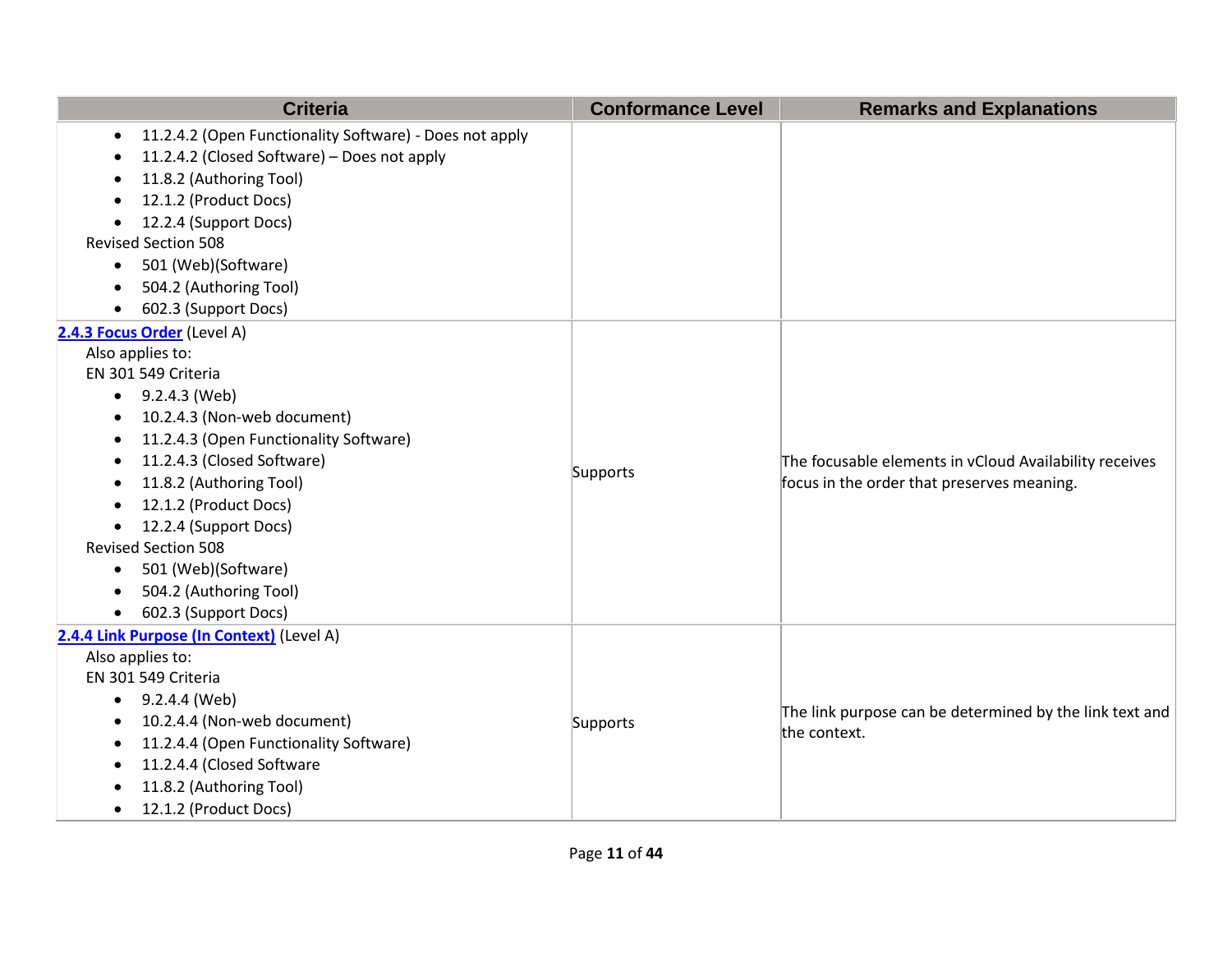| <b>Criteria</b>                                                      | <b>Conformance Level</b> | <b>Remarks and Explanations</b>                                                                      |
|----------------------------------------------------------------------|--------------------------|------------------------------------------------------------------------------------------------------|
| 11.2.4.2 (Open Functionality Software) - Does not apply<br>$\bullet$ |                          |                                                                                                      |
| 11.2.4.2 (Closed Software) - Does not apply                          |                          |                                                                                                      |
| 11.8.2 (Authoring Tool)                                              |                          |                                                                                                      |
| 12.1.2 (Product Docs)<br>$\bullet$                                   |                          |                                                                                                      |
| 12.2.4 (Support Docs)<br>$\bullet$                                   |                          |                                                                                                      |
| <b>Revised Section 508</b>                                           |                          |                                                                                                      |
| 501 (Web)(Software)<br>$\bullet$                                     |                          |                                                                                                      |
| 504.2 (Authoring Tool)                                               |                          |                                                                                                      |
| 602.3 (Support Docs)<br>$\bullet$                                    |                          |                                                                                                      |
| 2.4.3 Focus Order (Level A)                                          |                          |                                                                                                      |
| Also applies to:                                                     |                          |                                                                                                      |
| EN 301 549 Criteria                                                  |                          |                                                                                                      |
| 9.2.4.3 (Web)<br>$\bullet$                                           |                          | The focusable elements in vCloud Availability receives<br>focus in the order that preserves meaning. |
| 10.2.4.3 (Non-web document)<br>٠                                     |                          |                                                                                                      |
| 11.2.4.3 (Open Functionality Software)<br>$\bullet$                  |                          |                                                                                                      |
| 11.2.4.3 (Closed Software)<br>٠                                      | Supports                 |                                                                                                      |
| 11.8.2 (Authoring Tool)<br>$\bullet$                                 |                          |                                                                                                      |
| 12.1.2 (Product Docs)<br>$\bullet$                                   |                          |                                                                                                      |
| 12.2.4 (Support Docs)<br>$\bullet$                                   |                          |                                                                                                      |
| <b>Revised Section 508</b>                                           |                          |                                                                                                      |
| 501 (Web)(Software)                                                  |                          |                                                                                                      |
| 504.2 (Authoring Tool)<br>$\bullet$                                  |                          |                                                                                                      |
| 602.3 (Support Docs)<br>$\bullet$                                    |                          |                                                                                                      |
| 2.4.4 Link Purpose (In Context) (Level A)                            |                          |                                                                                                      |
| Also applies to:                                                     |                          |                                                                                                      |
| EN 301 549 Criteria                                                  |                          |                                                                                                      |
| 9.2.4.4 (Web)<br>$\bullet$                                           |                          | The link purpose can be determined by the link text and                                              |
| 10.2.4.4 (Non-web document)<br>$\bullet$                             | Supports                 | the context.                                                                                         |
| 11.2.4.4 (Open Functionality Software)<br>$\bullet$                  |                          |                                                                                                      |
| 11.2.4.4 (Closed Software                                            |                          |                                                                                                      |
| 11.8.2 (Authoring Tool)                                              |                          |                                                                                                      |
| 12.1.2 (Product Docs)<br>$\bullet$                                   |                          |                                                                                                      |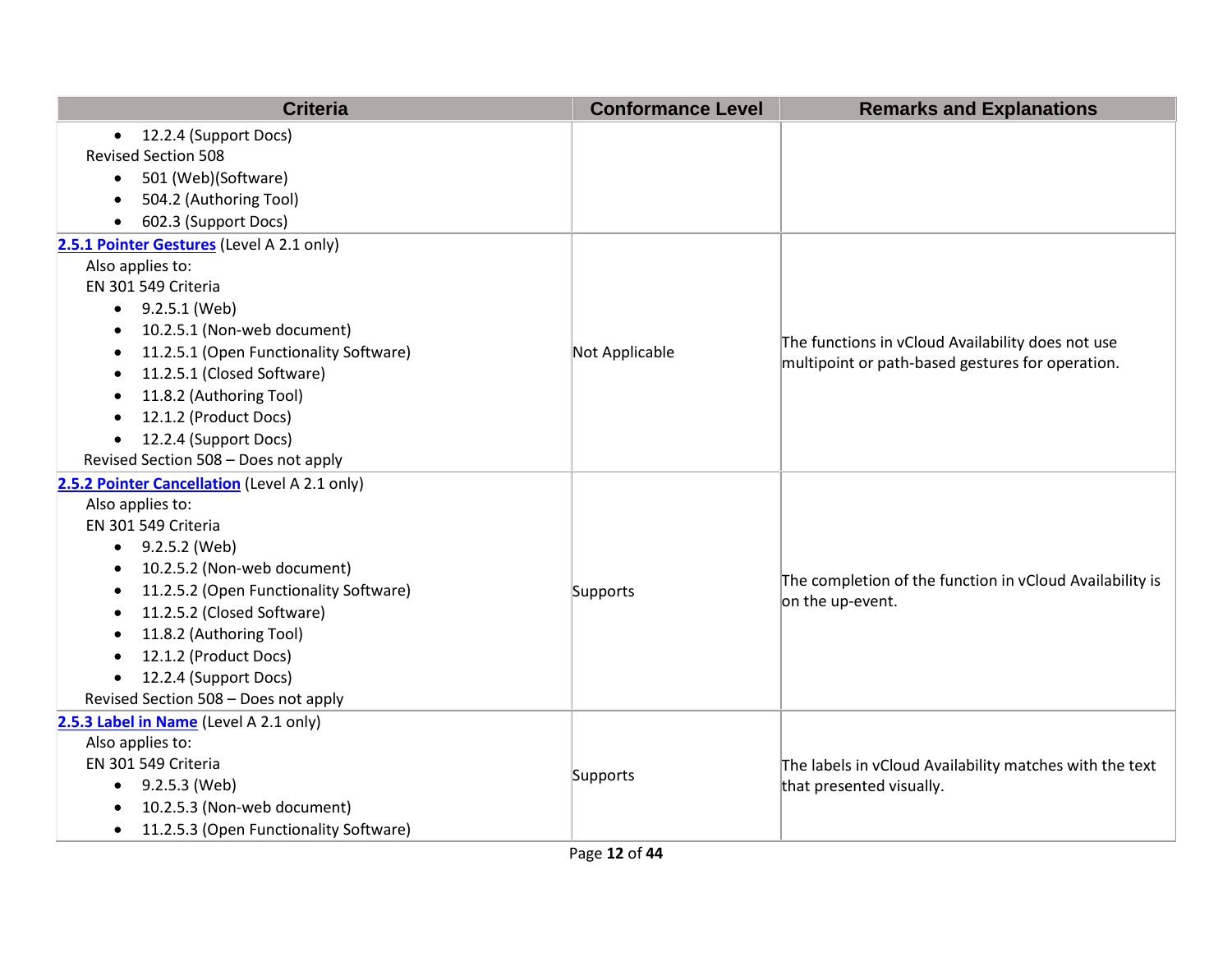| <b>Criteria</b>                                     | <b>Conformance Level</b> | <b>Remarks and Explanations</b>                                              |
|-----------------------------------------------------|--------------------------|------------------------------------------------------------------------------|
| • 12.2.4 (Support Docs)                             |                          |                                                                              |
| <b>Revised Section 508</b>                          |                          |                                                                              |
| 501 (Web)(Software)<br>$\bullet$                    |                          |                                                                              |
| 504.2 (Authoring Tool)                              |                          |                                                                              |
| 602.3 (Support Docs)                                |                          |                                                                              |
| 2.5.1 Pointer Gestures (Level A 2.1 only)           |                          |                                                                              |
| Also applies to:                                    |                          |                                                                              |
| EN 301 549 Criteria                                 |                          |                                                                              |
| $\bullet$ 9.2.5.1 (Web)                             |                          |                                                                              |
| 10.2.5.1 (Non-web document)<br>$\bullet$            |                          |                                                                              |
| 11.2.5.1 (Open Functionality Software)              | Not Applicable           | The functions in vCloud Availability does not use                            |
| 11.2.5.1 (Closed Software)                          |                          | multipoint or path-based gestures for operation.                             |
| 11.8.2 (Authoring Tool)                             |                          |                                                                              |
| 12.1.2 (Product Docs)<br>$\bullet$                  |                          |                                                                              |
| 12.2.4 (Support Docs)<br>$\bullet$                  |                          |                                                                              |
| Revised Section 508 - Does not apply                |                          |                                                                              |
| 2.5.2 Pointer Cancellation (Level A 2.1 only)       |                          |                                                                              |
| Also applies to:                                    |                          |                                                                              |
| EN 301 549 Criteria                                 |                          |                                                                              |
| $\bullet$ 9.2.5.2 (Web)                             |                          |                                                                              |
| 10.2.5.2 (Non-web document)<br>$\bullet$            |                          | The completion of the function in vCloud Availability is<br>on the up-event. |
| 11.2.5.2 (Open Functionality Software)              | Supports                 |                                                                              |
| 11.2.5.2 (Closed Software)                          |                          |                                                                              |
| 11.8.2 (Authoring Tool)                             |                          |                                                                              |
| 12.1.2 (Product Docs)<br>$\bullet$                  |                          |                                                                              |
| 12.2.4 (Support Docs)<br>$\bullet$                  |                          |                                                                              |
| Revised Section 508 - Does not apply                |                          |                                                                              |
| 2.5.3 Label in Name (Level A 2.1 only)              |                          |                                                                              |
| Also applies to:                                    |                          |                                                                              |
| EN 301 549 Criteria                                 | Supports                 | The labels in vCloud Availability matches with the text                      |
| $\bullet$ 9.2.5.3 (Web)                             |                          | that presented visually.                                                     |
| 10.2.5.3 (Non-web document)                         |                          |                                                                              |
| 11.2.5.3 (Open Functionality Software)<br>$\bullet$ |                          |                                                                              |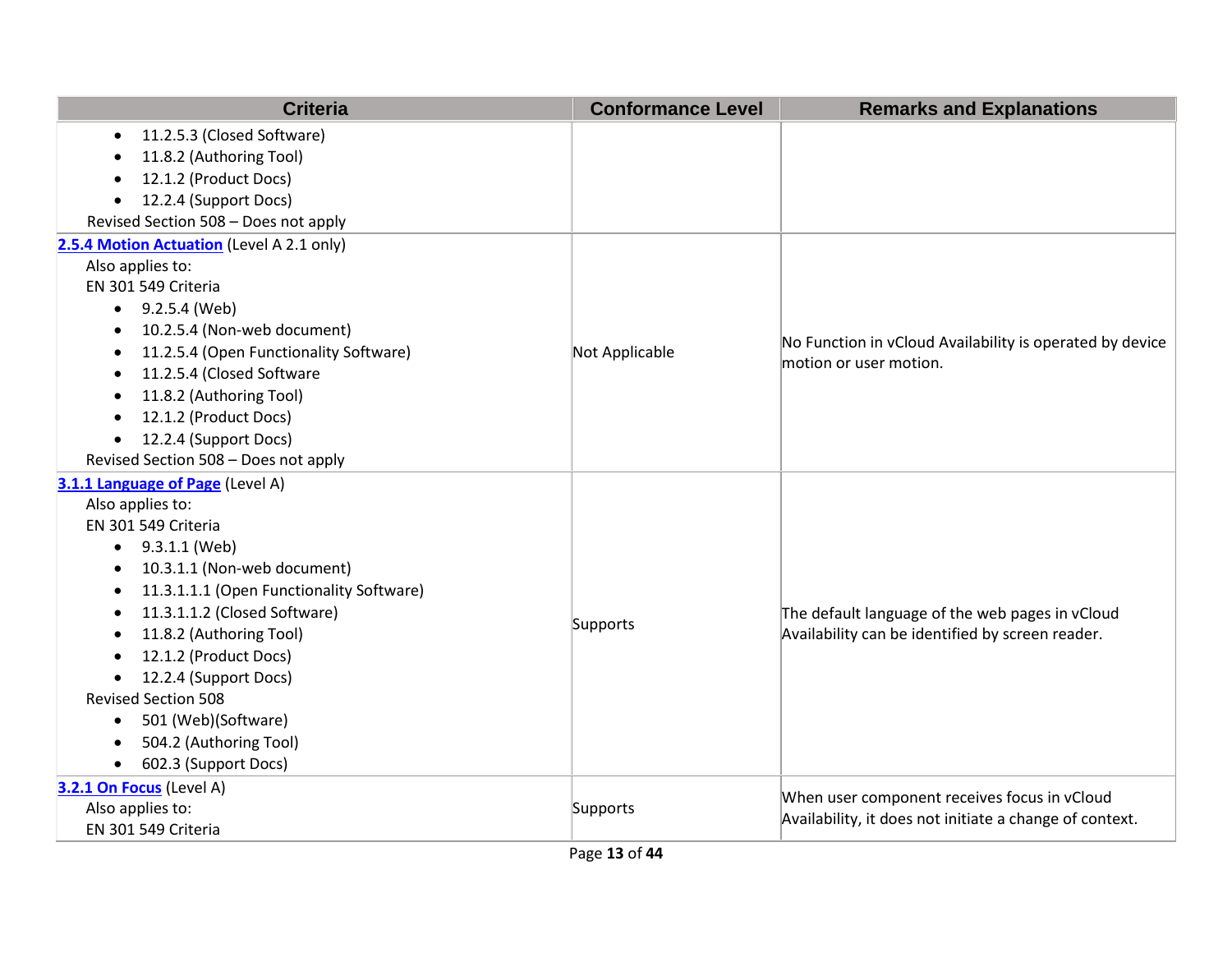| <b>Criteria</b>                                       | <b>Conformance Level</b> | <b>Remarks and Explanations</b>                                                    |
|-------------------------------------------------------|--------------------------|------------------------------------------------------------------------------------|
| 11.2.5.3 (Closed Software)<br>$\bullet$               |                          |                                                                                    |
| 11.8.2 (Authoring Tool)                               |                          |                                                                                    |
| 12.1.2 (Product Docs)<br>$\bullet$                    |                          |                                                                                    |
| 12.2.4 (Support Docs)<br>$\bullet$                    |                          |                                                                                    |
| Revised Section 508 - Does not apply                  |                          |                                                                                    |
| 2.5.4 Motion Actuation (Level A 2.1 only)             |                          |                                                                                    |
| Also applies to:                                      |                          |                                                                                    |
| EN 301 549 Criteria                                   |                          |                                                                                    |
| $\bullet$ 9.2.5.4 (Web)                               |                          |                                                                                    |
| 10.2.5.4 (Non-web document)<br>$\bullet$              |                          |                                                                                    |
| 11.2.5.4 (Open Functionality Software)                | Not Applicable           | No Function in vCloud Availability is operated by device<br>motion or user motion. |
| 11.2.5.4 (Closed Software<br>$\bullet$                |                          |                                                                                    |
| 11.8.2 (Authoring Tool)<br>$\bullet$                  |                          |                                                                                    |
| 12.1.2 (Product Docs)<br>$\bullet$                    |                          |                                                                                    |
| 12.2.4 (Support Docs)<br>$\bullet$                    |                          |                                                                                    |
| Revised Section 508 - Does not apply                  |                          |                                                                                    |
| 3.1.1 Language of Page (Level A)                      |                          |                                                                                    |
| Also applies to:                                      |                          |                                                                                    |
| EN 301 549 Criteria                                   |                          |                                                                                    |
| 9.3.1.1 (Web)<br>$\bullet$                            |                          |                                                                                    |
| 10.3.1.1 (Non-web document)<br>$\bullet$              |                          |                                                                                    |
| 11.3.1.1.1 (Open Functionality Software)<br>$\bullet$ |                          |                                                                                    |
| 11.3.1.1.2 (Closed Software)<br>$\bullet$             | Supports                 | The default language of the web pages in vCloud                                    |
| 11.8.2 (Authoring Tool)<br>$\bullet$                  |                          | Availability can be identified by screen reader.                                   |
| 12.1.2 (Product Docs)                                 |                          |                                                                                    |
| 12.2.4 (Support Docs)<br>$\bullet$                    |                          |                                                                                    |
| <b>Revised Section 508</b>                            |                          |                                                                                    |
| 501 (Web)(Software)<br>٠                              |                          |                                                                                    |
| 504.2 (Authoring Tool)<br>$\bullet$                   |                          |                                                                                    |
| 602.3 (Support Docs)<br>$\bullet$                     |                          |                                                                                    |
| 3.2.1 On Focus (Level A)                              |                          | When user component receives focus in vCloud                                       |
| Also applies to:                                      | Supports                 | Availability, it does not initiate a change of context.                            |
| EN 301 549 Criteria                                   |                          |                                                                                    |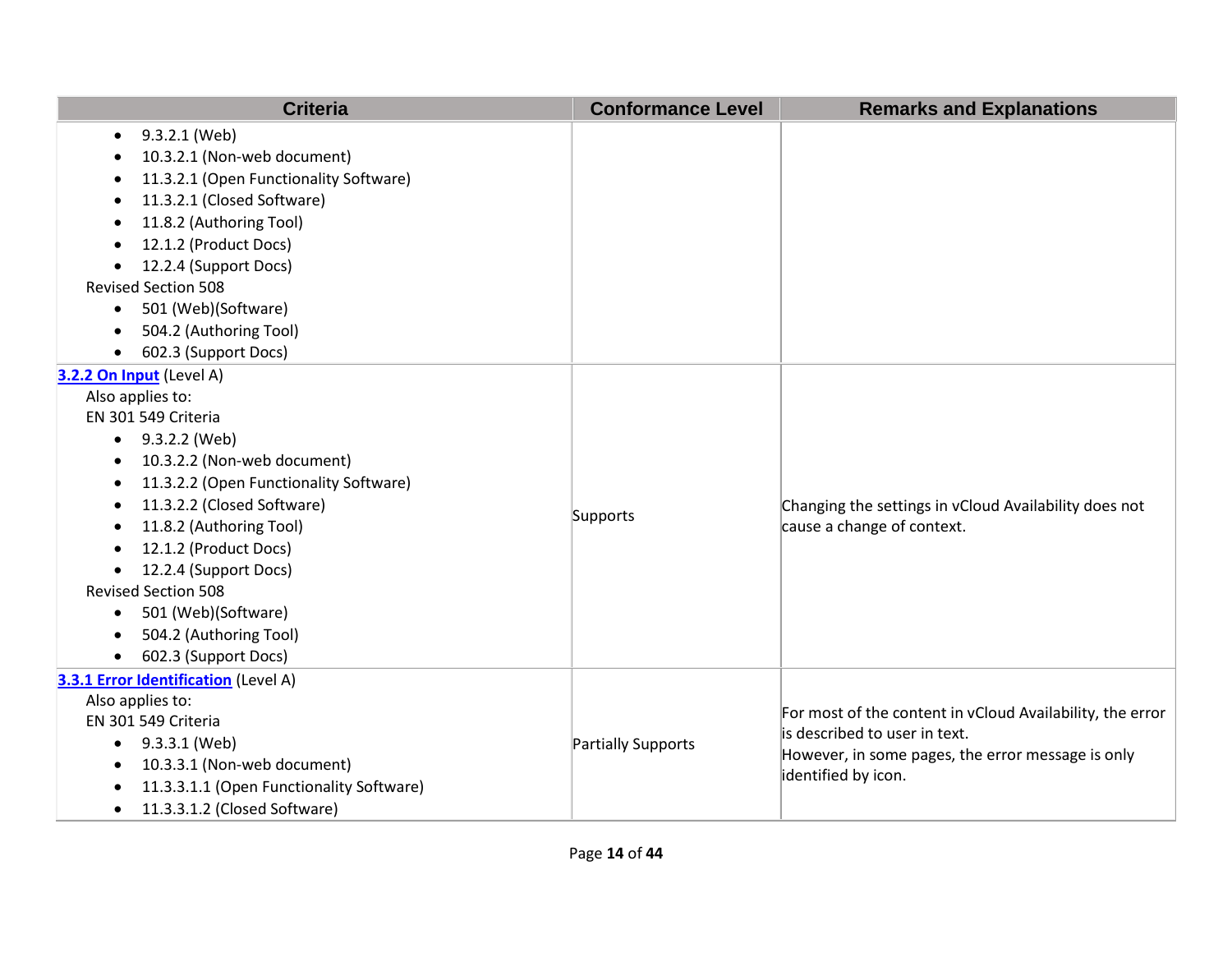| <b>Criteria</b>                             | <b>Conformance Level</b> | <b>Remarks and Explanations</b>                           |
|---------------------------------------------|--------------------------|-----------------------------------------------------------|
| 9.3.2.1 (Web)<br>$\bullet$                  |                          |                                                           |
| 10.3.2.1 (Non-web document)                 |                          |                                                           |
| 11.3.2.1 (Open Functionality Software)      |                          |                                                           |
| 11.3.2.1 (Closed Software)                  |                          |                                                           |
| 11.8.2 (Authoring Tool)                     |                          |                                                           |
| 12.1.2 (Product Docs)<br>$\bullet$          |                          |                                                           |
| 12.2.4 (Support Docs)                       |                          |                                                           |
| <b>Revised Section 508</b>                  |                          |                                                           |
| 501 (Web)(Software)<br>$\bullet$            |                          |                                                           |
| 504.2 (Authoring Tool)                      |                          |                                                           |
| 602.3 (Support Docs)                        |                          |                                                           |
| 3.2.2 On Input (Level A)                    |                          |                                                           |
| Also applies to:                            |                          |                                                           |
| EN 301 549 Criteria                         |                          |                                                           |
| $\bullet$ 9.3.2.2 (Web)                     |                          |                                                           |
| 10.3.2.2 (Non-web document)<br>٠            |                          |                                                           |
| 11.3.2.2 (Open Functionality Software)<br>٠ |                          |                                                           |
| 11.3.2.2 (Closed Software)<br>$\bullet$     | Supports                 | Changing the settings in vCloud Availability does not     |
| 11.8.2 (Authoring Tool)<br>$\bullet$        |                          | cause a change of context.                                |
| 12.1.2 (Product Docs)                       |                          |                                                           |
| 12.2.4 (Support Docs)                       |                          |                                                           |
| <b>Revised Section 508</b>                  |                          |                                                           |
| 501 (Web)(Software)<br>$\bullet$            |                          |                                                           |
| 504.2 (Authoring Tool)                      |                          |                                                           |
| 602.3 (Support Docs)                        |                          |                                                           |
| 3.3.1 Error Identification (Level A)        |                          |                                                           |
| Also applies to:                            |                          | For most of the content in vCloud Availability, the error |
| EN 301 549 Criteria                         | Partially Supports       | is described to user in text.                             |
| 9.3.3.1 (Web)<br>$\bullet$                  |                          | However, in some pages, the error message is only         |
| 10.3.3.1 (Non-web document)                 |                          | identified by icon.                                       |
| 11.3.3.1.1 (Open Functionality Software)    |                          |                                                           |
| 11.3.3.1.2 (Closed Software)<br>$\bullet$   |                          |                                                           |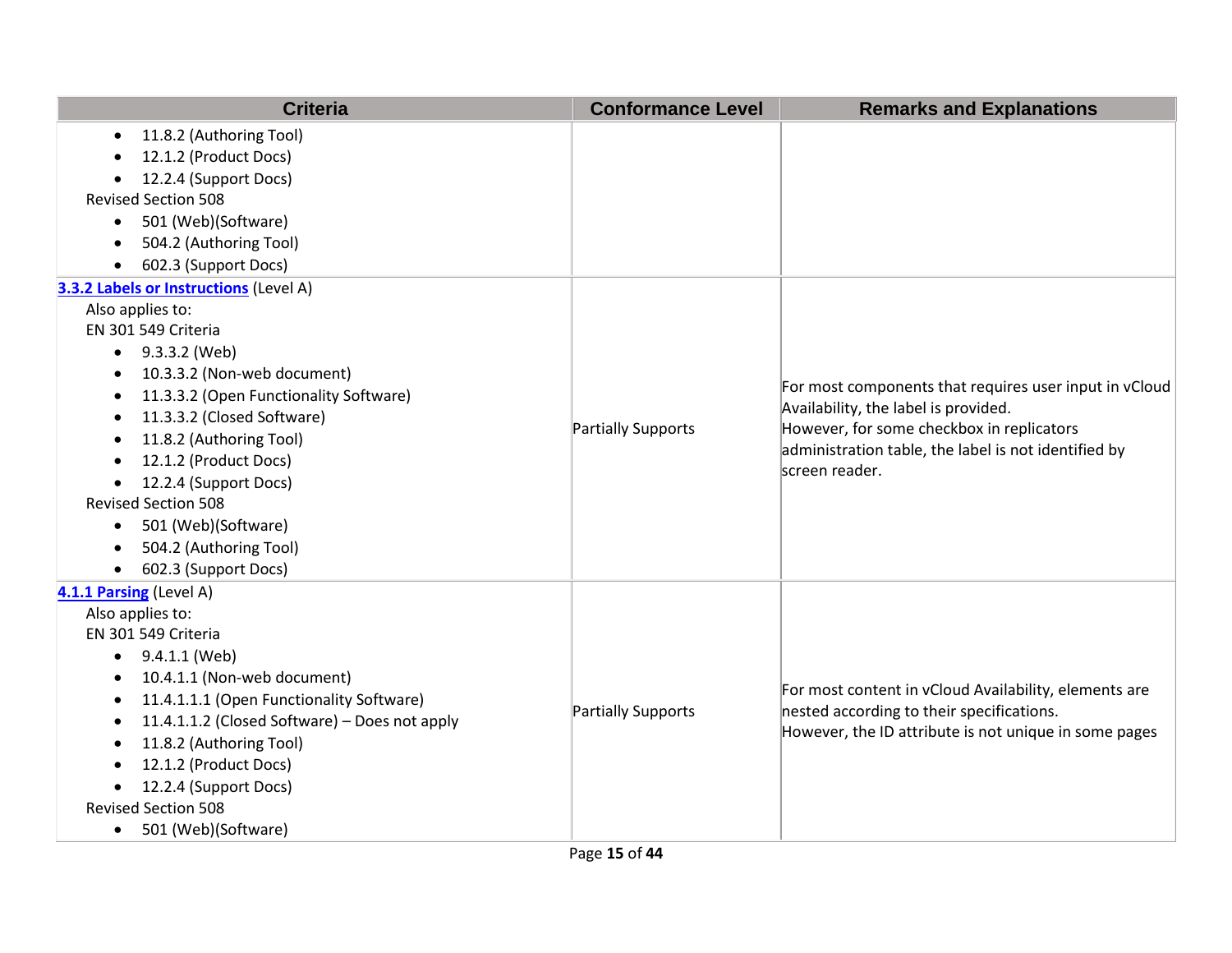| <b>Criteria</b>                                            | <b>Conformance Level</b>  | <b>Remarks and Explanations</b>                                                                                                                                                                                       |
|------------------------------------------------------------|---------------------------|-----------------------------------------------------------------------------------------------------------------------------------------------------------------------------------------------------------------------|
| 11.8.2 (Authoring Tool)<br>$\bullet$                       |                           |                                                                                                                                                                                                                       |
| 12.1.2 (Product Docs)                                      |                           |                                                                                                                                                                                                                       |
| 12.2.4 (Support Docs)                                      |                           |                                                                                                                                                                                                                       |
| <b>Revised Section 508</b>                                 |                           |                                                                                                                                                                                                                       |
| 501 (Web)(Software)<br>$\bullet$                           |                           |                                                                                                                                                                                                                       |
| 504.2 (Authoring Tool)                                     |                           |                                                                                                                                                                                                                       |
| 602.3 (Support Docs)<br>$\bullet$                          |                           |                                                                                                                                                                                                                       |
| 3.3.2 Labels or Instructions (Level A)                     |                           |                                                                                                                                                                                                                       |
| Also applies to:                                           |                           |                                                                                                                                                                                                                       |
| EN 301 549 Criteria                                        |                           |                                                                                                                                                                                                                       |
| 9.3.3.2 (Web)<br>$\bullet$                                 |                           |                                                                                                                                                                                                                       |
| 10.3.3.2 (Non-web document)<br>$\bullet$                   |                           |                                                                                                                                                                                                                       |
| 11.3.3.2 (Open Functionality Software)<br>$\bullet$        |                           | For most components that requires user input in vCloud<br>Availability, the label is provided.<br>However, for some checkbox in replicators<br>administration table, the label is not identified by<br>screen reader. |
| 11.3.3.2 (Closed Software)<br>$\bullet$                    | <b>Partially Supports</b> |                                                                                                                                                                                                                       |
| 11.8.2 (Authoring Tool)<br>$\bullet$                       |                           |                                                                                                                                                                                                                       |
| 12.1.2 (Product Docs)<br>$\bullet$                         |                           |                                                                                                                                                                                                                       |
| 12.2.4 (Support Docs)                                      |                           |                                                                                                                                                                                                                       |
| <b>Revised Section 508</b>                                 |                           |                                                                                                                                                                                                                       |
| 501 (Web)(Software)<br>$\bullet$                           |                           |                                                                                                                                                                                                                       |
| 504.2 (Authoring Tool)                                     |                           |                                                                                                                                                                                                                       |
| 602.3 (Support Docs)<br>$\bullet$                          |                           |                                                                                                                                                                                                                       |
| 4.1.1 Parsing (Level A)                                    |                           |                                                                                                                                                                                                                       |
| Also applies to:                                           |                           |                                                                                                                                                                                                                       |
| EN 301 549 Criteria                                        |                           |                                                                                                                                                                                                                       |
| 9.4.1.1 (Web)<br>$\bullet$                                 |                           |                                                                                                                                                                                                                       |
| 10.4.1.1 (Non-web document)<br>٠                           |                           | For most content in vCloud Availability, elements are                                                                                                                                                                 |
| 11.4.1.1.1 (Open Functionality Software)<br>$\bullet$      | <b>Partially Supports</b> | nested according to their specifications.                                                                                                                                                                             |
| 11.4.1.1.2 (Closed Software) - Does not apply<br>$\bullet$ |                           | However, the ID attribute is not unique in some pages                                                                                                                                                                 |
| 11.8.2 (Authoring Tool)<br>$\bullet$                       |                           |                                                                                                                                                                                                                       |
| 12.1.2 (Product Docs)                                      |                           |                                                                                                                                                                                                                       |
| 12.2.4 (Support Docs)                                      |                           |                                                                                                                                                                                                                       |
| <b>Revised Section 508</b>                                 |                           |                                                                                                                                                                                                                       |
| 501 (Web)(Software)<br>$\bullet$                           |                           |                                                                                                                                                                                                                       |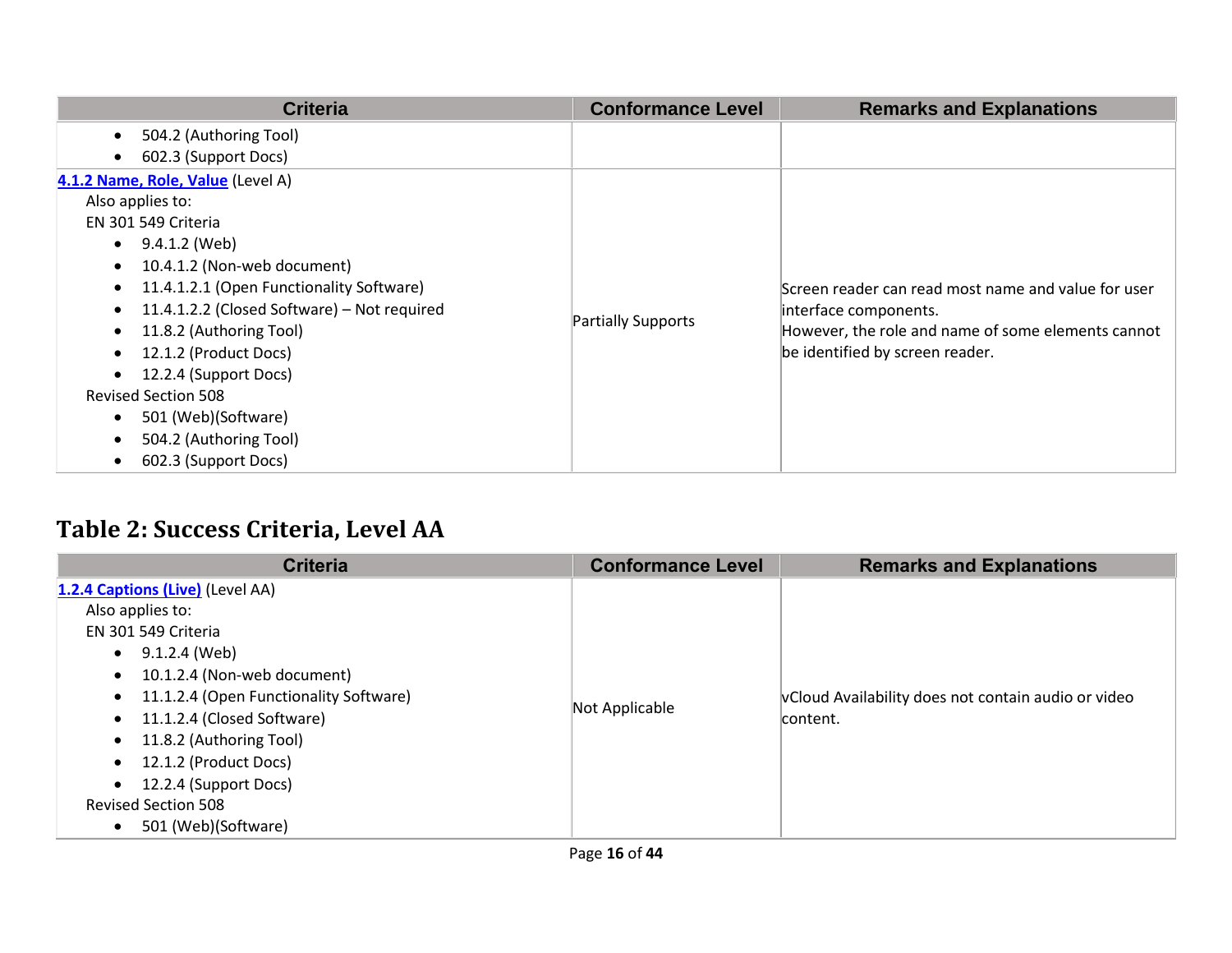| <b>Criteria</b>                                          | <b>Conformance Level</b> | <b>Remarks and Explanations</b>                                              |
|----------------------------------------------------------|--------------------------|------------------------------------------------------------------------------|
| 504.2 (Authoring Tool)<br>$\bullet$                      |                          |                                                                              |
| 602.3 (Support Docs)<br>$\bullet$                        |                          |                                                                              |
| 4.1.2 Name, Role, Value (Level A)                        |                          |                                                                              |
| Also applies to:                                         |                          |                                                                              |
| EN 301 549 Criteria                                      |                          |                                                                              |
| 9.4.1.2 (Web)<br>$\bullet$                               |                          |                                                                              |
| 10.4.1.2 (Non-web document)<br>$\bullet$                 |                          |                                                                              |
| 11.4.1.2.1 (Open Functionality Software)<br>$\bullet$    |                          | Screen reader can read most name and value for user<br>interface components. |
| 11.4.1.2.2 (Closed Software) - Not required<br>$\bullet$ |                          |                                                                              |
| 11.8.2 (Authoring Tool)<br>$\bullet$                     | Partially Supports       | However, the role and name of some elements cannot                           |
| 12.1.2 (Product Docs)                                    |                          | be identified by screen reader.                                              |
| 12.2.4 (Support Docs)                                    |                          |                                                                              |
| <b>Revised Section 508</b>                               |                          |                                                                              |
| 501 (Web)(Software)<br>$\bullet$                         |                          |                                                                              |
| 504.2 (Authoring Tool)<br>$\bullet$                      |                          |                                                                              |
| 602.3 (Support Docs)                                     |                          |                                                                              |

## **Table 2: Success Criteria, Level AA**

| <b>Criteria</b>                                                                                                                                                                                                                                                                                                                                                                                                                               | <b>Conformance Level</b> | <b>Remarks and Explanations</b>                                 |
|-----------------------------------------------------------------------------------------------------------------------------------------------------------------------------------------------------------------------------------------------------------------------------------------------------------------------------------------------------------------------------------------------------------------------------------------------|--------------------------|-----------------------------------------------------------------|
| 1.2.4 Captions (Live) (Level AA)<br>Also applies to:<br>EN 301 549 Criteria<br>9.1.2.4 (Web)<br>$\bullet$<br>10.1.2.4 (Non-web document)<br>$\bullet$<br>11.1.2.4 (Open Functionality Software)<br>$\bullet$<br>11.1.2.4 (Closed Software)<br>$\bullet$<br>11.8.2 (Authoring Tool)<br>$\bullet$<br>12.1.2 (Product Docs)<br>$\bullet$<br>12.2.4 (Support Docs)<br>$\bullet$<br><b>Revised Section 508</b><br>501 (Web)(Software)<br>$\bullet$ | Not Applicable           | vCloud Availability does not contain audio or video<br>content. |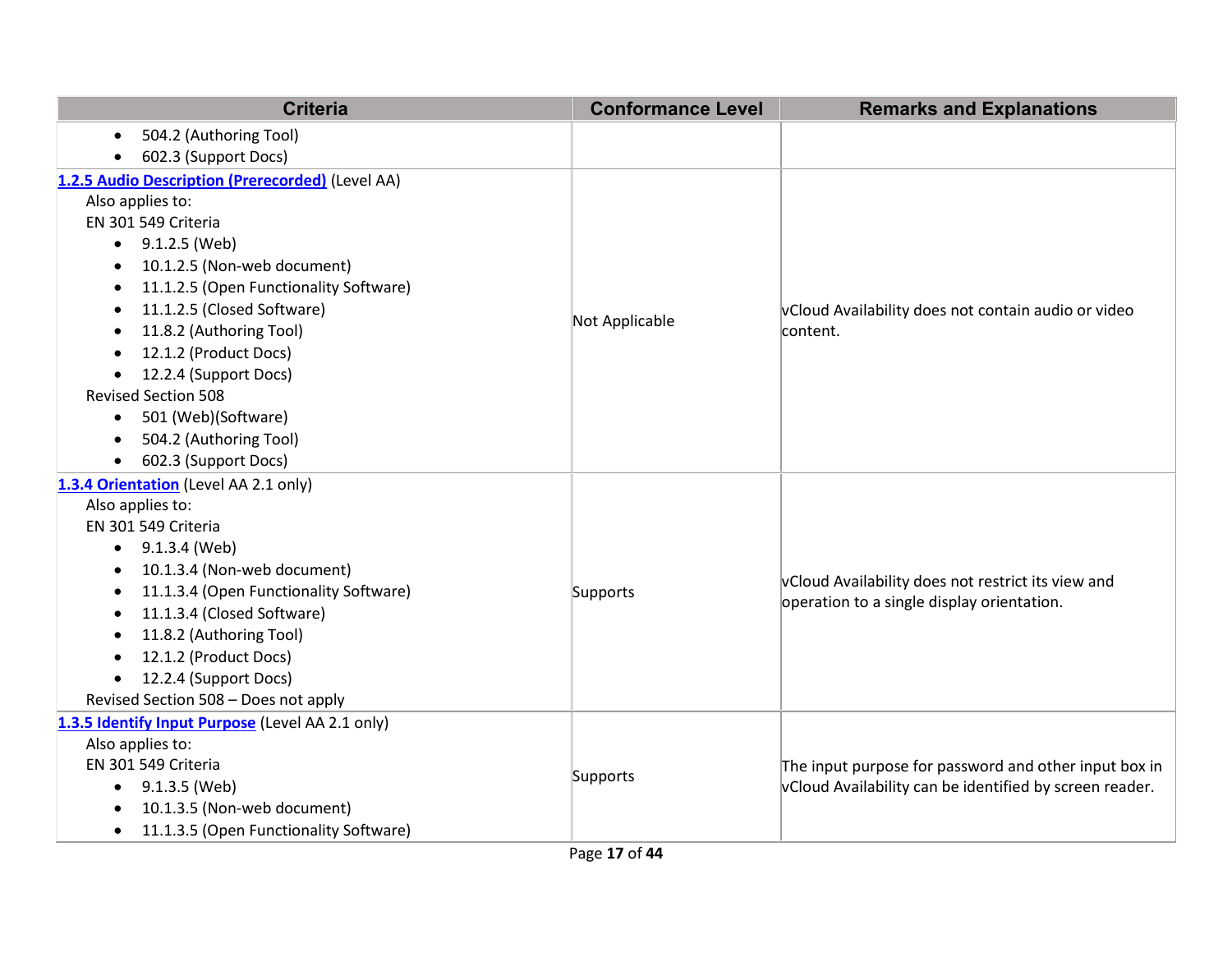| <b>Criteria</b>                                     | <b>Conformance Level</b> | <b>Remarks and Explanations</b>                                                                  |
|-----------------------------------------------------|--------------------------|--------------------------------------------------------------------------------------------------|
| 504.2 (Authoring Tool)<br>$\bullet$                 |                          |                                                                                                  |
| 602.3 (Support Docs)<br>$\bullet$                   |                          |                                                                                                  |
| 1.2.5 Audio Description (Prerecorded) (Level AA)    |                          |                                                                                                  |
| Also applies to:                                    |                          |                                                                                                  |
| EN 301 549 Criteria                                 |                          |                                                                                                  |
| 9.1.2.5 (Web)                                       |                          |                                                                                                  |
| 10.1.2.5 (Non-web document)<br>٠                    |                          |                                                                                                  |
| 11.1.2.5 (Open Functionality Software)<br>$\bullet$ |                          |                                                                                                  |
| 11.1.2.5 (Closed Software)<br>$\bullet$             |                          | vCloud Availability does not contain audio or video                                              |
| 11.8.2 (Authoring Tool)                             | Not Applicable           | content.                                                                                         |
| 12.1.2 (Product Docs)<br>٠                          |                          |                                                                                                  |
| 12.2.4 (Support Docs)                               |                          |                                                                                                  |
| <b>Revised Section 508</b>                          |                          |                                                                                                  |
| 501 (Web)(Software)<br>$\bullet$                    |                          |                                                                                                  |
| 504.2 (Authoring Tool)<br>$\bullet$                 |                          |                                                                                                  |
| 602.3 (Support Docs)<br>$\bullet$                   |                          |                                                                                                  |
| 1.3.4 Orientation (Level AA 2.1 only)               |                          |                                                                                                  |
| Also applies to:                                    |                          |                                                                                                  |
| EN 301 549 Criteria                                 |                          | vCloud Availability does not restrict its view and<br>operation to a single display orientation. |
| 9.1.3.4 (Web)<br>$\bullet$                          |                          |                                                                                                  |
| 10.1.3.4 (Non-web document)<br>$\bullet$            |                          |                                                                                                  |
| 11.1.3.4 (Open Functionality Software)<br>٠         | Supports                 |                                                                                                  |
| 11.1.3.4 (Closed Software)                          |                          |                                                                                                  |
| 11.8.2 (Authoring Tool)<br>٠                        |                          |                                                                                                  |
| 12.1.2 (Product Docs)<br>$\bullet$                  |                          |                                                                                                  |
| 12.2.4 (Support Docs)<br>$\bullet$                  |                          |                                                                                                  |
| Revised Section 508 - Does not apply                |                          |                                                                                                  |
| 1.3.5 Identify Input Purpose (Level AA 2.1 only)    |                          |                                                                                                  |
| Also applies to:                                    |                          |                                                                                                  |
| EN 301 549 Criteria                                 | Supports                 | The input purpose for password and other input box in                                            |
| 9.1.3.5 (Web)<br>$\bullet$                          |                          | vCloud Availability can be identified by screen reader.                                          |
| 10.1.3.5 (Non-web document)                         |                          |                                                                                                  |
| 11.1.3.5 (Open Functionality Software)<br>$\bullet$ |                          |                                                                                                  |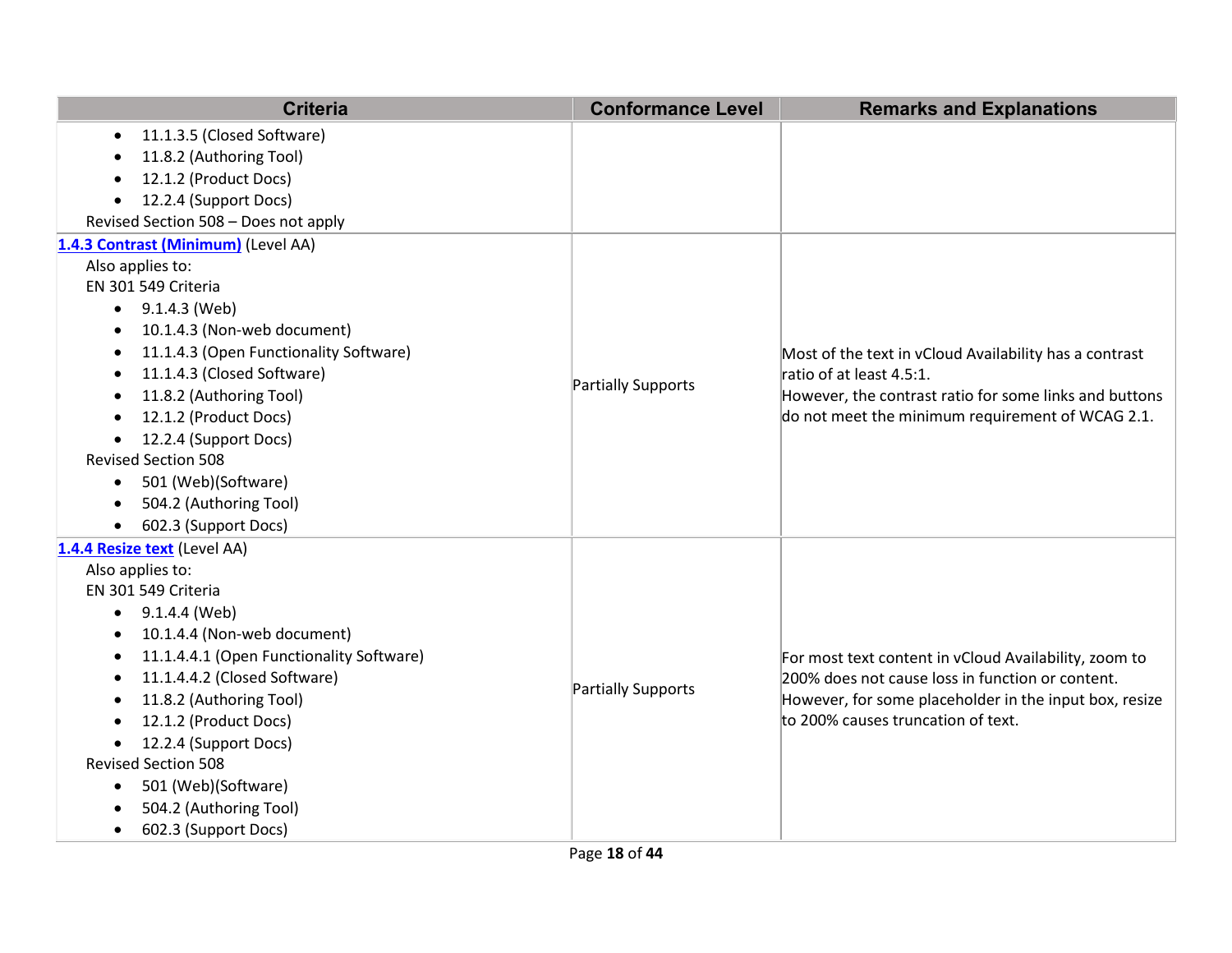| <b>Criteria</b>                                     | <b>Conformance Level</b>  | <b>Remarks and Explanations</b>                        |
|-----------------------------------------------------|---------------------------|--------------------------------------------------------|
| 11.1.3.5 (Closed Software)<br>$\bullet$             |                           |                                                        |
| 11.8.2 (Authoring Tool)                             |                           |                                                        |
| 12.1.2 (Product Docs)                               |                           |                                                        |
| 12.2.4 (Support Docs)<br>$\bullet$                  |                           |                                                        |
| Revised Section 508 - Does not apply                |                           |                                                        |
| 1.4.3 Contrast (Minimum) (Level AA)                 |                           |                                                        |
| Also applies to:                                    |                           |                                                        |
| EN 301 549 Criteria                                 |                           |                                                        |
| 9.1.4.3 (Web)<br>$\bullet$                          |                           |                                                        |
| 10.1.4.3 (Non-web document)<br>$\bullet$            |                           |                                                        |
| 11.1.4.3 (Open Functionality Software)<br>$\bullet$ |                           | Most of the text in vCloud Availability has a contrast |
| 11.1.4.3 (Closed Software)                          |                           | ratio of at least 4.5:1.                               |
| 11.8.2 (Authoring Tool)<br>$\bullet$                | <b>Partially Supports</b> | However, the contrast ratio for some links and buttons |
| 12.1.2 (Product Docs)<br>$\bullet$                  |                           | do not meet the minimum requirement of WCAG 2.1.       |
| 12.2.4 (Support Docs)<br>$\bullet$                  |                           |                                                        |
| <b>Revised Section 508</b>                          |                           |                                                        |
| 501 (Web)(Software)<br>$\bullet$                    |                           |                                                        |
| 504.2 (Authoring Tool)<br>$\bullet$                 |                           |                                                        |
| 602.3 (Support Docs)                                |                           |                                                        |
| 1.4.4 Resize text (Level AA)                        |                           |                                                        |
| Also applies to:                                    |                           |                                                        |
| EN 301 549 Criteria                                 |                           |                                                        |
| 9.1.4.4 (Web)<br>$\bullet$                          |                           |                                                        |
| 10.1.4.4 (Non-web document)<br>$\bullet$            |                           |                                                        |
| 11.1.4.4.1 (Open Functionality Software)<br>٠       |                           | For most text content in vCloud Availability, zoom to  |
| 11.1.4.4.2 (Closed Software)<br>٠                   | <b>Partially Supports</b> | 200% does not cause loss in function or content.       |
| 11.8.2 (Authoring Tool)<br>$\bullet$                |                           | However, for some placeholder in the input box, resize |
| 12.1.2 (Product Docs)<br>$\bullet$                  |                           | to 200% causes truncation of text.                     |
| 12.2.4 (Support Docs)<br>$\bullet$                  |                           |                                                        |
| <b>Revised Section 508</b>                          |                           |                                                        |
| 501 (Web)(Software)<br>$\bullet$                    |                           |                                                        |
| 504.2 (Authoring Tool)                              |                           |                                                        |
| 602.3 (Support Docs)<br>$\bullet$                   |                           |                                                        |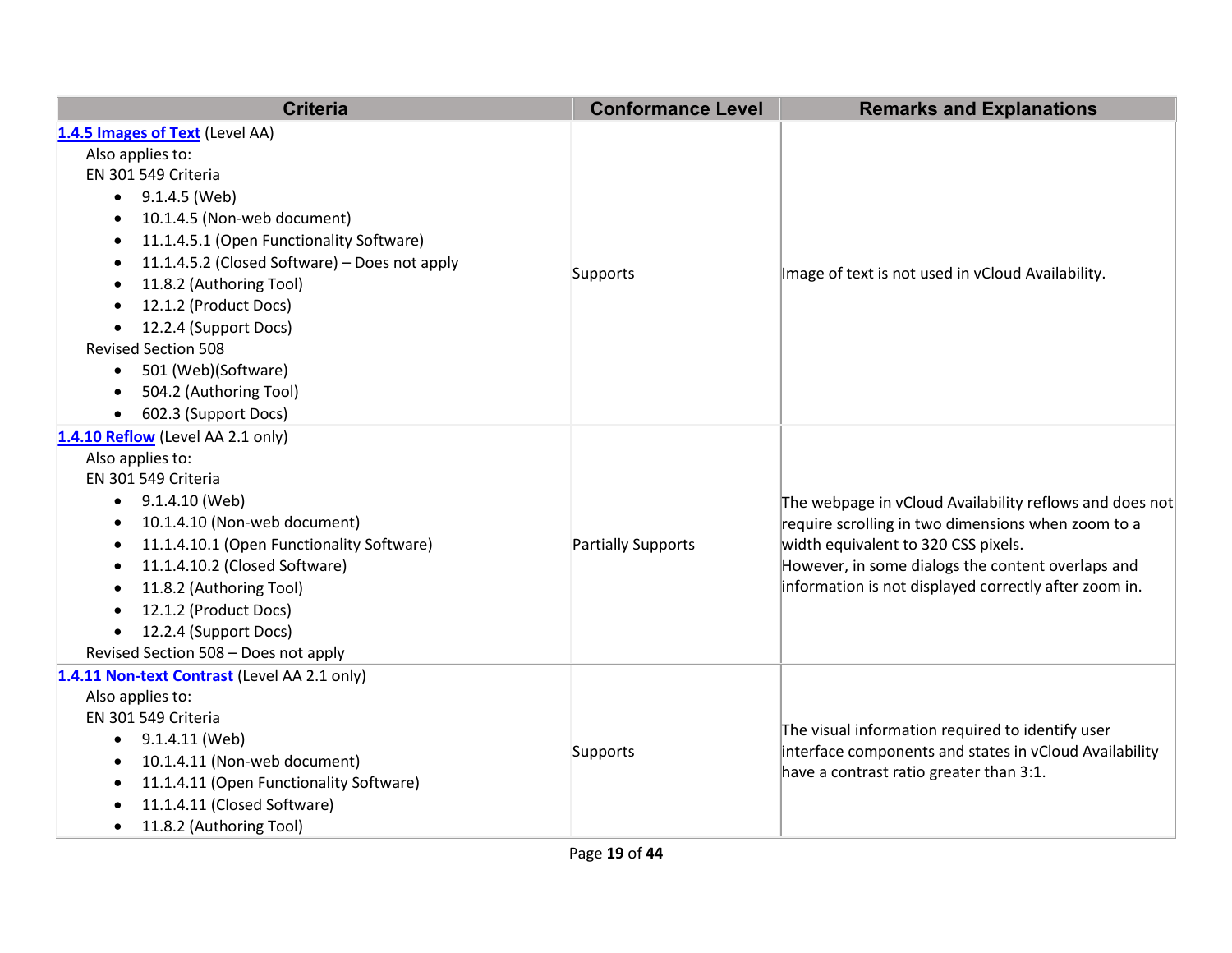| <b>Criteria</b>                                        | <b>Conformance Level</b> | <b>Remarks and Explanations</b>                         |
|--------------------------------------------------------|--------------------------|---------------------------------------------------------|
| 1.4.5 Images of Text (Level AA)                        |                          |                                                         |
| Also applies to:                                       |                          |                                                         |
| EN 301 549 Criteria                                    |                          |                                                         |
| 9.1.4.5 (Web)<br>$\bullet$                             |                          |                                                         |
| 10.1.4.5 (Non-web document)<br>$\bullet$               |                          |                                                         |
| 11.1.4.5.1 (Open Functionality Software)<br>٠          |                          |                                                         |
| 11.1.4.5.2 (Closed Software) - Does not apply<br>٠     |                          |                                                         |
| 11.8.2 (Authoring Tool)<br>$\bullet$                   | Supports                 | Image of text is not used in vCloud Availability.       |
| 12.1.2 (Product Docs)<br>$\bullet$                     |                          |                                                         |
| 12.2.4 (Support Docs)<br>$\bullet$                     |                          |                                                         |
| <b>Revised Section 508</b>                             |                          |                                                         |
| 501 (Web)(Software)<br>$\bullet$                       |                          |                                                         |
| 504.2 (Authoring Tool)<br>٠                            |                          |                                                         |
| 602.3 (Support Docs)<br>$\bullet$                      |                          |                                                         |
| 1.4.10 Reflow (Level AA 2.1 only)                      |                          |                                                         |
| Also applies to:                                       |                          |                                                         |
| EN 301 549 Criteria                                    |                          |                                                         |
| 9.1.4.10 (Web)<br>$\bullet$                            |                          | The webpage in vCloud Availability reflows and does not |
| 10.1.4.10 (Non-web document)<br>٠                      |                          | require scrolling in two dimensions when zoom to a      |
| 11.1.4.10.1 (Open Functionality Software)<br>$\bullet$ | Partially Supports       | width equivalent to 320 CSS pixels.                     |
| 11.1.4.10.2 (Closed Software)<br>$\bullet$             |                          | However, in some dialogs the content overlaps and       |
| 11.8.2 (Authoring Tool)<br>$\bullet$                   |                          | information is not displayed correctly after zoom in.   |
| 12.1.2 (Product Docs)<br>$\bullet$                     |                          |                                                         |
| 12.2.4 (Support Docs)<br>$\bullet$                     |                          |                                                         |
| Revised Section 508 - Does not apply                   |                          |                                                         |
| 1.4.11 Non-text Contrast (Level AA 2.1 only)           |                          |                                                         |
| Also applies to:                                       |                          |                                                         |
| EN 301 549 Criteria                                    |                          | The visual information required to identify user        |
| 9.1.4.11 (Web)<br>$\bullet$                            | Supports                 | interface components and states in vCloud Availability  |
| 10.1.4.11 (Non-web document)<br>٠                      |                          | have a contrast ratio greater than 3:1.                 |
| 11.1.4.11 (Open Functionality Software)<br>$\bullet$   |                          |                                                         |
| 11.1.4.11 (Closed Software)                            |                          |                                                         |
| 11.8.2 (Authoring Tool)<br>$\bullet$                   |                          |                                                         |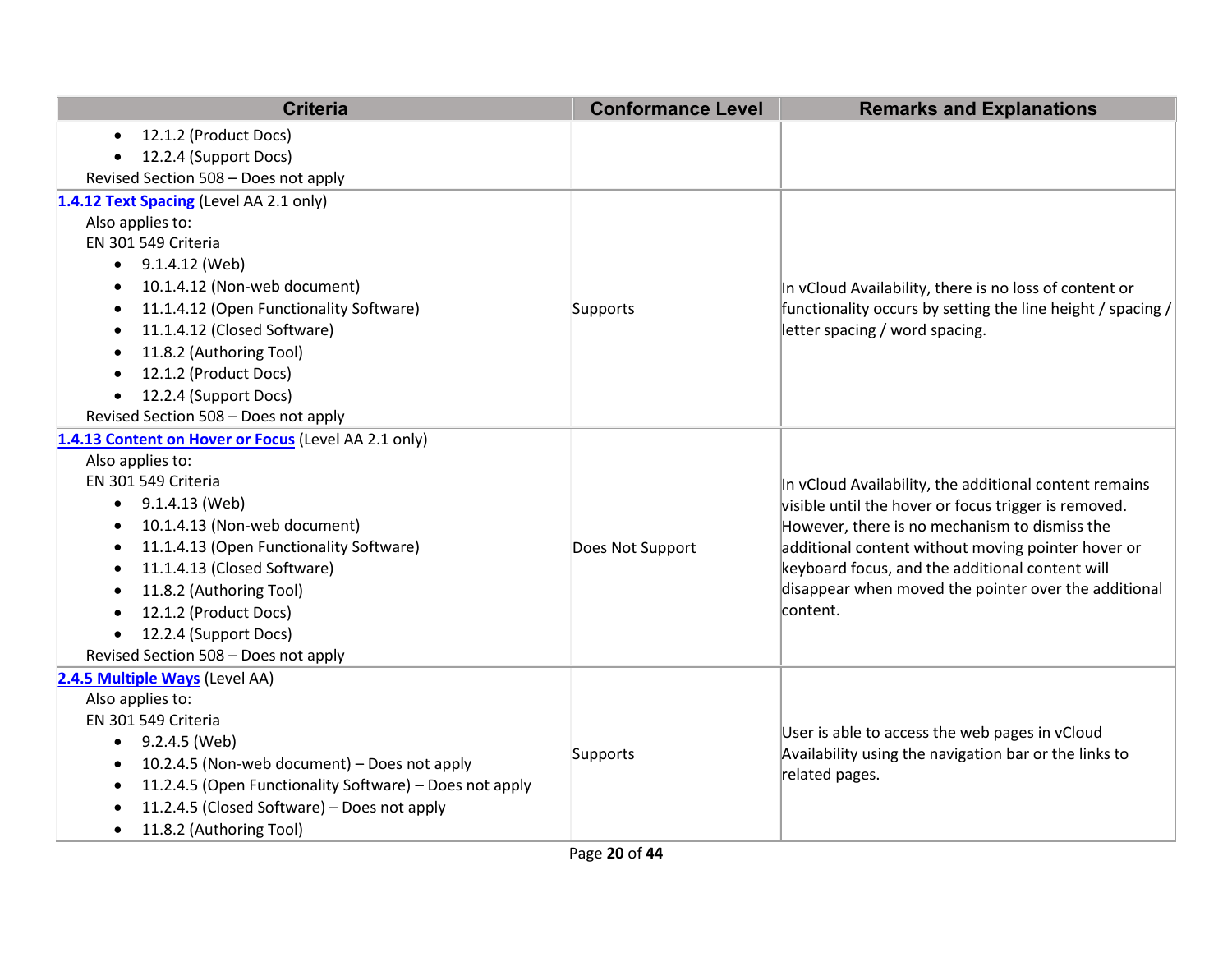| <b>Criteria</b>                                                      | <b>Conformance Level</b> | <b>Remarks and Explanations</b>                             |
|----------------------------------------------------------------------|--------------------------|-------------------------------------------------------------|
| 12.1.2 (Product Docs)<br>$\bullet$                                   |                          |                                                             |
| 12.2.4 (Support Docs)                                                |                          |                                                             |
| Revised Section 508 - Does not apply                                 |                          |                                                             |
| 1.4.12 Text Spacing (Level AA 2.1 only)                              |                          |                                                             |
| Also applies to:                                                     |                          |                                                             |
| EN 301 549 Criteria                                                  |                          |                                                             |
| 9.1.4.12 (Web)                                                       |                          |                                                             |
| 10.1.4.12 (Non-web document)<br>$\bullet$                            |                          | In vCloud Availability, there is no loss of content or      |
| 11.1.4.12 (Open Functionality Software)                              | Supports                 | functionality occurs by setting the line height / spacing / |
| 11.1.4.12 (Closed Software)                                          |                          | letter spacing / word spacing.                              |
| 11.8.2 (Authoring Tool)                                              |                          |                                                             |
| 12.1.2 (Product Docs)                                                |                          |                                                             |
| 12.2.4 (Support Docs)                                                |                          |                                                             |
| Revised Section 508 - Does not apply                                 |                          |                                                             |
| 1.4.13 Content on Hover or Focus (Level AA 2.1 only)                 |                          |                                                             |
| Also applies to:                                                     |                          |                                                             |
| EN 301 549 Criteria                                                  |                          | In vCloud Availability, the additional content remains      |
| 9.1.4.13 (Web)                                                       |                          | visible until the hover or focus trigger is removed.        |
| 10.1.4.13 (Non-web document)                                         |                          | However, there is no mechanism to dismiss the               |
| 11.1.4.13 (Open Functionality Software)                              | Does Not Support         | additional content without moving pointer hover or          |
| 11.1.4.13 (Closed Software)<br>$\bullet$                             |                          | keyboard focus, and the additional content will             |
| 11.8.2 (Authoring Tool)                                              |                          | disappear when moved the pointer over the additional        |
| 12.1.2 (Product Docs)                                                |                          | content.                                                    |
| 12.2.4 (Support Docs)                                                |                          |                                                             |
| Revised Section 508 - Does not apply                                 |                          |                                                             |
| 2.4.5 Multiple Ways (Level AA)                                       |                          |                                                             |
| Also applies to:                                                     |                          |                                                             |
| EN 301 549 Criteria                                                  |                          | User is able to access the web pages in vCloud              |
| 9.2.4.5 (Web)<br>$\bullet$                                           | Supports                 | Availability using the navigation bar or the links to       |
| 10.2.4.5 (Non-web document) - Does not apply<br>$\bullet$            |                          | related pages.                                              |
| 11.2.4.5 (Open Functionality Software) - Does not apply<br>$\bullet$ |                          |                                                             |
| 11.2.4.5 (Closed Software) - Does not apply                          |                          |                                                             |
| 11.8.2 (Authoring Tool)                                              |                          |                                                             |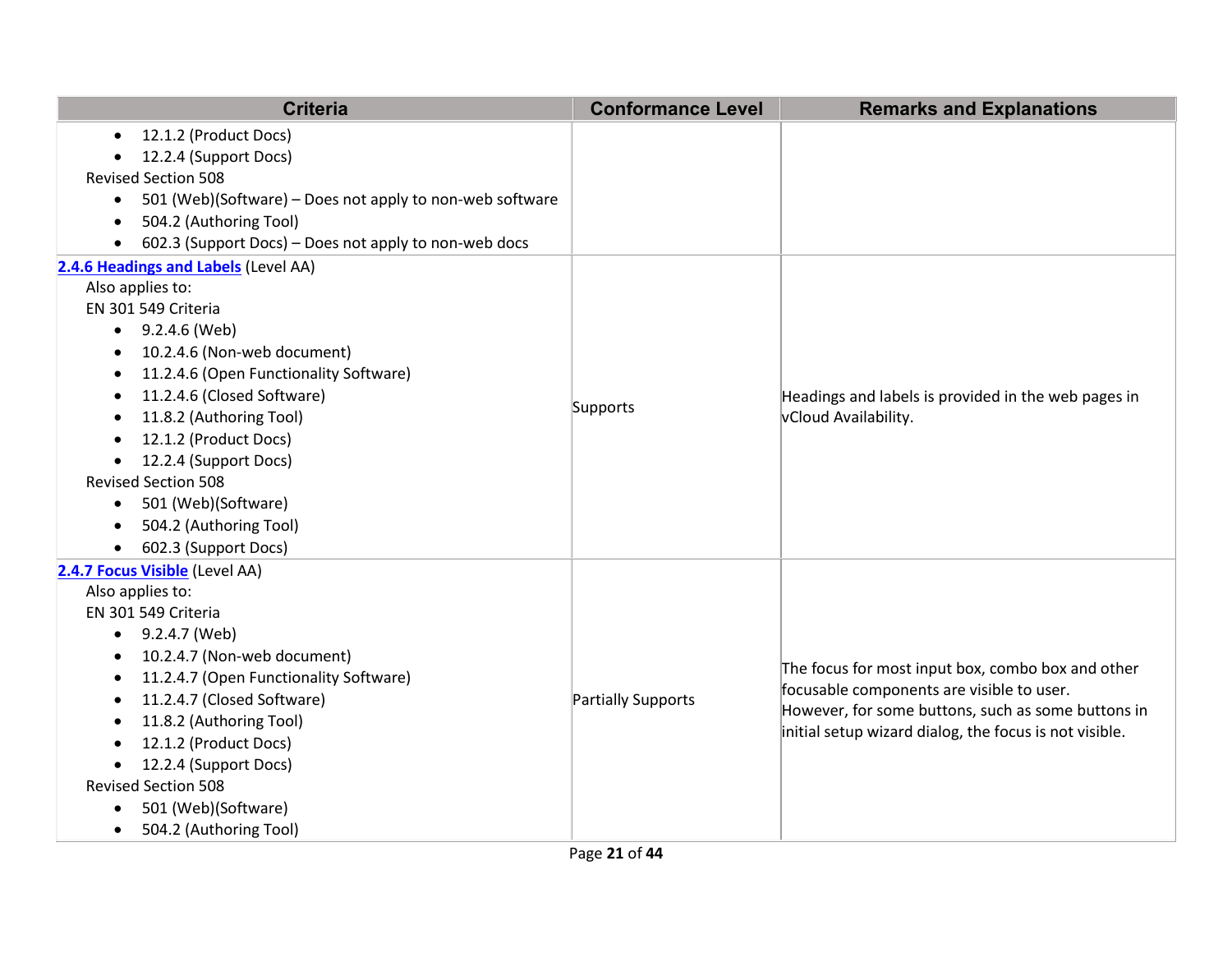|           | <b>Criteria</b>                                          | <b>Conformance Level</b>  | <b>Remarks and Explanations</b>                        |
|-----------|----------------------------------------------------------|---------------------------|--------------------------------------------------------|
| $\bullet$ | 12.1.2 (Product Docs)                                    |                           |                                                        |
| $\bullet$ | 12.2.4 (Support Docs)                                    |                           |                                                        |
|           | <b>Revised Section 508</b>                               |                           |                                                        |
| $\bullet$ | 501 (Web)(Software) - Does not apply to non-web software |                           |                                                        |
| ٠         | 504.2 (Authoring Tool)                                   |                           |                                                        |
| $\bullet$ | 602.3 (Support Docs) - Does not apply to non-web docs    |                           |                                                        |
|           | 2.4.6 Headings and Labels (Level AA)                     |                           |                                                        |
|           | Also applies to:                                         |                           |                                                        |
|           | EN 301 549 Criteria                                      |                           |                                                        |
|           | $\bullet$ 9.2.4.6 (Web)                                  |                           |                                                        |
| $\bullet$ | 10.2.4.6 (Non-web document)                              |                           |                                                        |
| ٠         | 11.2.4.6 (Open Functionality Software)                   |                           | Headings and labels is provided in the web pages in    |
| $\bullet$ | 11.2.4.6 (Closed Software)                               |                           |                                                        |
| $\bullet$ | 11.8.2 (Authoring Tool)                                  | Supports                  | vCloud Availability.                                   |
| $\bullet$ | 12.1.2 (Product Docs)                                    |                           |                                                        |
| $\bullet$ | 12.2.4 (Support Docs)                                    |                           |                                                        |
|           | <b>Revised Section 508</b>                               |                           |                                                        |
| $\bullet$ | 501 (Web)(Software)                                      |                           |                                                        |
|           | 504.2 (Authoring Tool)                                   |                           |                                                        |
| $\bullet$ | 602.3 (Support Docs)                                     |                           |                                                        |
|           | 2.4.7 Focus Visible (Level AA)                           |                           |                                                        |
|           | Also applies to:                                         |                           |                                                        |
|           | EN 301 549 Criteria                                      |                           |                                                        |
| $\bullet$ | 9.2.4.7 (Web)                                            |                           |                                                        |
| $\bullet$ | 10.2.4.7 (Non-web document)                              |                           | The focus for most input box, combo box and other      |
| $\bullet$ | 11.2.4.7 (Open Functionality Software)                   |                           | focusable components are visible to user.              |
| $\bullet$ | 11.2.4.7 (Closed Software)                               | <b>Partially Supports</b> | However, for some buttons, such as some buttons in     |
| $\bullet$ | 11.8.2 (Authoring Tool)                                  |                           | initial setup wizard dialog, the focus is not visible. |
|           | 12.1.2 (Product Docs)                                    |                           |                                                        |
| $\bullet$ | 12.2.4 (Support Docs)                                    |                           |                                                        |
|           | <b>Revised Section 508</b>                               |                           |                                                        |
| $\bullet$ | 501 (Web)(Software)                                      |                           |                                                        |
| $\bullet$ | 504.2 (Authoring Tool)                                   |                           |                                                        |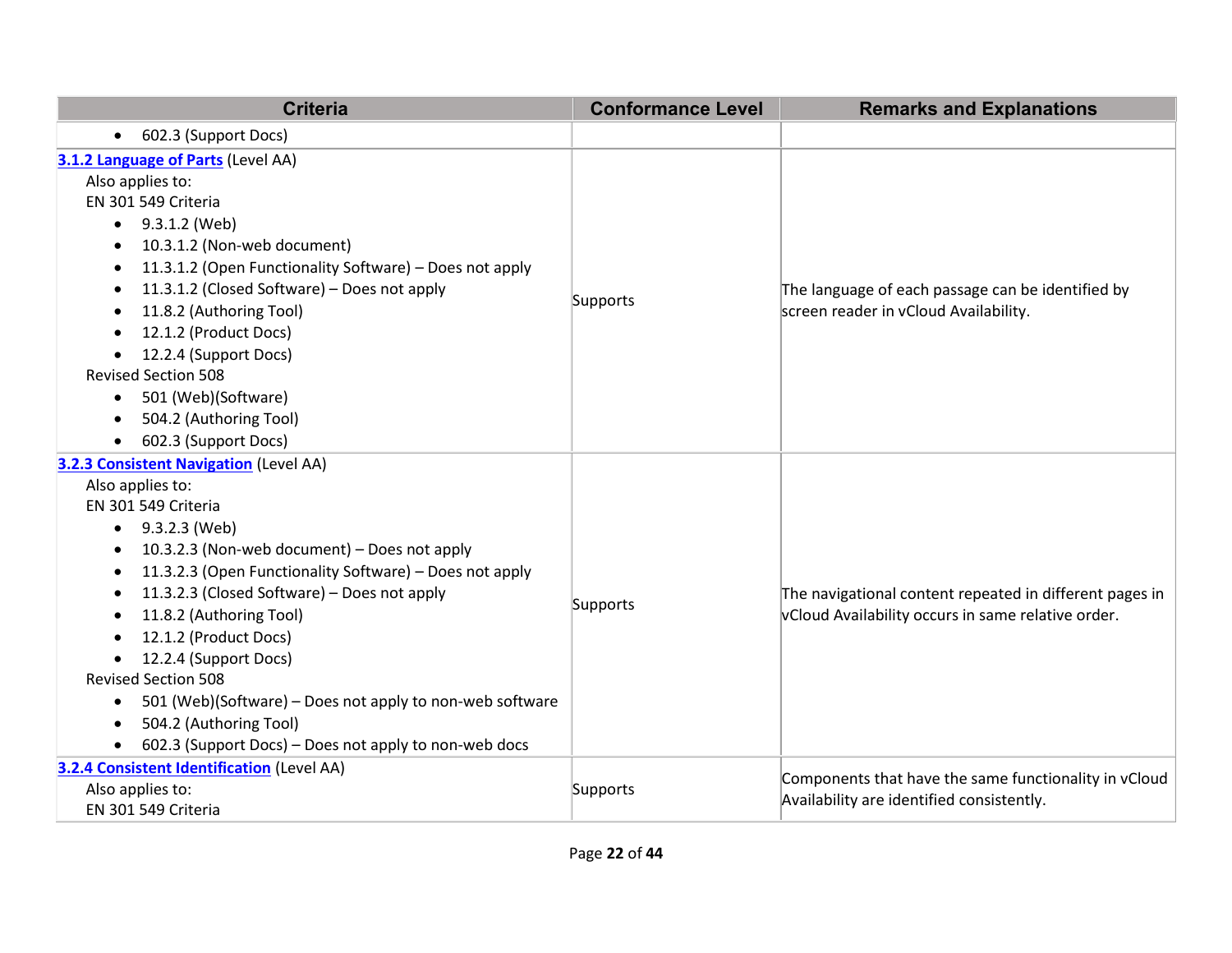| <b>Criteria</b>                                                                                                                                                                                                                                                                                                                                                                                                                                                                                                                                                                                                                                    | <b>Conformance Level</b> | <b>Remarks and Explanations</b>                                                                               |
|----------------------------------------------------------------------------------------------------------------------------------------------------------------------------------------------------------------------------------------------------------------------------------------------------------------------------------------------------------------------------------------------------------------------------------------------------------------------------------------------------------------------------------------------------------------------------------------------------------------------------------------------------|--------------------------|---------------------------------------------------------------------------------------------------------------|
| 602.3 (Support Docs)<br>$\bullet$                                                                                                                                                                                                                                                                                                                                                                                                                                                                                                                                                                                                                  |                          |                                                                                                               |
| 3.1.2 Language of Parts (Level AA)<br>Also applies to:<br>EN 301 549 Criteria<br>$\bullet$ 9.3.1.2 (Web)<br>10.3.1.2 (Non-web document)<br>$\bullet$<br>11.3.1.2 (Open Functionality Software) - Does not apply<br>$\bullet$<br>11.3.1.2 (Closed Software) - Does not apply<br>$\bullet$<br>11.8.2 (Authoring Tool)<br>$\bullet$<br>12.1.2 (Product Docs)<br>12.2.4 (Support Docs)<br>$\bullet$<br><b>Revised Section 508</b><br>501 (Web)(Software)<br>$\bullet$<br>504.2 (Authoring Tool)<br>$\bullet$                                                                                                                                           | Supports                 | The language of each passage can be identified by<br>screen reader in vCloud Availability.                    |
| 602.3 (Support Docs)<br><b>3.2.3 Consistent Navigation (Level AA)</b><br>Also applies to:<br>EN 301 549 Criteria<br>$\bullet$ 9.3.2.3 (Web)<br>10.3.2.3 (Non-web document) - Does not apply<br>٠<br>11.3.2.3 (Open Functionality Software) - Does not apply<br>$\bullet$<br>11.3.2.3 (Closed Software) - Does not apply<br>$\bullet$<br>11.8.2 (Authoring Tool)<br>12.1.2 (Product Docs)<br>$\bullet$<br>12.2.4 (Support Docs)<br>$\bullet$<br><b>Revised Section 508</b><br>501 (Web)(Software) – Does not apply to non-web software<br>$\bullet$<br>504.2 (Authoring Tool)<br>$\bullet$<br>602.3 (Support Docs) - Does not apply to non-web docs | Supports                 | The navigational content repeated in different pages in<br>vCloud Availability occurs in same relative order. |
| <b>3.2.4 Consistent Identification (Level AA)</b><br>Also applies to:<br>EN 301 549 Criteria                                                                                                                                                                                                                                                                                                                                                                                                                                                                                                                                                       | Supports                 | Components that have the same functionality in vCloud<br>Availability are identified consistently.            |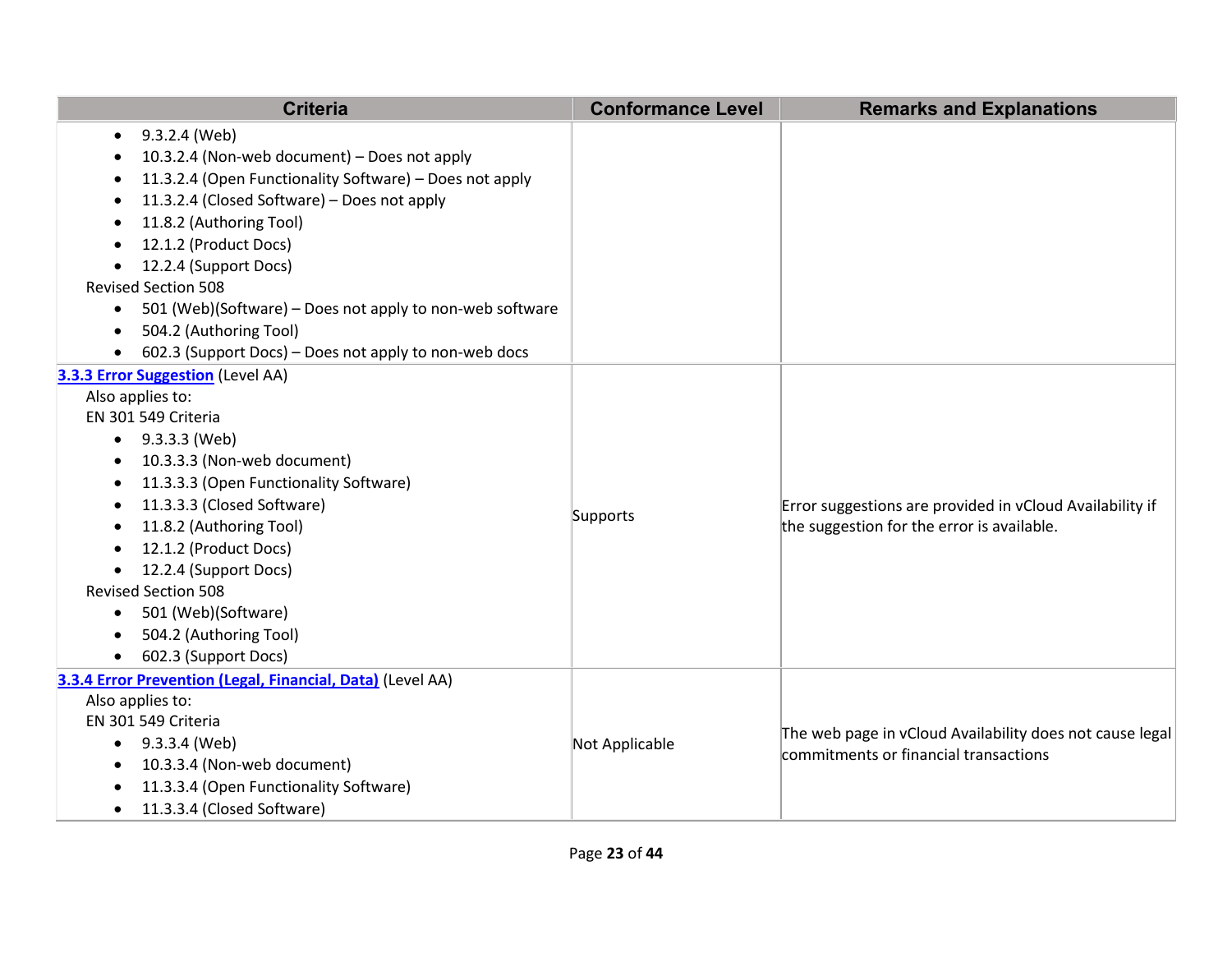| <b>Criteria</b>                                                                                                                                                                                                                                                                                                                                                                                                                                                                       | <b>Conformance Level</b> | <b>Remarks and Explanations</b>                                                                        |
|---------------------------------------------------------------------------------------------------------------------------------------------------------------------------------------------------------------------------------------------------------------------------------------------------------------------------------------------------------------------------------------------------------------------------------------------------------------------------------------|--------------------------|--------------------------------------------------------------------------------------------------------|
| 9.3.2.4 (Web)<br>$\bullet$<br>10.3.2.4 (Non-web document) - Does not apply<br>11.3.2.4 (Open Functionality Software) - Does not apply<br>11.3.2.4 (Closed Software) - Does not apply<br>11.8.2 (Authoring Tool)<br>12.1.2 (Product Docs)<br>12.2.4 (Support Docs)<br>$\bullet$<br><b>Revised Section 508</b><br>501 (Web)(Software) – Does not apply to non-web software<br>$\bullet$<br>504.2 (Authoring Tool)<br>$\bullet$<br>602.3 (Support Docs) – Does not apply to non-web docs |                          |                                                                                                        |
| 3.3.3 Error Suggestion (Level AA)<br>Also applies to:<br>EN 301 549 Criteria<br>$\bullet$ 9.3.3.3 (Web)<br>10.3.3.3 (Non-web document)<br>11.3.3.3 (Open Functionality Software)<br>11.3.3.3 (Closed Software)<br>11.8.2 (Authoring Tool)<br>12.1.2 (Product Docs)<br>12.2.4 (Support Docs)<br><b>Revised Section 508</b><br>501 (Web)(Software)<br>$\bullet$<br>504.2 (Authoring Tool)<br>602.3 (Support Docs)                                                                       | Supports                 | Error suggestions are provided in vCloud Availability if<br>the suggestion for the error is available. |
| 3.3.4 Error Prevention (Legal, Financial, Data) (Level AA)<br>Also applies to:<br>EN 301 549 Criteria<br>• $9.3.3.4$ (Web)<br>10.3.3.4 (Non-web document)<br>11.3.3.4 (Open Functionality Software)<br>11.3.3.4 (Closed Software)<br>$\bullet$                                                                                                                                                                                                                                        | Not Applicable           | The web page in vCloud Availability does not cause legal<br>commitments or financial transactions      |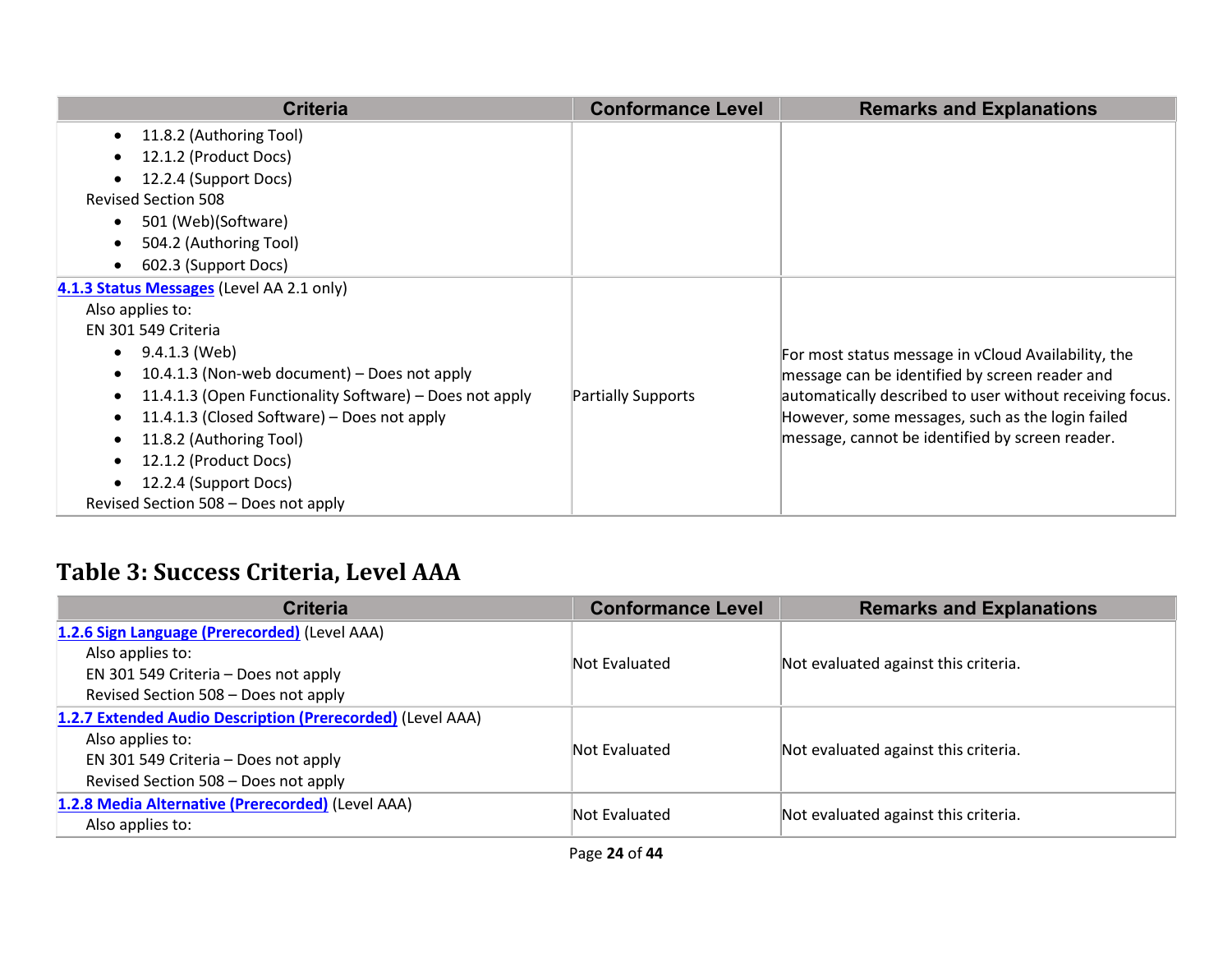| <b>Criteria</b>                                                      | <b>Conformance Level</b> | <b>Remarks and Explanations</b>                          |
|----------------------------------------------------------------------|--------------------------|----------------------------------------------------------|
| • 11.8.2 (Authoring Tool)                                            |                          |                                                          |
| 12.1.2 (Product Docs)                                                |                          |                                                          |
| 12.2.4 (Support Docs)                                                |                          |                                                          |
| <b>Revised Section 508</b>                                           |                          |                                                          |
| 501 (Web)(Software)                                                  |                          |                                                          |
| 504.2 (Authoring Tool)                                               |                          |                                                          |
| 602.3 (Support Docs)                                                 |                          |                                                          |
| 4.1.3 Status Messages (Level AA 2.1 only)                            |                          |                                                          |
| Also applies to:                                                     |                          |                                                          |
| EN 301 549 Criteria                                                  |                          |                                                          |
| 9.4.1.3 (Web)<br>$\bullet$                                           |                          | For most status message in vCloud Availability, the      |
| 10.4.1.3 (Non-web document) – Does not apply<br>$\bullet$            |                          | message can be identified by screen reader and           |
| 11.4.1.3 (Open Functionality Software) - Does not apply<br>$\bullet$ | Partially Supports       | automatically described to user without receiving focus. |
| 11.4.1.3 (Closed Software) – Does not apply<br>$\bullet$             |                          | However, some messages, such as the login failed         |
| 11.8.2 (Authoring Tool)                                              |                          | message, cannot be identified by screen reader.          |
| 12.1.2 (Product Docs)                                                |                          |                                                          |
| 12.2.4 (Support Docs)                                                |                          |                                                          |
| Revised Section 508 - Does not apply                                 |                          |                                                          |

## **Table 3: Success Criteria, Level AAA**

| <b>Criteria</b>                                            | <b>Conformance Level</b> | <b>Remarks and Explanations</b>      |
|------------------------------------------------------------|--------------------------|--------------------------------------|
| 1.2.6 Sign Language (Prerecorded) (Level AAA)              |                          |                                      |
| Also applies to:                                           | Not Evaluated            | Not evaluated against this criteria. |
| EN 301 549 Criteria - Does not apply                       |                          |                                      |
| Revised Section 508 - Does not apply                       |                          |                                      |
| 1.2.7 Extended Audio Description (Prerecorded) (Level AAA) |                          |                                      |
| Also applies to:                                           | Not Evaluated            | Not evaluated against this criteria. |
| EN 301 549 Criteria - Does not apply                       |                          |                                      |
| Revised Section 508 - Does not apply                       |                          |                                      |
| 1.2.8 Media Alternative (Prerecorded) (Level AAA)          | Not Evaluated            | Not evaluated against this criteria. |
| Also applies to:                                           |                          |                                      |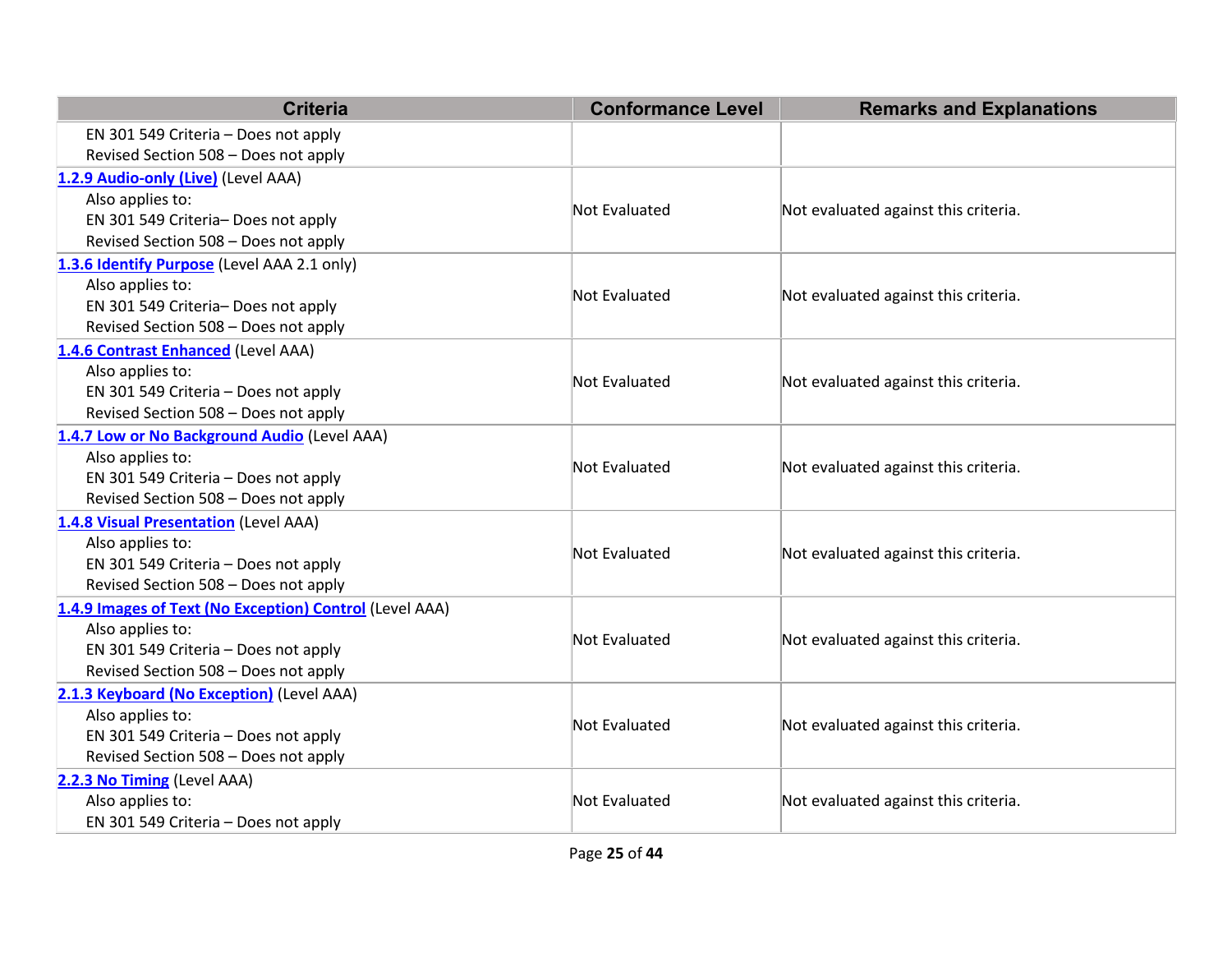| <b>Criteria</b>                                         | <b>Conformance Level</b> | <b>Remarks and Explanations</b>      |  |
|---------------------------------------------------------|--------------------------|--------------------------------------|--|
| EN 301 549 Criteria - Does not apply                    |                          |                                      |  |
| Revised Section 508 - Does not apply                    |                          |                                      |  |
| 1.2.9 Audio-only (Live) (Level AAA)                     |                          |                                      |  |
| Also applies to:                                        | <b>Not Evaluated</b>     |                                      |  |
| EN 301 549 Criteria- Does not apply                     |                          | Not evaluated against this criteria. |  |
| Revised Section 508 - Does not apply                    |                          |                                      |  |
| 1.3.6 Identify Purpose (Level AAA 2.1 only)             |                          |                                      |  |
| Also applies to:                                        | <b>Not Evaluated</b>     |                                      |  |
| EN 301 549 Criteria- Does not apply                     |                          | Not evaluated against this criteria. |  |
| Revised Section 508 - Does not apply                    |                          |                                      |  |
| 1.4.6 Contrast Enhanced (Level AAA)                     |                          |                                      |  |
| Also applies to:                                        | <b>Not Evaluated</b>     | Not evaluated against this criteria. |  |
| EN 301 549 Criteria - Does not apply                    |                          |                                      |  |
| Revised Section 508 - Does not apply                    |                          |                                      |  |
| 1.4.7 Low or No Background Audio (Level AAA)            |                          |                                      |  |
| Also applies to:                                        | <b>Not Evaluated</b>     | Not evaluated against this criteria. |  |
| EN 301 549 Criteria - Does not apply                    |                          |                                      |  |
| Revised Section 508 - Does not apply                    |                          |                                      |  |
| 1.4.8 Visual Presentation (Level AAA)                   |                          |                                      |  |
| Also applies to:                                        | <b>Not Evaluated</b>     | Not evaluated against this criteria. |  |
| EN 301 549 Criteria - Does not apply                    |                          |                                      |  |
| Revised Section 508 - Does not apply                    |                          |                                      |  |
| 1.4.9 Images of Text (No Exception) Control (Level AAA) |                          |                                      |  |
| Also applies to:                                        | <b>Not Evaluated</b>     | Not evaluated against this criteria. |  |
| EN 301 549 Criteria - Does not apply                    |                          |                                      |  |
| Revised Section 508 - Does not apply                    |                          |                                      |  |
| 2.1.3 Keyboard (No Exception) (Level AAA)               |                          |                                      |  |
| Also applies to:                                        | <b>Not Evaluated</b>     | Not evaluated against this criteria. |  |
| EN 301 549 Criteria - Does not apply                    |                          |                                      |  |
| Revised Section 508 - Does not apply                    |                          |                                      |  |
| 2.2.3 No Timing (Level AAA)                             |                          |                                      |  |
| Also applies to:                                        | <b>Not Evaluated</b>     | Not evaluated against this criteria. |  |
| EN 301 549 Criteria - Does not apply                    |                          |                                      |  |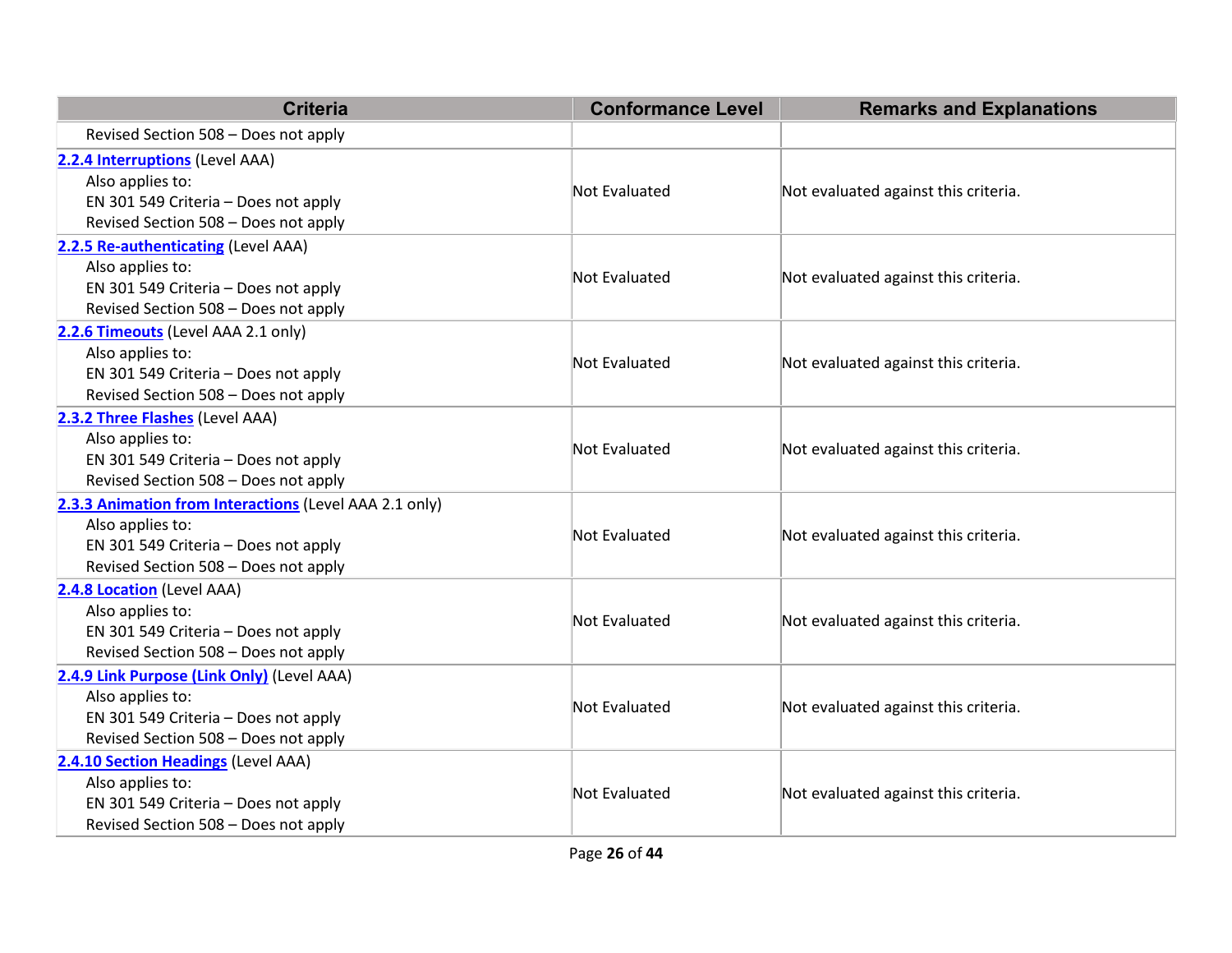| <b>Criteria</b>                                                                                                                                            | <b>Conformance Level</b> | <b>Remarks and Explanations</b>      |
|------------------------------------------------------------------------------------------------------------------------------------------------------------|--------------------------|--------------------------------------|
| Revised Section 508 - Does not apply                                                                                                                       |                          |                                      |
| 2.2.4 Interruptions (Level AAA)<br>Also applies to:<br>EN 301 549 Criteria - Does not apply<br>Revised Section 508 - Does not apply                        | Not Evaluated            | Not evaluated against this criteria. |
| 2.2.5 Re-authenticating (Level AAA)<br>Also applies to:<br>EN 301 549 Criteria - Does not apply<br>Revised Section 508 - Does not apply                    | <b>Not Evaluated</b>     | Not evaluated against this criteria. |
| 2.2.6 Timeouts (Level AAA 2.1 only)<br>Also applies to:<br>EN 301 549 Criteria - Does not apply<br>Revised Section 508 - Does not apply                    | <b>Not Evaluated</b>     | Not evaluated against this criteria. |
| 2.3.2 Three Flashes (Level AAA)<br>Also applies to:<br>EN 301 549 Criteria - Does not apply<br>Revised Section 508 - Does not apply                        | <b>Not Evaluated</b>     | Not evaluated against this criteria. |
| 2.3.3 Animation from Interactions (Level AAA 2.1 only)<br>Also applies to:<br>EN 301 549 Criteria - Does not apply<br>Revised Section 508 - Does not apply | <b>Not Evaluated</b>     | Not evaluated against this criteria. |
| 2.4.8 Location (Level AAA)<br>Also applies to:<br>EN 301 549 Criteria - Does not apply<br>Revised Section 508 - Does not apply                             | <b>Not Evaluated</b>     | Not evaluated against this criteria. |
| 2.4.9 Link Purpose (Link Only) (Level AAA)<br>Also applies to:<br>EN 301 549 Criteria - Does not apply<br>Revised Section 508 - Does not apply             | <b>Not Evaluated</b>     | Not evaluated against this criteria. |
| 2.4.10 Section Headings (Level AAA)<br>Also applies to:<br>EN 301 549 Criteria - Does not apply<br>Revised Section 508 - Does not apply                    | <b>Not Evaluated</b>     | Not evaluated against this criteria. |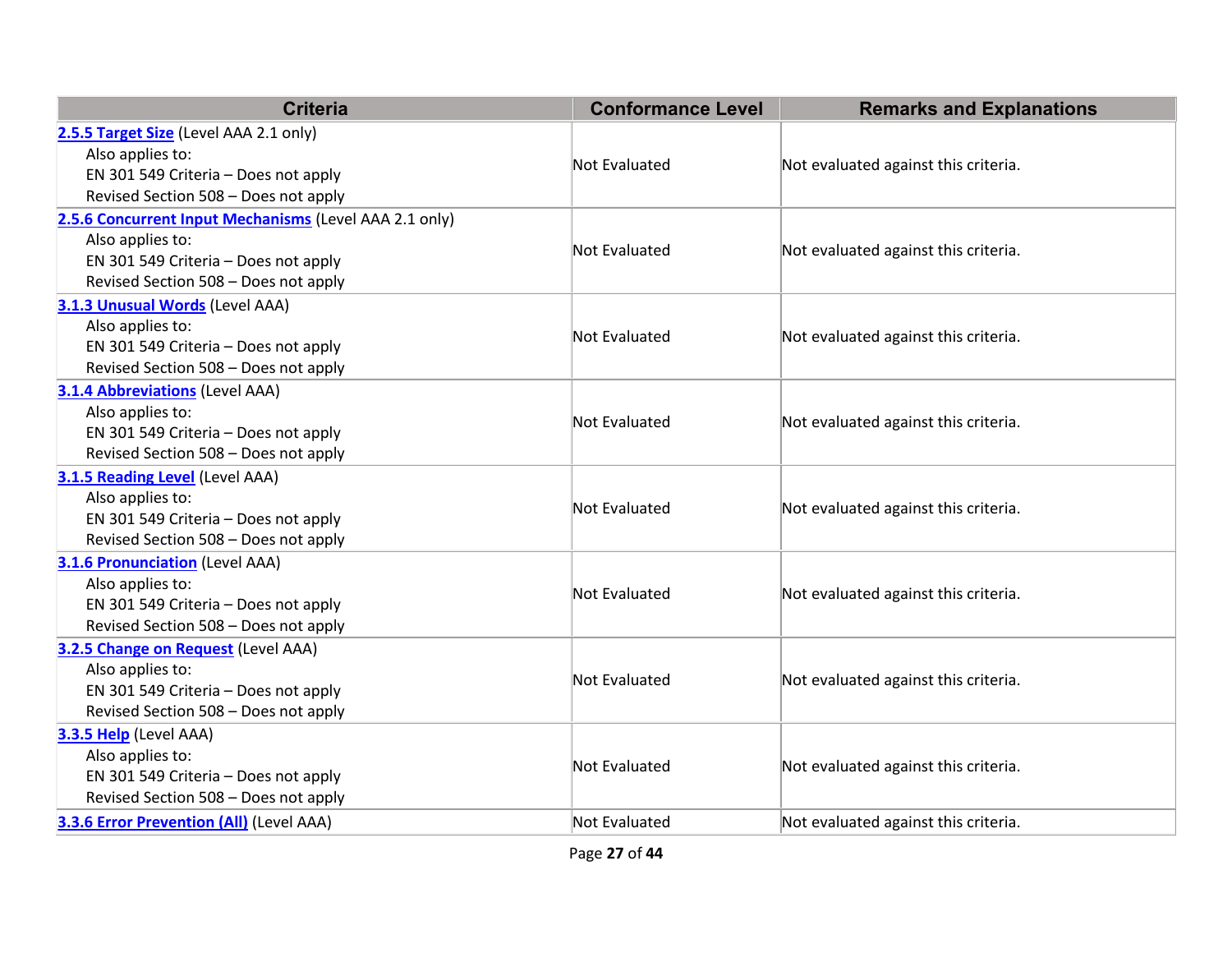| <b>Criteria</b>                                        | <b>Conformance Level</b> | <b>Remarks and Explanations</b>      |  |
|--------------------------------------------------------|--------------------------|--------------------------------------|--|
| 2.5.5 Target Size (Level AAA 2.1 only)                 |                          |                                      |  |
| Also applies to:                                       | <b>Not Evaluated</b>     | Not evaluated against this criteria. |  |
| EN 301 549 Criteria - Does not apply                   |                          |                                      |  |
| Revised Section 508 - Does not apply                   |                          |                                      |  |
| 2.5.6 Concurrent Input Mechanisms (Level AAA 2.1 only) |                          |                                      |  |
| Also applies to:                                       | Not Evaluated            | Not evaluated against this criteria. |  |
| EN 301 549 Criteria - Does not apply                   |                          |                                      |  |
| Revised Section 508 - Does not apply                   |                          |                                      |  |
| 3.1.3 Unusual Words (Level AAA)                        |                          |                                      |  |
| Also applies to:                                       | <b>Not Evaluated</b>     | Not evaluated against this criteria. |  |
| EN 301 549 Criteria - Does not apply                   |                          |                                      |  |
| Revised Section 508 - Does not apply                   |                          |                                      |  |
| <b>3.1.4 Abbreviations (Level AAA)</b>                 |                          |                                      |  |
| Also applies to:                                       | <b>Not Evaluated</b>     | Not evaluated against this criteria. |  |
| EN 301 549 Criteria - Does not apply                   |                          |                                      |  |
| Revised Section 508 - Does not apply                   |                          |                                      |  |
| 3.1.5 Reading Level (Level AAA)                        |                          |                                      |  |
| Also applies to:                                       | <b>Not Evaluated</b>     | Not evaluated against this criteria. |  |
| EN 301 549 Criteria - Does not apply                   |                          |                                      |  |
| Revised Section 508 - Does not apply                   |                          |                                      |  |
| <b>3.1.6 Pronunciation (Level AAA)</b>                 |                          |                                      |  |
| Also applies to:                                       | Not Evaluated            | Not evaluated against this criteria. |  |
| EN 301 549 Criteria - Does not apply                   |                          |                                      |  |
| Revised Section 508 - Does not apply                   |                          |                                      |  |
| 3.2.5 Change on Request (Level AAA)                    |                          |                                      |  |
| Also applies to:                                       | <b>Not Evaluated</b>     | Not evaluated against this criteria. |  |
| EN 301 549 Criteria - Does not apply                   |                          |                                      |  |
| Revised Section 508 - Does not apply                   |                          |                                      |  |
| 3.3.5 Help (Level AAA)                                 |                          |                                      |  |
| Also applies to:                                       | <b>Not Evaluated</b>     | Not evaluated against this criteria. |  |
| EN 301 549 Criteria - Does not apply                   |                          |                                      |  |
| Revised Section 508 - Does not apply                   |                          |                                      |  |
| <b>3.3.6 Error Prevention (All)</b> (Level AAA)        | Not Evaluated            | Not evaluated against this criteria. |  |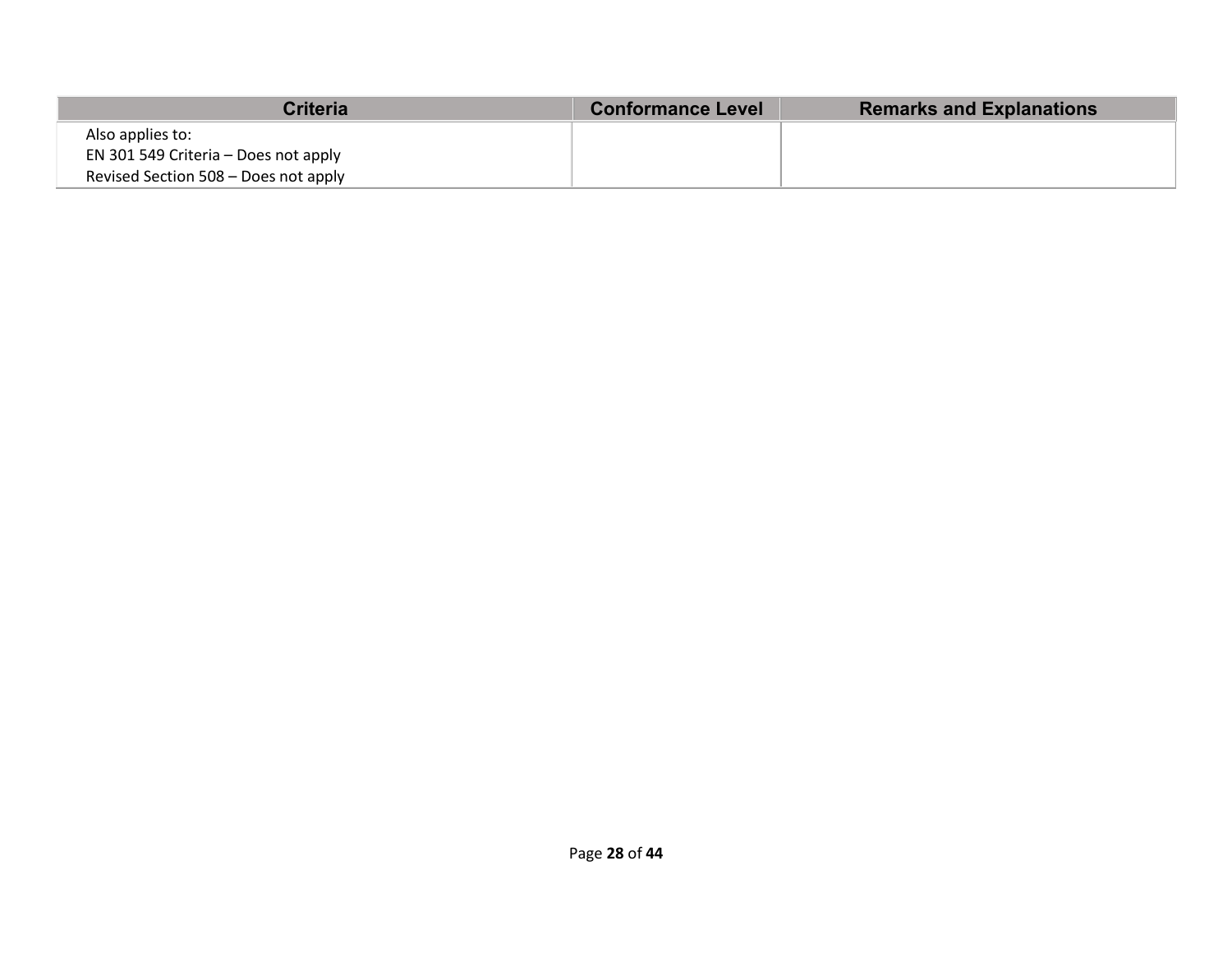| <b>Criteria</b>                      | <b>Conformance Level</b> | <b>Remarks and Explanations</b> |
|--------------------------------------|--------------------------|---------------------------------|
| Also applies to:                     |                          |                                 |
| EN 301 549 Criteria – Does not apply |                          |                                 |
| Revised Section 508 - Does not apply |                          |                                 |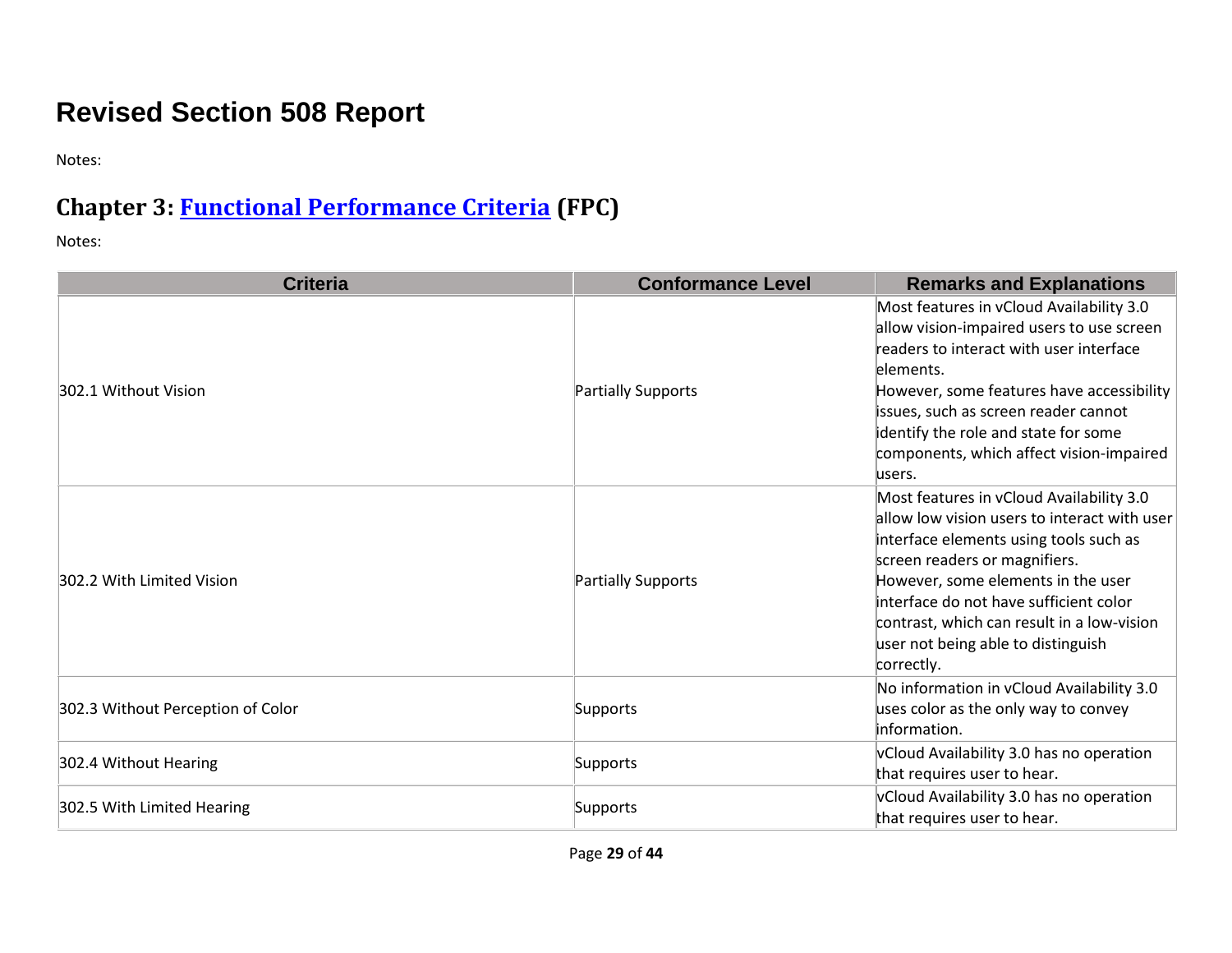## **Revised Section 508 Report**

Notes:

## **Chapter 3: [Functional Performance Criteria](https://www.access-board.gov/guidelines-and-standards/communications-and-it/about-the-ict-refresh/final-rule/text-of-the-standards-and-guidelines#302-functional-performance-criteria) (FPC)**

| <b>Criteria</b>                   | <b>Conformance Level</b> | <b>Remarks and Explanations</b>                                                                                                                                                                                                                                                                                                                       |
|-----------------------------------|--------------------------|-------------------------------------------------------------------------------------------------------------------------------------------------------------------------------------------------------------------------------------------------------------------------------------------------------------------------------------------------------|
| 302.1 Without Vision              | Partially Supports       | Most features in vCloud Availability 3.0<br>allow vision-impaired users to use screen<br>readers to interact with user interface<br>elements.<br>However, some features have accessibility<br>issues, such as screen reader cannot<br>identify the role and state for some<br>components, which affect vision-impaired<br>lusers.                     |
| 302.2 With Limited Vision         | Partially Supports       | Most features in vCloud Availability 3.0<br>allow low vision users to interact with user<br>interface elements using tools such as<br>screen readers or magnifiers.<br>However, some elements in the user<br>interface do not have sufficient color<br>contrast, which can result in a low-vision<br>user not being able to distinguish<br>correctly. |
| 302.3 Without Perception of Color | Supports                 | No information in vCloud Availability 3.0<br>uses color as the only way to convey<br>information.                                                                                                                                                                                                                                                     |
| 302.4 Without Hearing             | Supports                 | vCloud Availability 3.0 has no operation<br>that requires user to hear.                                                                                                                                                                                                                                                                               |
| 302.5 With Limited Hearing        | Supports                 | vCloud Availability 3.0 has no operation<br>that requires user to hear.                                                                                                                                                                                                                                                                               |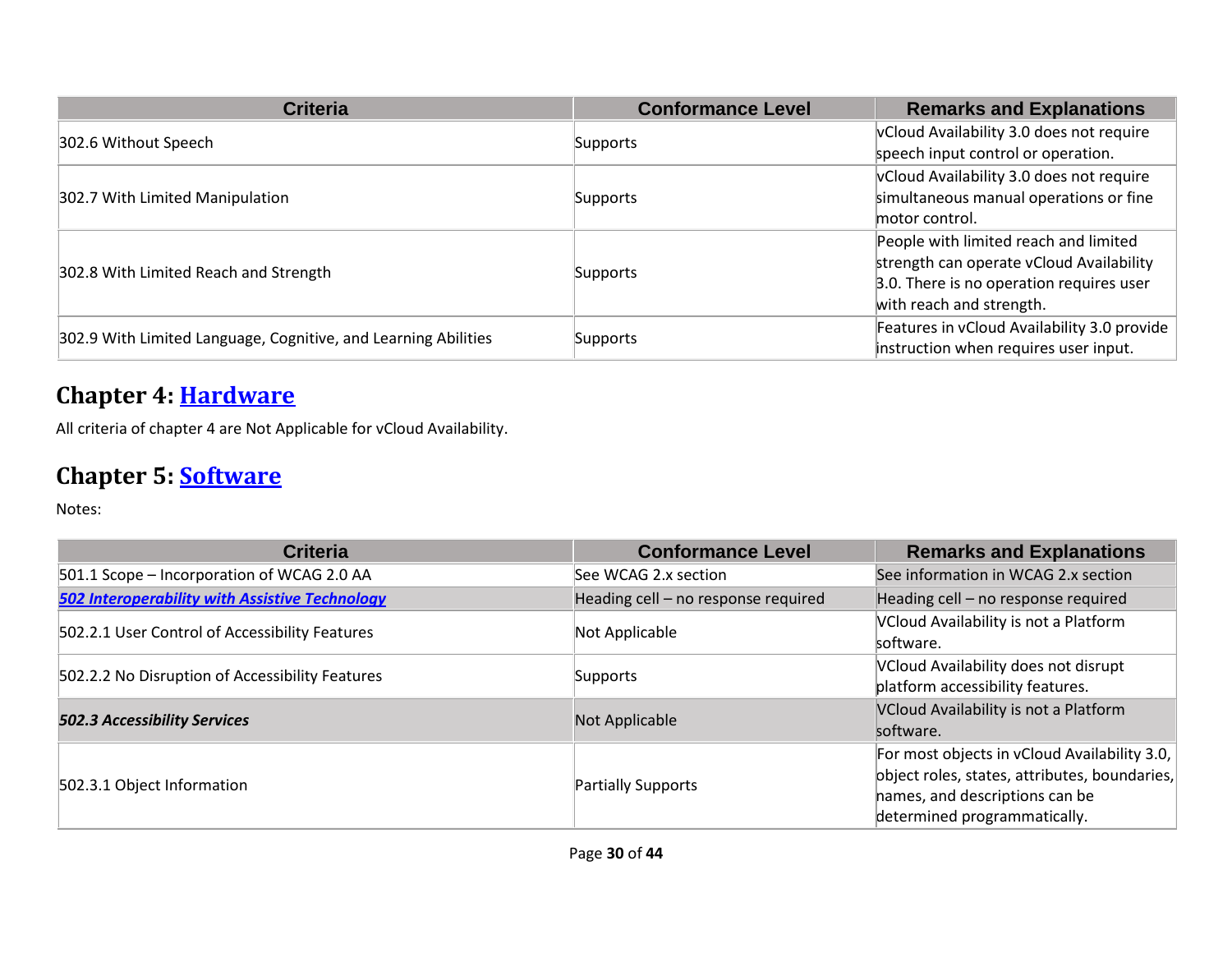| <b>Criteria</b>                                                | <b>Conformance Level</b> | <b>Remarks and Explanations</b>             |
|----------------------------------------------------------------|--------------------------|---------------------------------------------|
| 302.6 Without Speech                                           | Supports                 | vCloud Availability 3.0 does not require    |
|                                                                |                          | speech input control or operation.          |
|                                                                |                          | vCloud Availability 3.0 does not require    |
| 302.7 With Limited Manipulation                                | <b>Supports</b>          | simultaneous manual operations or fine      |
|                                                                |                          | motor control.                              |
|                                                                | Supports                 | People with limited reach and limited       |
| 302.8 With Limited Reach and Strength                          |                          | strength can operate vCloud Availability    |
|                                                                |                          | 3.0. There is no operation requires user    |
|                                                                |                          | with reach and strength.                    |
|                                                                |                          | Features in vCloud Availability 3.0 provide |
| 302.9 With Limited Language, Cognitive, and Learning Abilities | <b>Supports</b>          | instruction when requires user input.       |

#### **Chapter 4: [Hardware](https://www.access-board.gov/guidelines-and-standards/communications-and-it/about-the-ict-refresh/final-rule/text-of-the-standards-and-guidelines#401-general)**

All criteria of chapter 4 are Not Applicable for vCloud Availability.

#### **Chapter 5: [Software](https://www.access-board.gov/guidelines-and-standards/communications-and-it/about-the-ict-refresh/final-rule/text-of-the-standards-and-guidelines#501-general)**

| <b>Criteria</b>                                       | <b>Conformance Level</b>            | <b>Remarks and Explanations</b>               |
|-------------------------------------------------------|-------------------------------------|-----------------------------------------------|
| 501.1 Scope - Incorporation of WCAG 2.0 AA            | See WCAG 2.x section                | See information in WCAG 2.x section           |
| <b>502 Interoperability with Assistive Technology</b> | Heading cell - no response required | Heading cell - no response required           |
| 502.2.1 User Control of Accessibility Features        | Not Applicable                      | VCloud Availability is not a Platform         |
|                                                       |                                     | software.                                     |
| 502.2.2 No Disruption of Accessibility Features       | Supports                            | VCloud Availability does not disrupt          |
|                                                       |                                     | platform accessibility features.              |
| <b>502.3 Accessibility Services</b>                   | Not Applicable                      | VCloud Availability is not a Platform         |
|                                                       |                                     | software.                                     |
| 502.3.1 Object Information                            | <b>Partially Supports</b>           | For most objects in vCloud Availability 3.0,  |
|                                                       |                                     | object roles, states, attributes, boundaries, |
|                                                       |                                     | hames, and descriptions can be                |
|                                                       |                                     | determined programmatically.                  |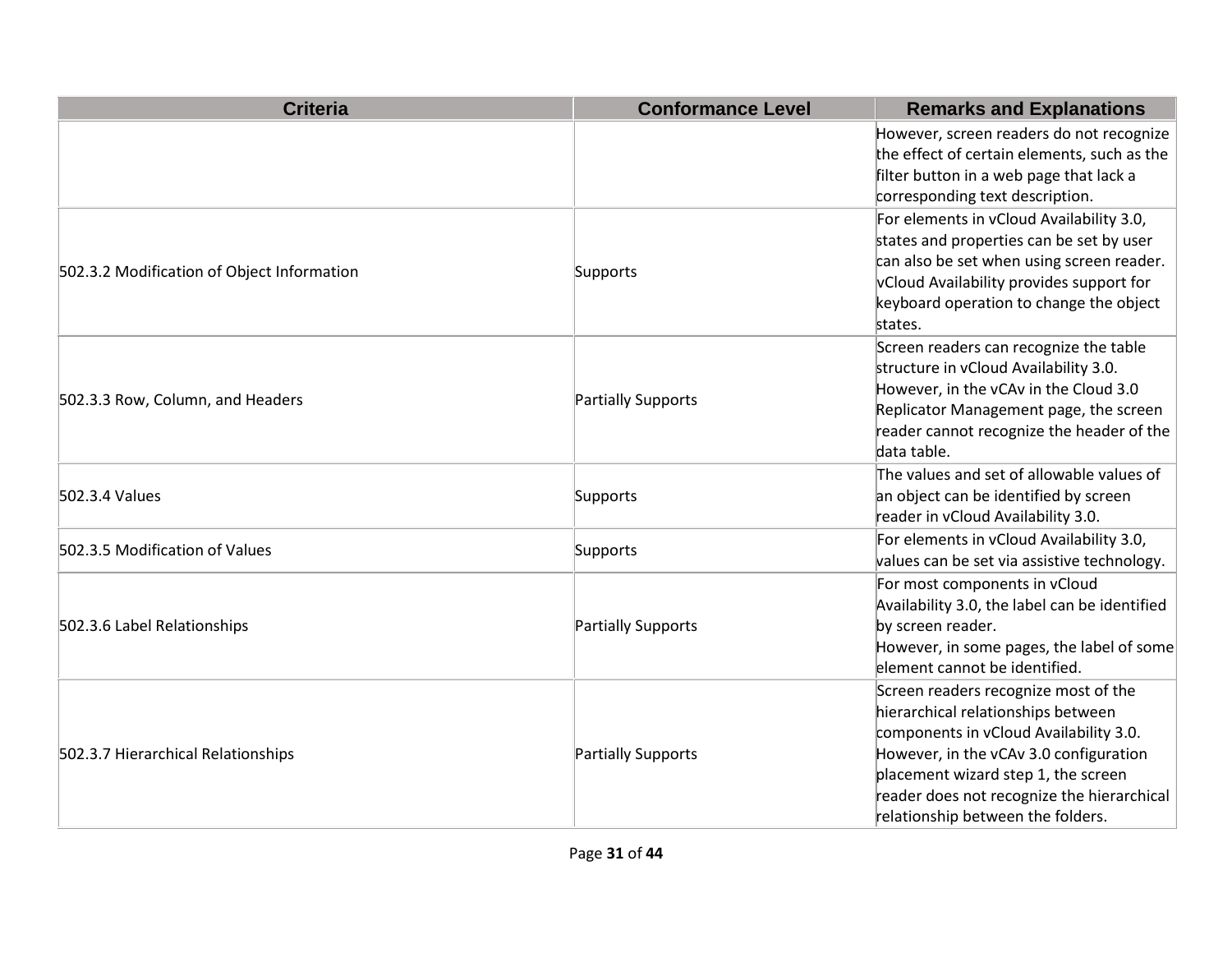| <b>Criteria</b>                            | <b>Conformance Level</b> | <b>Remarks and Explanations</b>                                                                                                                                                                                                                                                          |
|--------------------------------------------|--------------------------|------------------------------------------------------------------------------------------------------------------------------------------------------------------------------------------------------------------------------------------------------------------------------------------|
|                                            |                          | However, screen readers do not recognize<br>the effect of certain elements, such as the<br>filter button in a web page that lack a<br>corresponding text description.                                                                                                                    |
| 502.3.2 Modification of Object Information | Supports                 | For elements in vCloud Availability 3.0,<br>states and properties can be set by user<br>can also be set when using screen reader.<br>vCloud Availability provides support for<br>keyboard operation to change the object<br>states.                                                      |
| 502.3.3 Row, Column, and Headers           | Partially Supports       | Screen readers can recognize the table<br>structure in vCloud Availability 3.0.<br>However, in the vCAv in the Cloud 3.0<br>Replicator Management page, the screen<br>reader cannot recognize the header of the<br>data table.                                                           |
| 502.3.4 Values                             | Supports                 | The values and set of allowable values of<br>an object can be identified by screen<br>reader in vCloud Availability 3.0.                                                                                                                                                                 |
| 502.3.5 Modification of Values             | Supports                 | For elements in vCloud Availability 3.0,<br>values can be set via assistive technology.                                                                                                                                                                                                  |
| 502.3.6 Label Relationships                | Partially Supports       | For most components in vCloud<br>Availability 3.0, the label can be identified<br>by screen reader.<br>However, in some pages, the label of some<br>element cannot be identified.                                                                                                        |
| 502.3.7 Hierarchical Relationships         | Partially Supports       | Screen readers recognize most of the<br>hierarchical relationships between<br>components in vCloud Availability 3.0.<br>However, in the vCAv 3.0 configuration<br>placement wizard step 1, the screen<br>reader does not recognize the hierarchical<br>relationship between the folders. |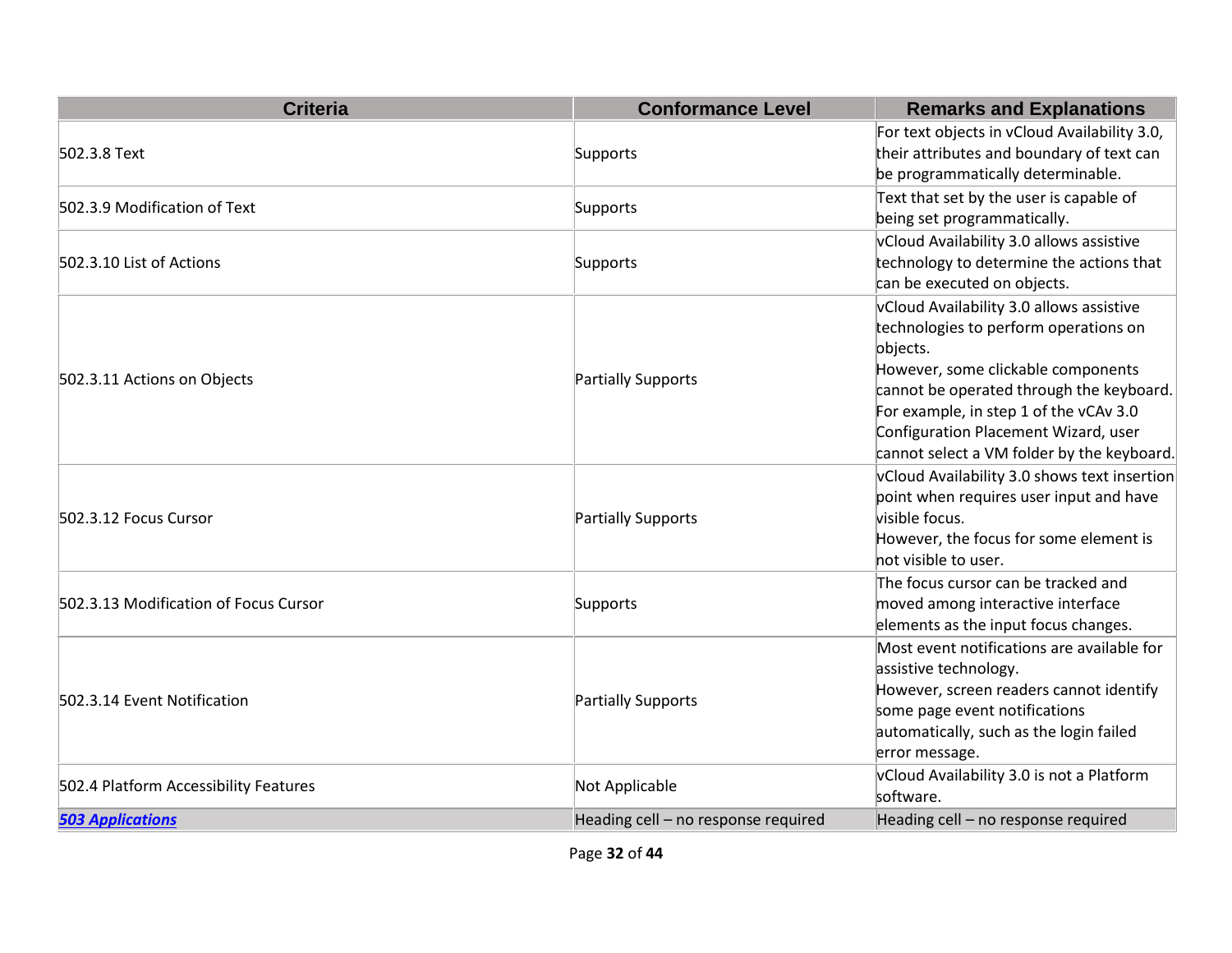| <b>Criteria</b>                       | <b>Conformance Level</b>            | <b>Remarks and Explanations</b>                                                                                                                                                                                                                                                                                 |
|---------------------------------------|-------------------------------------|-----------------------------------------------------------------------------------------------------------------------------------------------------------------------------------------------------------------------------------------------------------------------------------------------------------------|
| 502.3.8 Text                          | Supports                            | For text objects in vCloud Availability 3.0,<br>their attributes and boundary of text can<br>be programmatically determinable.                                                                                                                                                                                  |
| 502.3.9 Modification of Text          | Supports                            | Text that set by the user is capable of<br>being set programmatically.                                                                                                                                                                                                                                          |
| 502.3.10 List of Actions              | Supports                            | vCloud Availability 3.0 allows assistive<br>technology to determine the actions that<br>can be executed on objects.                                                                                                                                                                                             |
| 502.3.11 Actions on Objects           | Partially Supports                  | vCloud Availability 3.0 allows assistive<br>technologies to perform operations on<br>objects.<br>However, some clickable components<br>cannot be operated through the keyboard.<br>For example, in step 1 of the vCAv 3.0<br>Configuration Placement Wizard, user<br>cannot select a VM folder by the keyboard. |
| 502.3.12 Focus Cursor                 | Partially Supports                  | vCloud Availability 3.0 shows text insertion<br>point when requires user input and have<br>visible focus.<br>However, the focus for some element is<br>not visible to user.                                                                                                                                     |
| 502.3.13 Modification of Focus Cursor | Supports                            | The focus cursor can be tracked and<br>moved among interactive interface<br>elements as the input focus changes.                                                                                                                                                                                                |
| 502.3.14 Event Notification           | Partially Supports                  | Most event notifications are available for<br>assistive technology.<br>However, screen readers cannot identify<br>some page event notifications<br>automatically, such as the login failed<br>error message.                                                                                                    |
| 502.4 Platform Accessibility Features | Not Applicable                      | vCloud Availability 3.0 is not a Platform<br>software.                                                                                                                                                                                                                                                          |
| <b>503 Applications</b>               | Heading cell - no response required | Heading cell - no response required                                                                                                                                                                                                                                                                             |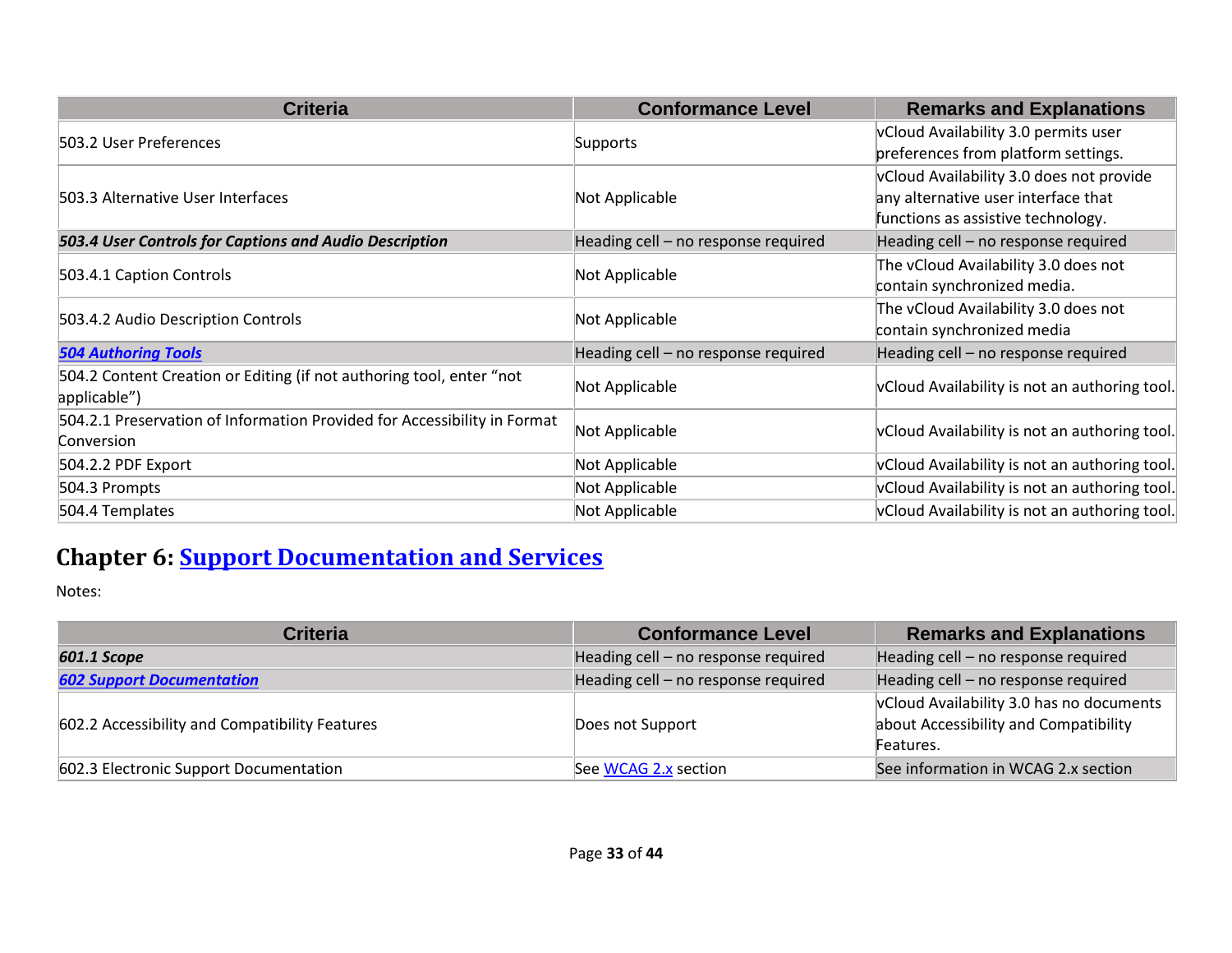| <b>Criteria</b>                                                                        | <b>Conformance Level</b>            | <b>Remarks and Explanations</b>                                                                                       |
|----------------------------------------------------------------------------------------|-------------------------------------|-----------------------------------------------------------------------------------------------------------------------|
| 503.2 User Preferences                                                                 | Supports                            | vCloud Availability 3.0 permits user<br>preferences from platform settings.                                           |
| 503.3 Alternative User Interfaces                                                      | Not Applicable                      | vCloud Availability 3.0 does not provide<br>any alternative user interface that<br>functions as assistive technology. |
| 503.4 User Controls for Captions and Audio Description                                 | Heading cell - no response required | Heading cell - no response required                                                                                   |
| 503.4.1 Caption Controls                                                               | Not Applicable                      | The vCloud Availability 3.0 does not<br>contain synchronized media.                                                   |
| 503.4.2 Audio Description Controls                                                     | Not Applicable                      | The vCloud Availability 3.0 does not<br>contain synchronized media                                                    |
| <b>504 Authoring Tools</b>                                                             | Heading cell - no response required | Heading cell - no response required                                                                                   |
| 504.2 Content Creation or Editing (if not authoring tool, enter "not<br>applicable")   | Not Applicable                      | vCloud Availability is not an authoring tool.                                                                         |
| 504.2.1 Preservation of Information Provided for Accessibility in Format<br>Conversion | Not Applicable                      | vCloud Availability is not an authoring tool.                                                                         |
| 504.2.2 PDF Export                                                                     | Not Applicable                      | vCloud Availability is not an authoring tool.                                                                         |
| 504.3 Prompts                                                                          | Not Applicable                      | vCloud Availability is not an authoring tool.                                                                         |
| 504.4 Templates                                                                        | Not Applicable                      | vCloud Availability is not an authoring tool.                                                                         |

## **Chapter 6: [Support Documentation and Services](https://www.access-board.gov/guidelines-and-standards/communications-and-it/about-the-ict-refresh/final-rule/text-of-the-standards-and-guidelines#601-general)**

| <b>Criteria</b>                                | <b>Conformance Level</b>            | <b>Remarks and Explanations</b>                                                                |
|------------------------------------------------|-------------------------------------|------------------------------------------------------------------------------------------------|
| 601.1 Scope                                    | Heading cell - no response required | Heading cell - no response required                                                            |
| <b>602 Support Documentation</b>               | Heading cell - no response required | Heading cell - no response required                                                            |
| 602.2 Accessibility and Compatibility Features | Does not Support                    | vCloud Availability 3.0 has no documents<br>about Accessibility and Compatibility<br>Features. |
| 602.3 Electronic Support Documentation         | See WCAG 2.x section                | See information in WCAG 2.x section                                                            |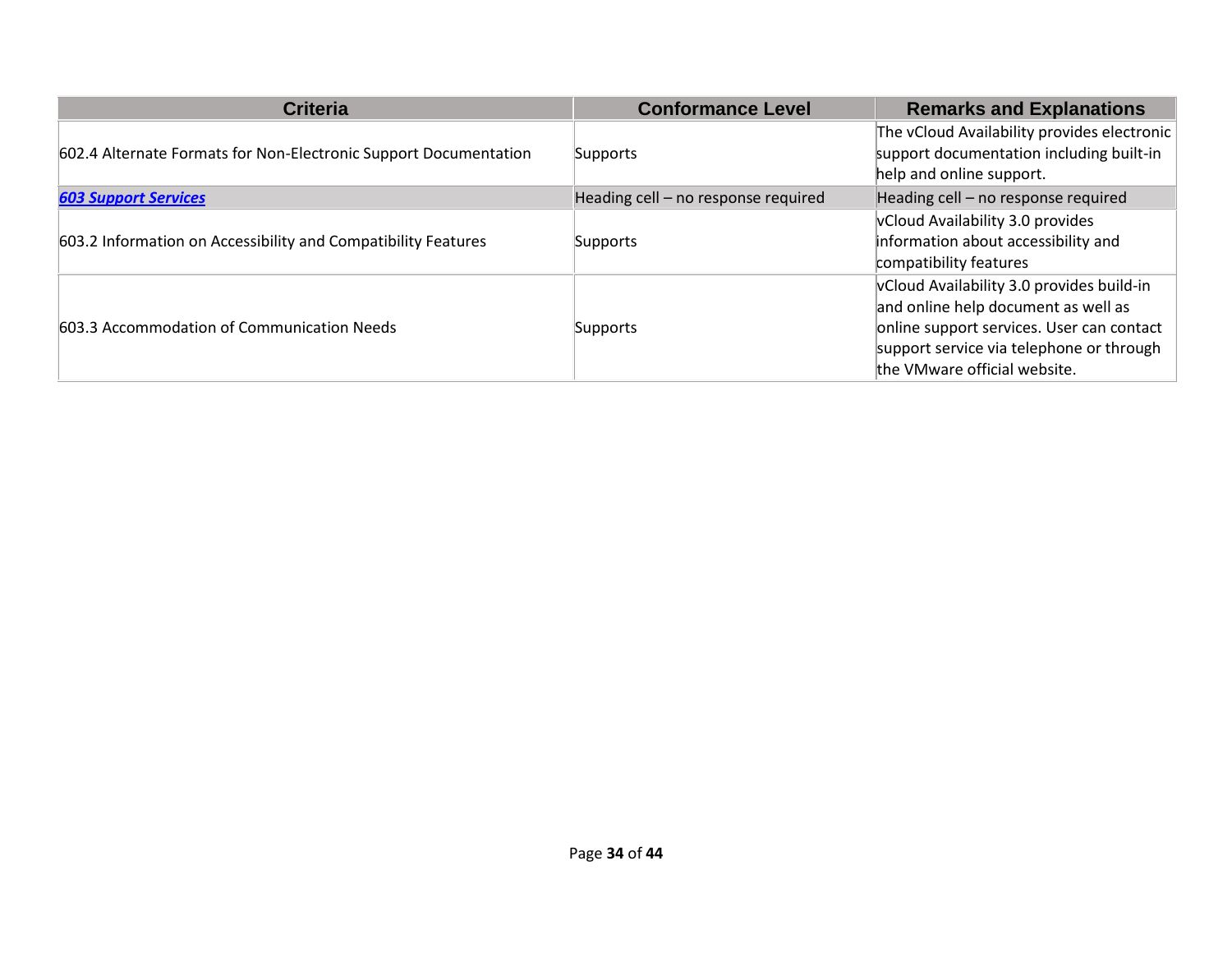| <b>Criteria</b>                                                  | <b>Conformance Level</b>            | <b>Remarks and Explanations</b>             |
|------------------------------------------------------------------|-------------------------------------|---------------------------------------------|
|                                                                  |                                     | The vCloud Availability provides electronic |
| 602.4 Alternate Formats for Non-Electronic Support Documentation | Supports                            | support documentation including built-in    |
|                                                                  |                                     | help and online support.                    |
| <b>603 Support Services</b>                                      | Heading cell - no response required | Heading cell - no response required         |
|                                                                  |                                     | vCloud Availability 3.0 provides            |
| 603.2 Information on Accessibility and Compatibility Features    | Supports                            | information about accessibility and         |
|                                                                  |                                     | compatibility features                      |
|                                                                  |                                     | vCloud Availability 3.0 provides build-in   |
| 603.3 Accommodation of Communication Needs                       | Supports                            | and online help document as well as         |
|                                                                  |                                     | online support services. User can contact   |
|                                                                  |                                     | support service via telephone or through    |
|                                                                  |                                     | the VMware official website.                |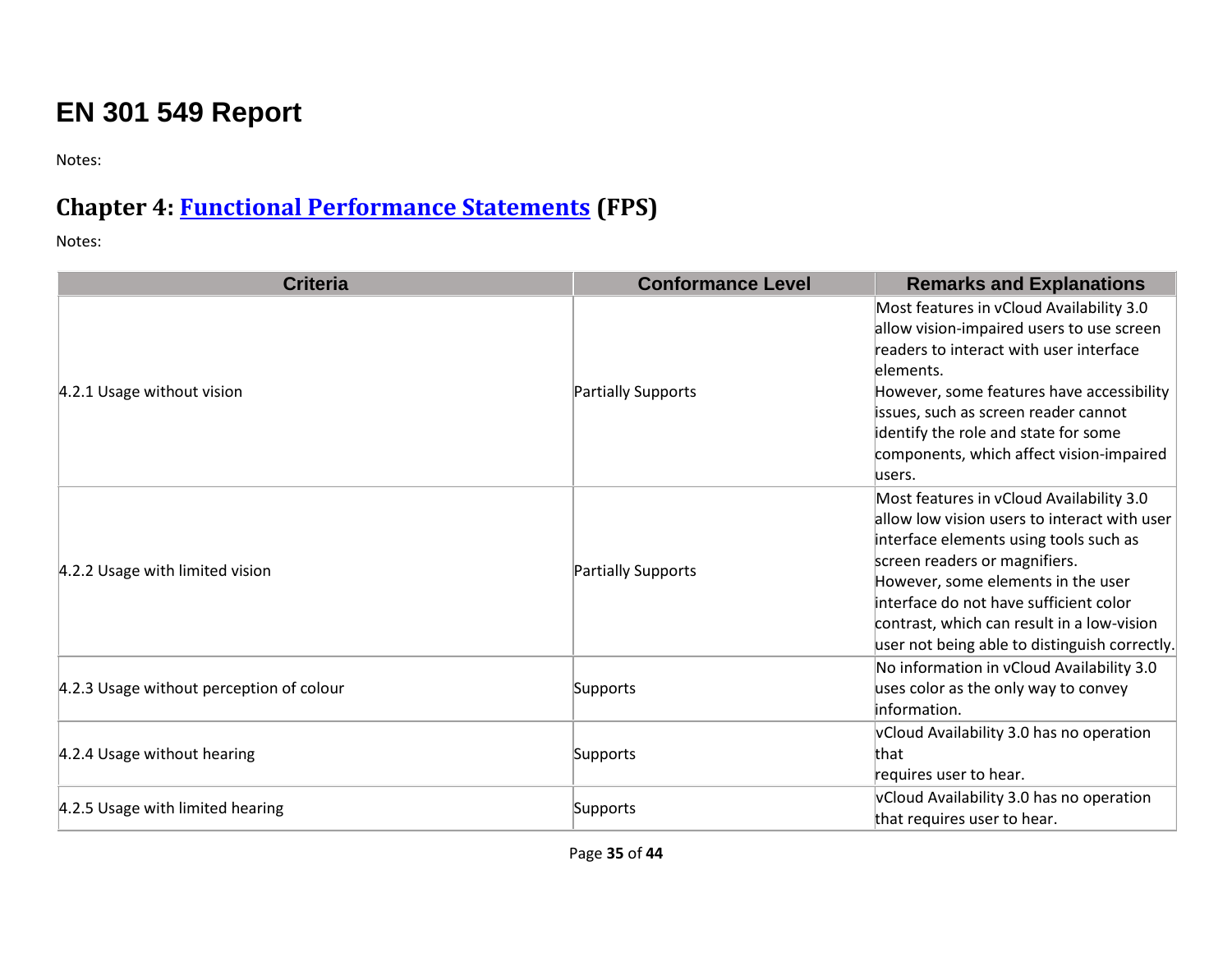# **EN 301 549 Report**

Notes:

#### **Chapter 4: [Functional Performance Statements](https://www.etsi.org/deliver/etsi_en/301500_301599/301549/02.01.02_60/en_301549v020102p.pdf#page=17) (FPS)**

| <b>Criteria</b>                          | <b>Conformance Level</b> | <b>Remarks and Explanations</b>                                                                                                                                                                                                                                                                                                                    |
|------------------------------------------|--------------------------|----------------------------------------------------------------------------------------------------------------------------------------------------------------------------------------------------------------------------------------------------------------------------------------------------------------------------------------------------|
| 4.2.1 Usage without vision               | Partially Supports       | Most features in vCloud Availability 3.0<br>allow vision-impaired users to use screen<br>readers to interact with user interface<br>elements.<br>However, some features have accessibility<br>issues, such as screen reader cannot<br>identify the role and state for some<br>components, which affect vision-impaired<br>users.                   |
| 4.2.2 Usage with limited vision          | Partially Supports       | Most features in vCloud Availability 3.0<br>allow low vision users to interact with user<br>interface elements using tools such as<br>screen readers or magnifiers.<br>However, some elements in the user<br>interface do not have sufficient color<br>contrast, which can result in a low-vision<br>user not being able to distinguish correctly. |
| 4.2.3 Usage without perception of colour | Supports                 | No information in vCloud Availability 3.0<br>uses color as the only way to convey<br>information.                                                                                                                                                                                                                                                  |
| 4.2.4 Usage without hearing              | Supports                 | vCloud Availability 3.0 has no operation<br>that<br>requires user to hear.                                                                                                                                                                                                                                                                         |
| 4.2.5 Usage with limited hearing         | Supports                 | vCloud Availability 3.0 has no operation<br>that requires user to hear.                                                                                                                                                                                                                                                                            |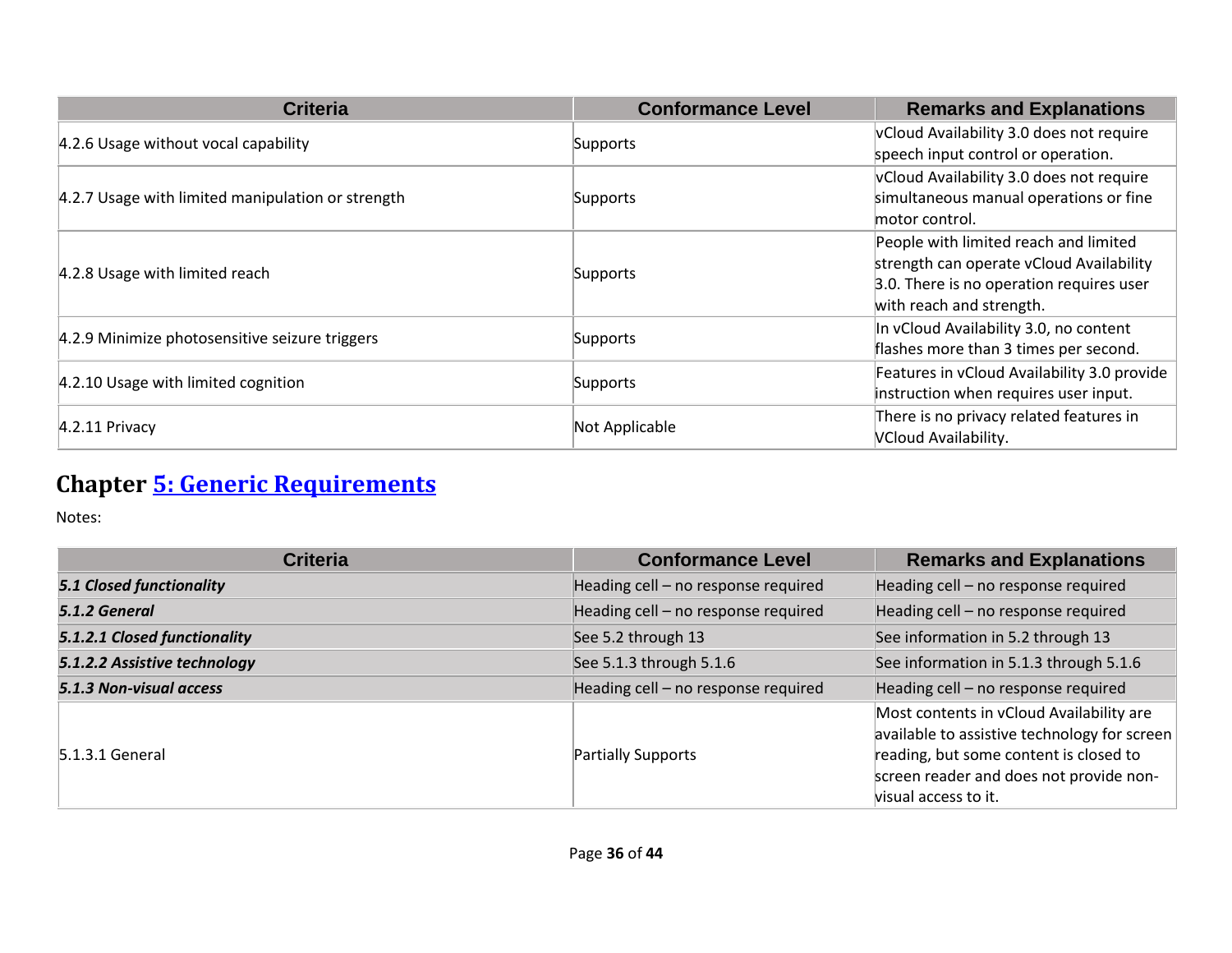| <b>Criteria</b>                                   | <b>Conformance Level</b> | <b>Remarks and Explanations</b>             |
|---------------------------------------------------|--------------------------|---------------------------------------------|
| 4.2.6 Usage without vocal capability              | Supports                 | vCloud Availability 3.0 does not require    |
|                                                   |                          | speech input control or operation.          |
|                                                   |                          | vCloud Availability 3.0 does not require    |
| 4.2.7 Usage with limited manipulation or strength | Supports                 | simultaneous manual operations or fine      |
|                                                   |                          | motor control.                              |
|                                                   |                          | People with limited reach and limited       |
|                                                   |                          | strength can operate vCloud Availability    |
| 4.2.8 Usage with limited reach                    | Supports                 | 3.0. There is no operation requires user    |
|                                                   |                          | with reach and strength.                    |
|                                                   |                          | In vCloud Availability 3.0, no content      |
| 4.2.9 Minimize photosensitive seizure triggers    | Supports                 | flashes more than 3 times per second.       |
| 4.2.10 Usage with limited cognition               | Supports                 | Features in vCloud Availability 3.0 provide |
|                                                   |                          | instruction when requires user input.       |
|                                                   | Not Applicable           | There is no privacy related features in     |
| $4.2.11$ Privacy                                  |                          | <b>VCloud Availability.</b>                 |

# **Chapter [5: Generic Requirements](https://www.etsi.org/deliver/etsi_en/301500_301599/301549/02.01.02_60/en_301549v020102p.pdf#page=20)**

| <b>Criteria</b>                 | <b>Conformance Level</b>            | <b>Remarks and Explanations</b>                                                                                                                                                                       |
|---------------------------------|-------------------------------------|-------------------------------------------------------------------------------------------------------------------------------------------------------------------------------------------------------|
| <b>5.1 Closed functionality</b> | Heading cell - no response required | Heading cell - no response required                                                                                                                                                                   |
| 5.1.2 General                   | Heading cell - no response required | Heading cell - no response required                                                                                                                                                                   |
| 5.1.2.1 Closed functionality    | See 5.2 through 13                  | See information in 5.2 through 13                                                                                                                                                                     |
| 5.1.2.2 Assistive technology    | See 5.1.3 through 5.1.6             | See information in 5.1.3 through 5.1.6                                                                                                                                                                |
| 5.1.3 Non-visual access         | Heading cell - no response required | Heading cell - no response required                                                                                                                                                                   |
| 5.1.3.1 General                 | Partially Supports                  | Most contents in vCloud Availability are<br>available to assistive technology for screen<br>reading, but some content is closed to<br>screen reader and does not provide non-<br>visual access to it. |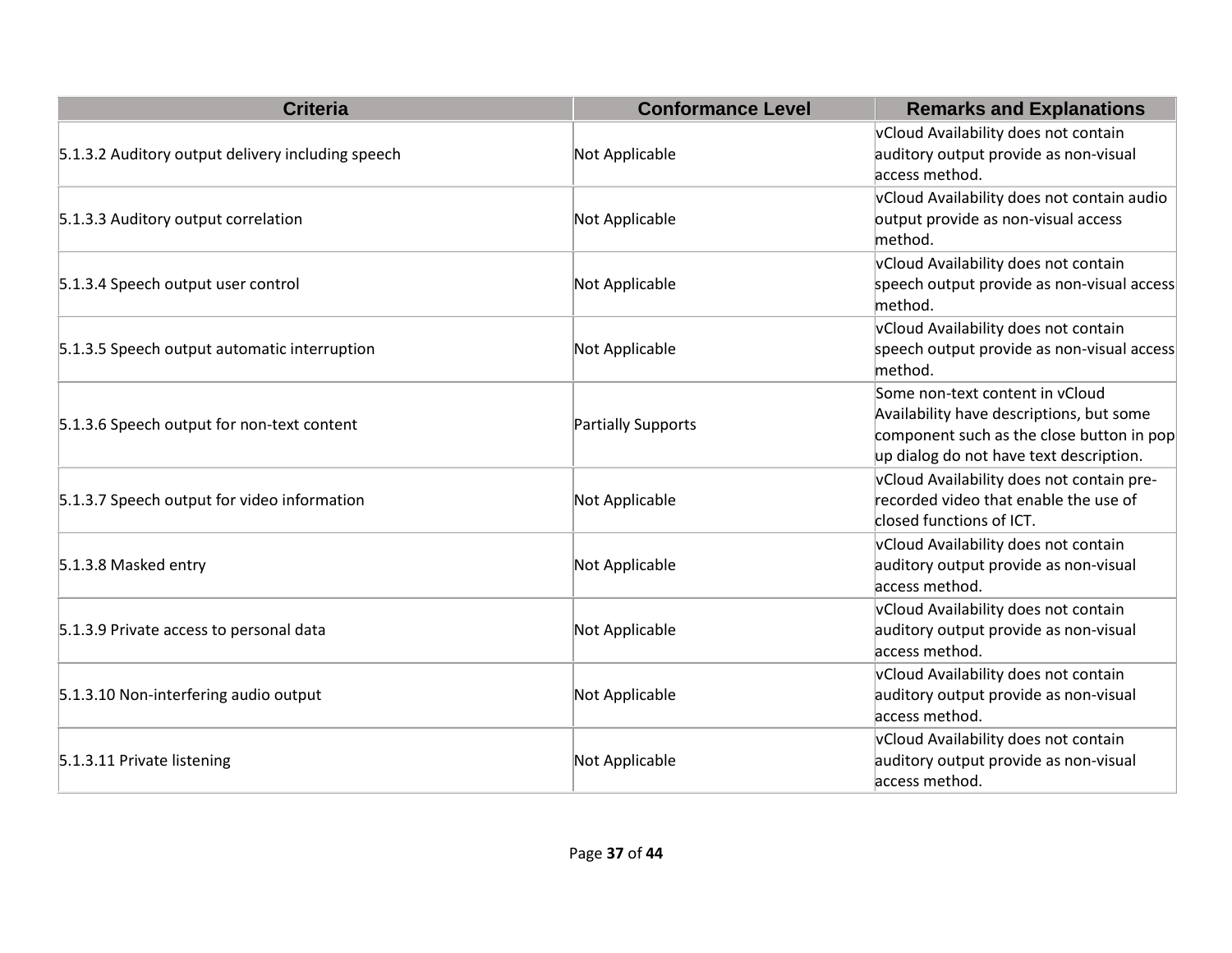| <b>Criteria</b>                                   | <b>Conformance Level</b> | <b>Remarks and Explanations</b>                                                                                                                                     |
|---------------------------------------------------|--------------------------|---------------------------------------------------------------------------------------------------------------------------------------------------------------------|
|                                                   |                          | vCloud Availability does not contain                                                                                                                                |
| 5.1.3.2 Auditory output delivery including speech | Not Applicable           | auditory output provide as non-visual<br>access method.                                                                                                             |
| 5.1.3.3 Auditory output correlation               | Not Applicable           | vCloud Availability does not contain audio<br>output provide as non-visual access<br>method.                                                                        |
| 5.1.3.4 Speech output user control                | Not Applicable           | vCloud Availability does not contain<br>speech output provide as non-visual access<br>method.                                                                       |
| 5.1.3.5 Speech output automatic interruption      | Not Applicable           | vCloud Availability does not contain<br>speech output provide as non-visual access<br>method.                                                                       |
| 5.1.3.6 Speech output for non-text content        | Partially Supports       | Some non-text content in vCloud<br>Availability have descriptions, but some<br>component such as the close button in pop<br>up dialog do not have text description. |
| 5.1.3.7 Speech output for video information       | Not Applicable           | vCloud Availability does not contain pre-<br>recorded video that enable the use of<br>closed functions of ICT.                                                      |
| 5.1.3.8 Masked entry                              | Not Applicable           | vCloud Availability does not contain<br>auditory output provide as non-visual<br>access method.                                                                     |
| 5.1.3.9 Private access to personal data           | Not Applicable           | vCloud Availability does not contain<br>auditory output provide as non-visual<br>access method.                                                                     |
| 5.1.3.10 Non-interfering audio output             | Not Applicable           | vCloud Availability does not contain<br>auditory output provide as non-visual<br>access method.                                                                     |
| 5.1.3.11 Private listening                        | Not Applicable           | vCloud Availability does not contain<br>auditory output provide as non-visual<br>access method.                                                                     |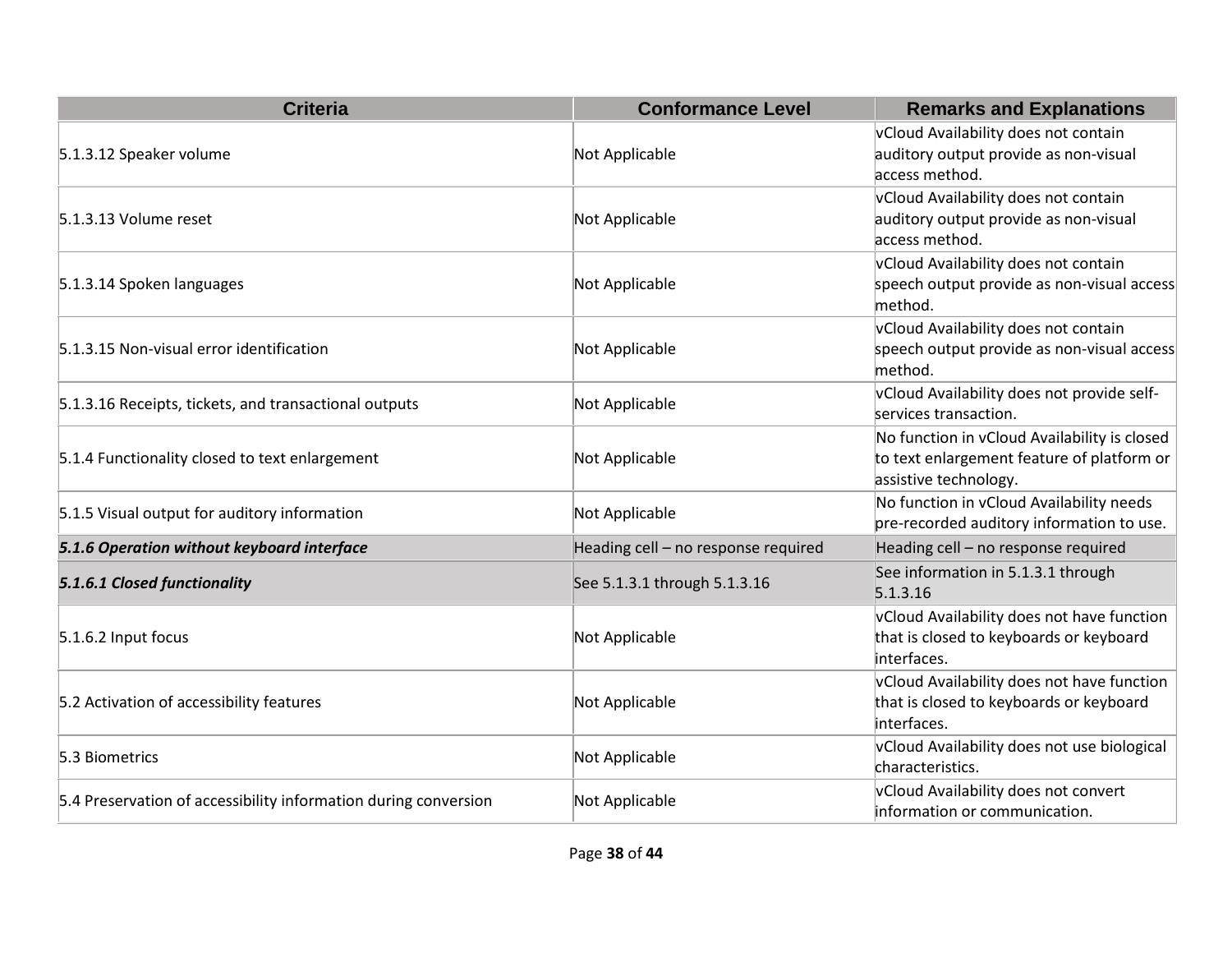| <b>Criteria</b>                                                 | <b>Conformance Level</b>            | <b>Remarks and Explanations</b>                                                                                     |
|-----------------------------------------------------------------|-------------------------------------|---------------------------------------------------------------------------------------------------------------------|
| 5.1.3.12 Speaker volume                                         | Not Applicable                      | vCloud Availability does not contain<br>auditory output provide as non-visual<br>access method.                     |
| 5.1.3.13 Volume reset                                           | Not Applicable                      | vCloud Availability does not contain<br>auditory output provide as non-visual<br>access method.                     |
| 5.1.3.14 Spoken languages                                       | Not Applicable                      | vCloud Availability does not contain<br>speech output provide as non-visual access<br>method.                       |
| 5.1.3.15 Non-visual error identification                        | Not Applicable                      | vCloud Availability does not contain<br>speech output provide as non-visual access<br>method.                       |
| 5.1.3.16 Receipts, tickets, and transactional outputs           | Not Applicable                      | vCloud Availability does not provide self-<br>services transaction.                                                 |
| 5.1.4 Functionality closed to text enlargement                  | Not Applicable                      | No function in vCloud Availability is closed<br>to text enlargement feature of platform or<br>assistive technology. |
| 5.1.5 Visual output for auditory information                    | Not Applicable                      | No function in vCloud Availability needs<br>pre-recorded auditory information to use.                               |
| 5.1.6 Operation without keyboard interface                      | Heading cell - no response required | Heading cell - no response required                                                                                 |
| 5.1.6.1 Closed functionality                                    | See 5.1.3.1 through 5.1.3.16        | See information in 5.1.3.1 through<br>5.1.3.16                                                                      |
| 5.1.6.2 Input focus                                             | Not Applicable                      | vCloud Availability does not have function<br>that is closed to keyboards or keyboard<br>interfaces.                |
| 5.2 Activation of accessibility features                        | Not Applicable                      | vCloud Availability does not have function<br>that is closed to keyboards or keyboard<br>interfaces.                |
| 5.3 Biometrics                                                  | Not Applicable                      | vCloud Availability does not use biological<br>characteristics.                                                     |
| 5.4 Preservation of accessibility information during conversion | Not Applicable                      | vCloud Availability does not convert<br>information or communication.                                               |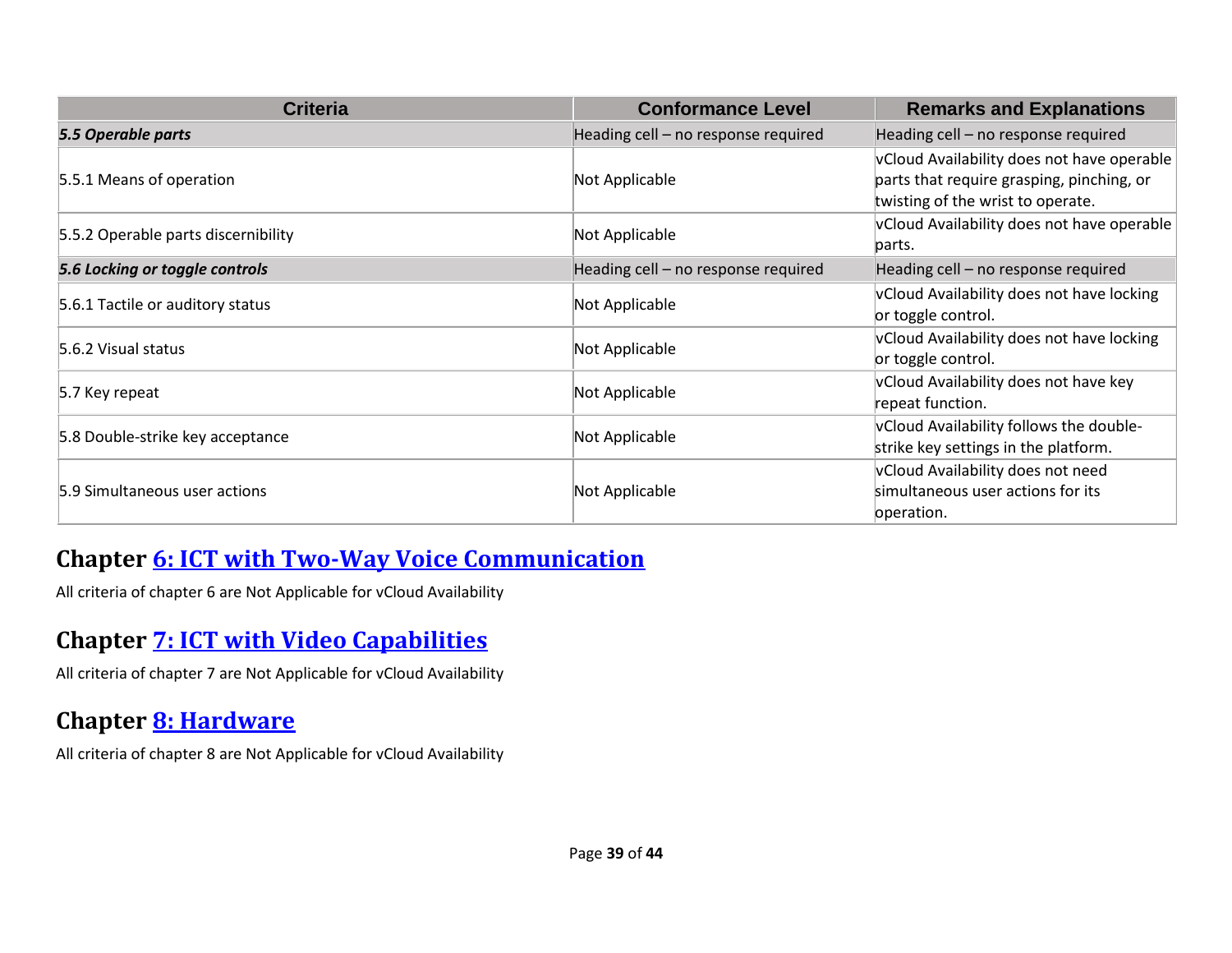| <b>Criteria</b>                     | <b>Conformance Level</b>            | <b>Remarks and Explanations</b>            |
|-------------------------------------|-------------------------------------|--------------------------------------------|
| 5.5 Operable parts                  | Heading cell - no response required | Heading cell - no response required        |
|                                     |                                     | vCloud Availability does not have operable |
| 5.5.1 Means of operation            | Not Applicable                      | parts that require grasping, pinching, or  |
|                                     |                                     | twisting of the wrist to operate.          |
| 5.5.2 Operable parts discernibility | Not Applicable                      | vCloud Availability does not have operable |
|                                     |                                     | parts.                                     |
| 5.6 Locking or toggle controls      | Heading cell - no response required | Heading cell - no response required        |
|                                     |                                     | vCloud Availability does not have locking  |
| 5.6.1 Tactile or auditory status    | Not Applicable                      | or toggle control.                         |
| 5.6.2 Visual status                 |                                     | vCloud Availability does not have locking  |
|                                     | Not Applicable                      | or toggle control.                         |
|                                     |                                     | vCloud Availability does not have key      |
| 5.7 Key repeat                      | Not Applicable                      | repeat function.                           |
|                                     |                                     | vCloud Availability follows the double-    |
| 5.8 Double-strike key acceptance    | Not Applicable                      | strike key settings in the platform.       |
|                                     |                                     | vCloud Availability does not need          |
| 5.9 Simultaneous user actions       | Not Applicable                      | simultaneous user actions for its          |
|                                     |                                     | operation.                                 |

#### **Chapter [6: ICT with Two-Way Voice Communication](https://www.etsi.org/deliver/etsi_en/301500_301599/301549/02.01.02_60/en_301549v020102p.pdf#page=27)**

All criteria of chapter 6 are Not Applicable for vCloud Availability

#### **Chapter [7: ICT with Video Capabilities](https://www.etsi.org/deliver/etsi_en/301500_301599/301549/02.01.02_60/en_301549v020102p.pdf#page=30)**

All criteria of chapter 7 are Not Applicable for vCloud Availability

#### **Chapter [8: Hardware](https://www.etsi.org/deliver/etsi_en/301500_301599/301549/02.01.02_60/en_301549v020102p.pdf#page=32)**

All criteria of chapter 8 are Not Applicable for vCloud Availability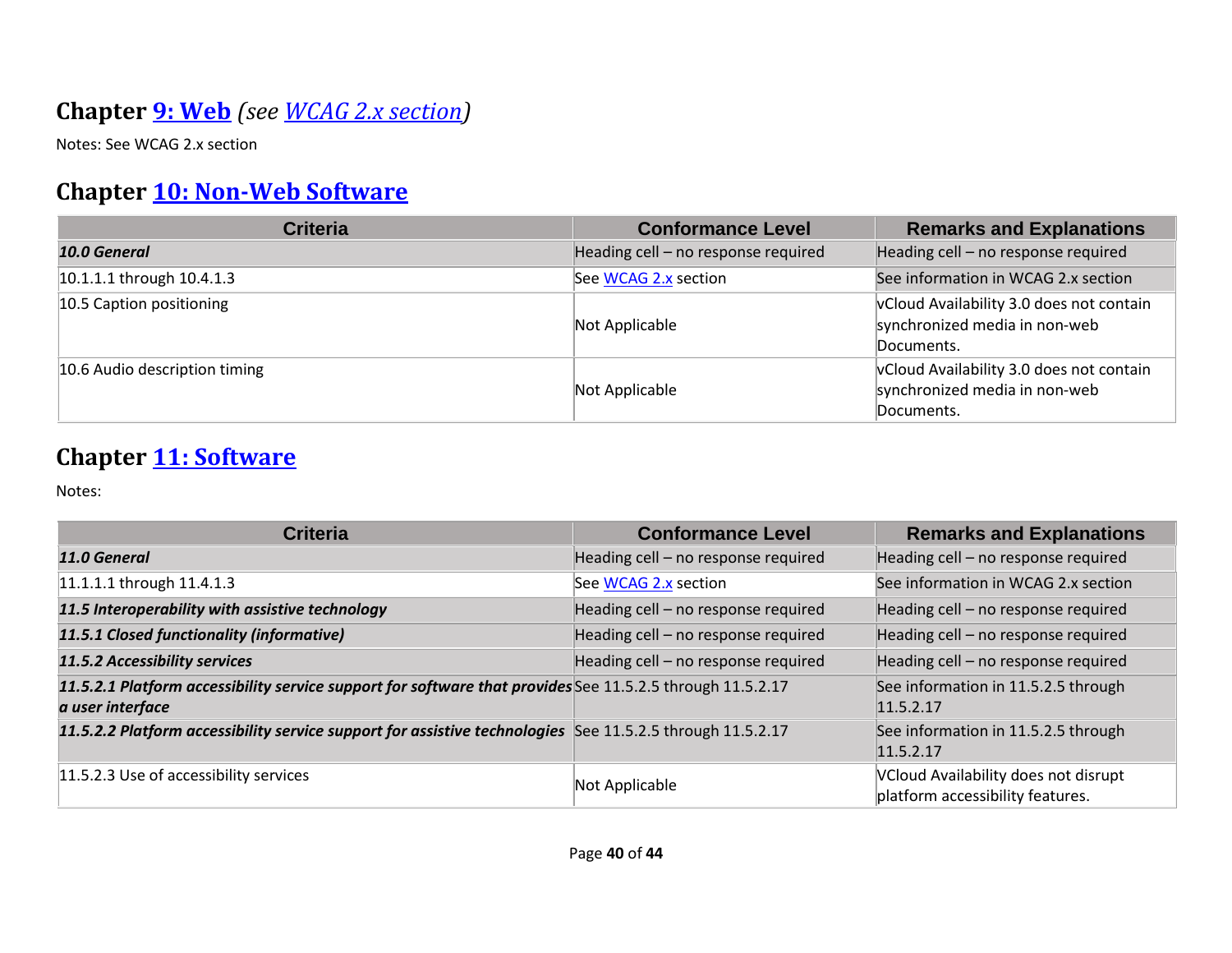## **Chapter [9: Web](https://www.etsi.org/deliver/etsi_en/301500_301599/301549/02.01.02_60/en_301549v020102p.pdf#page=40)** *(see [WCAG 2.x](#page-2-0) section)*

Notes: See WCAG 2.x section

#### **Chapter [10: Non-Web Software](https://www.etsi.org/deliver/etsi_en/301500_301599/301549/02.01.02_60/en_301549v020102p.pdf#page=47)**

| <b>Criteria</b>               | <b>Conformance Level</b>            | <b>Remarks and Explanations</b>                                                         |
|-------------------------------|-------------------------------------|-----------------------------------------------------------------------------------------|
| 10.0 General                  | Heading cell - no response required | Heading cell - no response required                                                     |
| 10.1.1.1 through 10.4.1.3     | See WCAG 2.x section                | See information in WCAG 2.x section                                                     |
| 10.5 Caption positioning      | Not Applicable                      | vCloud Availability 3.0 does not contain<br>synchronized media in non-web<br>Documents. |
| 10.6 Audio description timing | Not Applicable                      | vCloud Availability 3.0 does not contain<br>synchronized media in non-web<br>Documents. |

#### **Chapter [11: Software](https://www.etsi.org/deliver/etsi_en/301500_301599/301549/02.01.02_60/en_301549v020102p.pdf#page=57)**

| <b>Criteria</b>                                                                                                               | <b>Conformance Level</b>            | <b>Remarks and Explanations</b>                                          |
|-------------------------------------------------------------------------------------------------------------------------------|-------------------------------------|--------------------------------------------------------------------------|
| 11.0 General                                                                                                                  | Heading cell - no response required | Heading cell - no response required                                      |
| 11.1.1.1 through 11.4.1.3                                                                                                     | See WCAG 2.x section                | See information in WCAG 2.x section                                      |
| 11.5 Interoperability with assistive technology                                                                               | Heading cell - no response required | Heading cell - no response required                                      |
| 11.5.1 Closed functionality (informative)                                                                                     | Heading cell - no response required | Heading cell - no response required                                      |
| 11.5.2 Accessibility services                                                                                                 | Heading cell - no response required | Heading cell - no response required                                      |
| 11.5.2.1 Platform accessibility service support for software that provides See 11.5.2.5 through 11.5.2.17<br>a user interface |                                     | See information in 11.5.2.5 through<br>11.5.2.17                         |
| 11.5.2.2 Platform accessibility service support for assistive technologies See 11.5.2.5 through 11.5.2.17                     |                                     | See information in 11.5.2.5 through<br>11.5.2.17                         |
| 11.5.2.3 Use of accessibility services                                                                                        | Not Applicable                      | VCloud Availability does not disrupt<br>platform accessibility features. |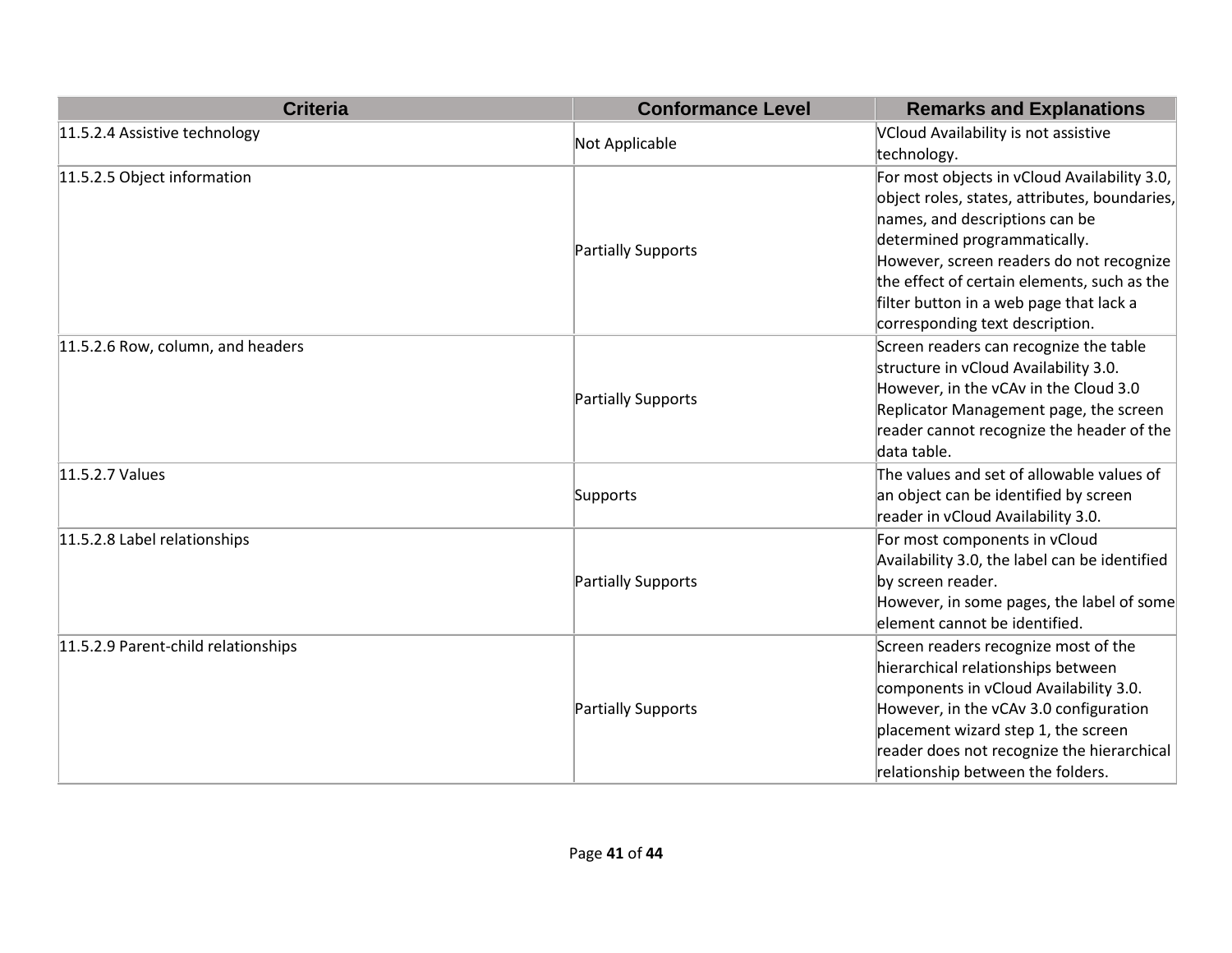| <b>Criteria</b>                     | <b>Conformance Level</b> | <b>Remarks and Explanations</b>               |
|-------------------------------------|--------------------------|-----------------------------------------------|
| 11.5.2.4 Assistive technology       |                          | VCloud Availability is not assistive          |
|                                     | Not Applicable           | technology.                                   |
| 11.5.2.5 Object information         |                          | For most objects in vCloud Availability 3.0,  |
|                                     |                          | object roles, states, attributes, boundaries, |
|                                     |                          | names, and descriptions can be                |
|                                     | Partially Supports       | determined programmatically.                  |
|                                     |                          | However, screen readers do not recognize      |
|                                     |                          | the effect of certain elements, such as the   |
|                                     |                          | filter button in a web page that lack a       |
|                                     |                          | corresponding text description.               |
| 11.5.2.6 Row, column, and headers   |                          | Screen readers can recognize the table        |
|                                     |                          | structure in vCloud Availability 3.0.         |
|                                     | Partially Supports       | However, in the vCAv in the Cloud 3.0         |
|                                     |                          | Replicator Management page, the screen        |
|                                     |                          | reader cannot recognize the header of the     |
|                                     |                          | data table.                                   |
| 11.5.2.7 Values                     |                          | The values and set of allowable values of     |
|                                     | Supports                 | an object can be identified by screen         |
|                                     |                          | reader in vCloud Availability 3.0.            |
| 11.5.2.8 Label relationships        |                          | For most components in vCloud                 |
|                                     |                          | Availability 3.0, the label can be identified |
|                                     | Partially Supports       | by screen reader.                             |
|                                     |                          | However, in some pages, the label of some     |
|                                     |                          | element cannot be identified.                 |
| 11.5.2.9 Parent-child relationships |                          | Screen readers recognize most of the          |
|                                     | Partially Supports       | hierarchical relationships between            |
|                                     |                          | components in vCloud Availability 3.0.        |
|                                     |                          | However, in the vCAv 3.0 configuration        |
|                                     |                          | placement wizard step 1, the screen           |
|                                     |                          | reader does not recognize the hierarchical    |
|                                     |                          | relationship between the folders.             |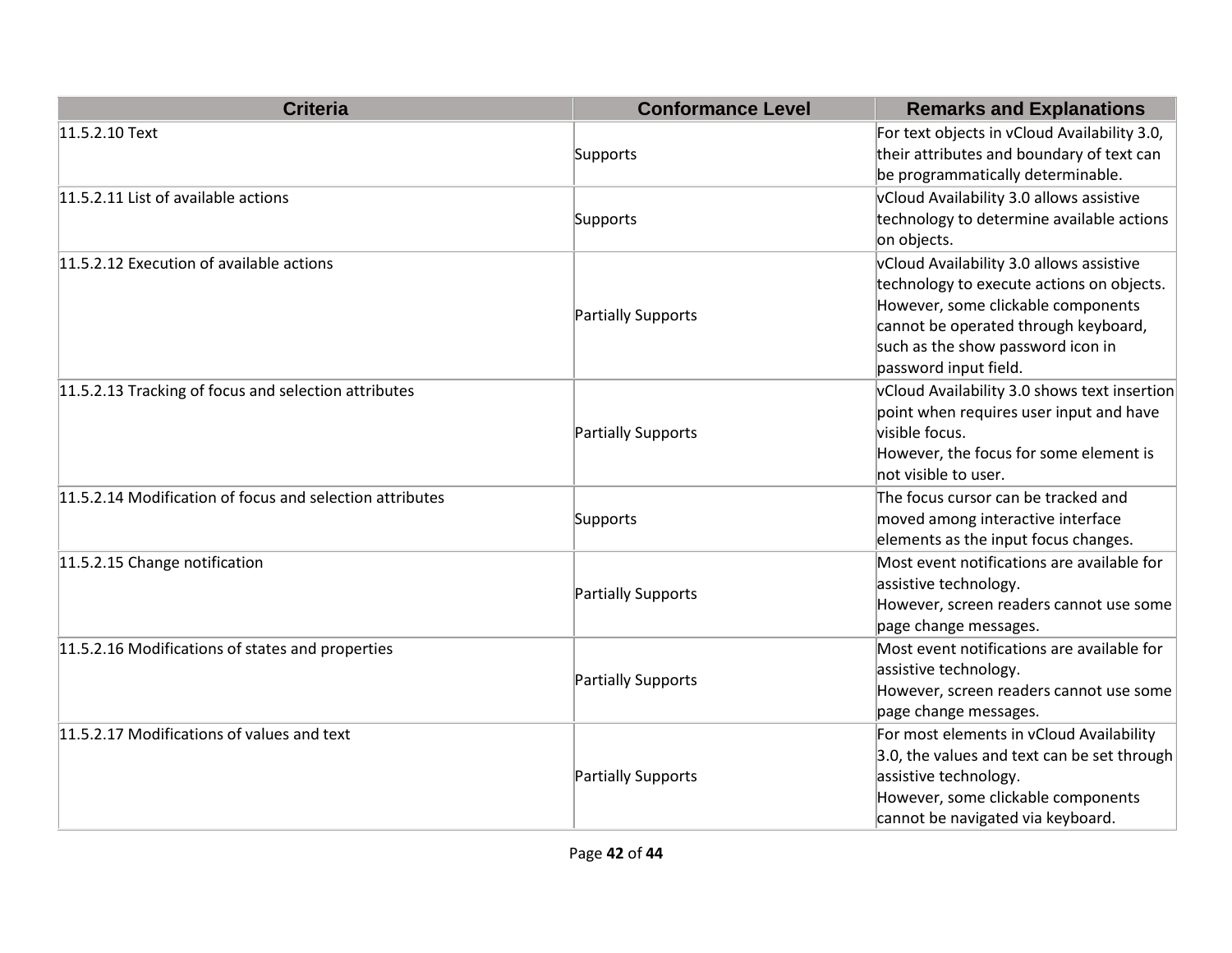| <b>Criteria</b>                                          | <b>Conformance Level</b> | <b>Remarks and Explanations</b>                          |
|----------------------------------------------------------|--------------------------|----------------------------------------------------------|
| 11.5.2.10 Text                                           |                          | For text objects in vCloud Availability 3.0,             |
|                                                          | Supports                 | their attributes and boundary of text can                |
|                                                          |                          | be programmatically determinable.                        |
| 11.5.2.11 List of available actions                      |                          | vCloud Availability 3.0 allows assistive                 |
|                                                          | Supports                 | technology to determine available actions<br>on objects. |
| 11.5.2.12 Execution of available actions                 |                          | vCloud Availability 3.0 allows assistive                 |
|                                                          |                          | technology to execute actions on objects.                |
|                                                          | Partially Supports       | However, some clickable components                       |
|                                                          |                          | cannot be operated through keyboard,                     |
|                                                          |                          | such as the show password icon in                        |
|                                                          |                          | password input field.                                    |
| 11.5.2.13 Tracking of focus and selection attributes     |                          | vCloud Availability 3.0 shows text insertion             |
|                                                          |                          | point when requires user input and have                  |
|                                                          | Partially Supports       | visible focus.                                           |
|                                                          |                          | However, the focus for some element is                   |
|                                                          |                          | not visible to user.                                     |
| 11.5.2.14 Modification of focus and selection attributes |                          | The focus cursor can be tracked and                      |
|                                                          | Supports                 | moved among interactive interface                        |
|                                                          |                          | elements as the input focus changes.                     |
| 11.5.2.15 Change notification                            |                          | Most event notifications are available for               |
|                                                          | Partially Supports       | assistive technology.                                    |
|                                                          |                          | However, screen readers cannot use some                  |
|                                                          |                          | page change messages.                                    |
| 11.5.2.16 Modifications of states and properties         |                          | Most event notifications are available for               |
|                                                          | Partially Supports       | assistive technology.                                    |
|                                                          |                          | However, screen readers cannot use some                  |
|                                                          |                          | page change messages.                                    |
| 11.5.2.17 Modifications of values and text               |                          | For most elements in vCloud Availability                 |
|                                                          |                          | 3.0, the values and text can be set through              |
|                                                          | Partially Supports       | assistive technology.                                    |
|                                                          |                          | However, some clickable components                       |
|                                                          |                          | cannot be navigated via keyboard.                        |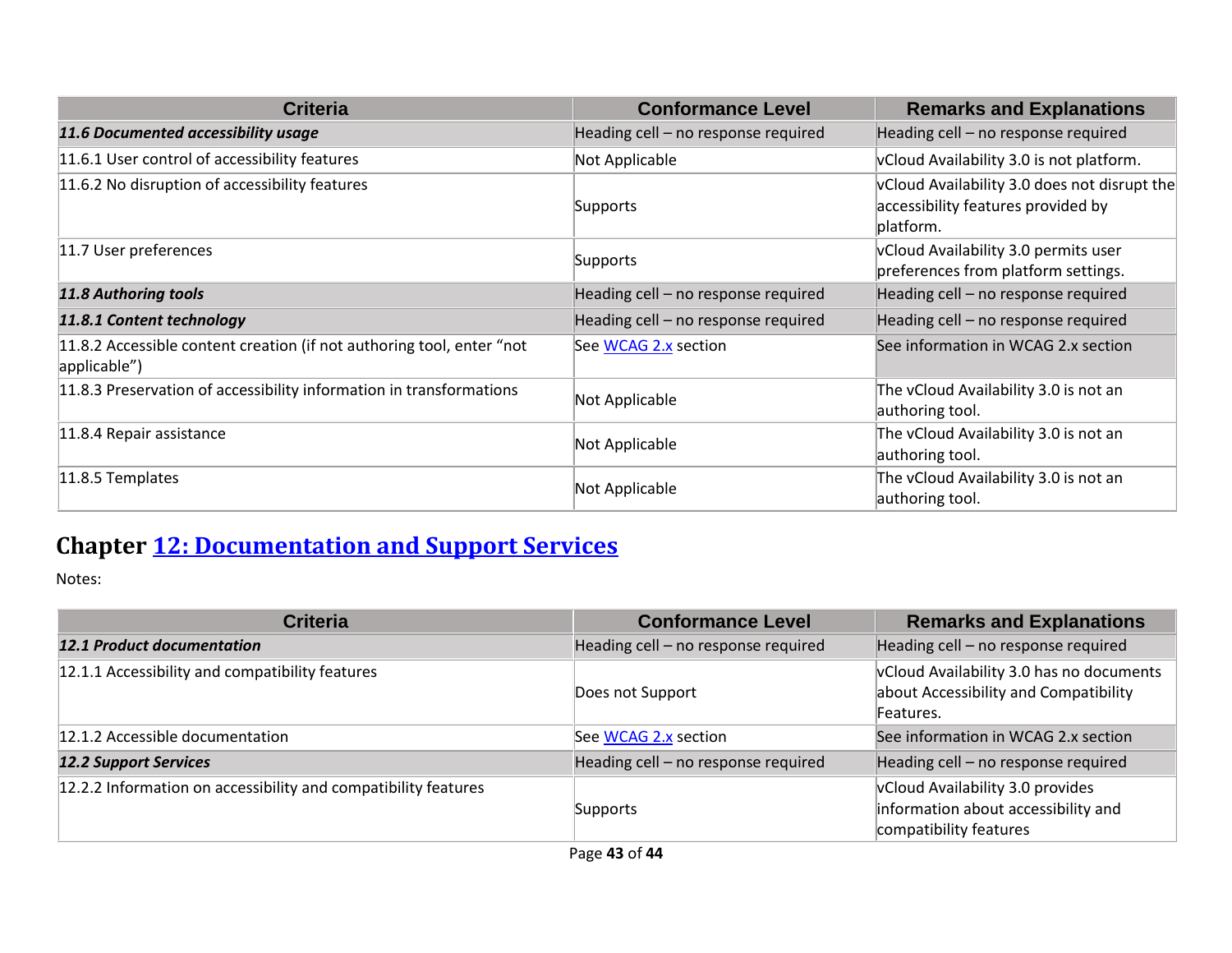| <b>Criteria</b>                                                                       | <b>Conformance Level</b>            | <b>Remarks and Explanations</b>                                                                 |
|---------------------------------------------------------------------------------------|-------------------------------------|-------------------------------------------------------------------------------------------------|
| 11.6 Documented accessibility usage                                                   | Heading cell - no response required | Heading cell - no response required                                                             |
| 11.6.1 User control of accessibility features                                         | Not Applicable                      | vCloud Availability 3.0 is not platform.                                                        |
| 11.6.2 No disruption of accessibility features                                        | Supports                            | vCloud Availability 3.0 does not disrupt the<br>accessibility features provided by<br>platform. |
| 11.7 User preferences                                                                 | Supports                            | vCloud Availability 3.0 permits user<br>preferences from platform settings.                     |
| <b>11.8 Authoring tools</b>                                                           | Heading cell - no response required | Heading cell - no response required                                                             |
| 11.8.1 Content technology                                                             | Heading cell - no response required | Heading cell - no response required                                                             |
| 11.8.2 Accessible content creation (if not authoring tool, enter "not<br>applicable") | See WCAG 2.x section                | See information in WCAG 2.x section                                                             |
| 11.8.3 Preservation of accessibility information in transformations                   | Not Applicable                      | The vCloud Availability 3.0 is not an<br>authoring tool.                                        |
| 11.8.4 Repair assistance                                                              | Not Applicable                      | The vCloud Availability 3.0 is not an<br>authoring tool.                                        |
| $11.8.5$ Templates                                                                    | Not Applicable                      | The vCloud Availability 3.0 is not an<br>authoring tool.                                        |

## **Chapter [12: Documentation and Support Services](https://www.etsi.org/deliver/etsi_en/301500_301599/301549/02.01.02_60/en_301549v020102p.pdf#page=76)**

| <b>Criteria</b>                                                | <b>Conformance Level</b>            | <b>Remarks and Explanations</b>                                                                   |
|----------------------------------------------------------------|-------------------------------------|---------------------------------------------------------------------------------------------------|
| <b>12.1 Product documentation</b>                              | Heading cell - no response required | Heading cell - no response required                                                               |
| 12.1.1 Accessibility and compatibility features                | Does not Support                    | vCloud Availability 3.0 has no documents<br>about Accessibility and Compatibility<br>Features.    |
| 12.1.2 Accessible documentation                                | See WCAG 2.x section                | See information in WCAG 2.x section                                                               |
| <b>12.2 Support Services</b>                                   | Heading cell - no response required | Heading cell - no response required                                                               |
| 12.2.2 Information on accessibility and compatibility features | Supports                            | vCloud Availability 3.0 provides<br>information about accessibility and<br>compatibility features |